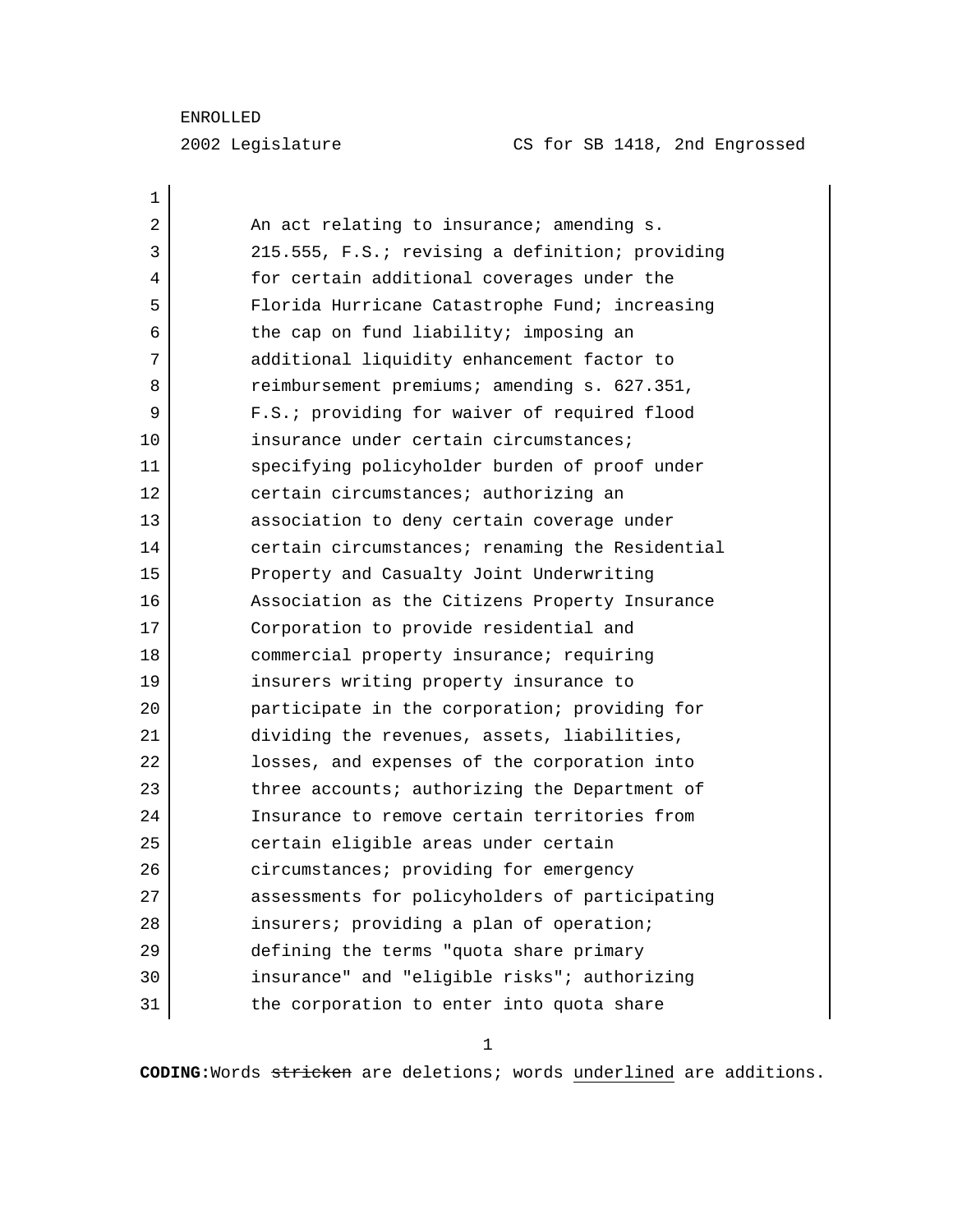| 1  |                                                 |
|----|-------------------------------------------------|
| 2  | An act relating to insurance; amending s.       |
| 3  | 215.555, F.S.; revising a definition; providing |
| 4  | for certain additional coverages under the      |
| 5  | Florida Hurricane Catastrophe Fund; increasing  |
| 6  | the cap on fund liability; imposing an          |
| 7  | additional liquidity enhancement factor to      |
| 8  | reimbursement premiums; amending s. 627.351,    |
| 9  | F.S.; providing for waiver of required flood    |
| 10 | insurance under certain circumstances;          |
| 11 | specifying policyholder burden of proof under   |
| 12 | certain circumstances; authorizing an           |
| 13 | association to deny certain coverage under      |
| 14 | certain circumstances; renaming the Residential |
| 15 | Property and Casualty Joint Underwriting        |
| 16 | Association as the Citizens Property Insurance  |
| 17 | Corporation to provide residential and          |
| 18 | commercial property insurance; requiring        |
| 19 | insurers writing property insurance to          |
| 20 | participate in the corporation; providing for   |
| 21 | dividing the revenues, assets, liabilities,     |
| 22 | losses, and expenses of the corporation into    |
| 23 | three accounts; authorizing the Department of   |
| 24 | Insurance to remove certain territories from    |
| 25 | certain eligible areas under certain            |
| 26 | circumstances; providing for emergency          |
| 27 | assessments for policyholders of participating  |
| 28 | insurers; providing a plan of operation;        |
| 29 | defining the terms "quota share primary         |
| 30 | insurance" and "eligible risks"; authorizing    |
| 31 | the corporation to enter into quota share       |

1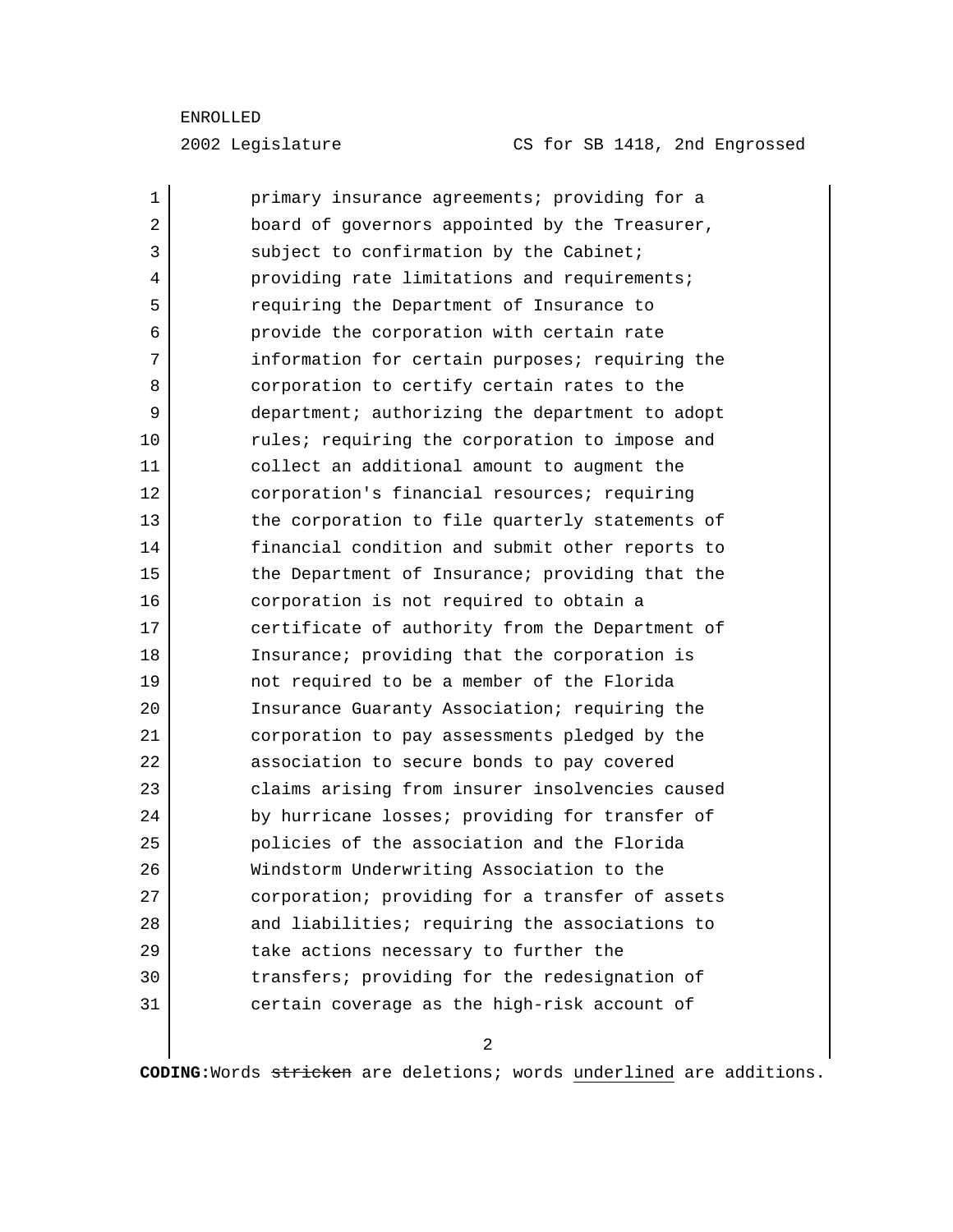# 2002 Legislature CS for SB 1418, 2nd Engrossed

| $\mathbf 1$ | primary insurance agreements; providing for a   |
|-------------|-------------------------------------------------|
| 2           | board of governors appointed by the Treasurer,  |
| 3           | subject to confirmation by the Cabinet;         |
| 4           | providing rate limitations and requirements;    |
| 5           | requiring the Department of Insurance to        |
| 6           | provide the corporation with certain rate       |
| 7           | information for certain purposes; requiring the |
| 8           | corporation to certify certain rates to the     |
| 9           | department; authorizing the department to adopt |
| 10          | rules; requiring the corporation to impose and  |
| 11          | collect an additional amount to augment the     |
| 12          | corporation's financial resources; requiring    |
| 13          | the corporation to file quarterly statements of |
| 14          | financial condition and submit other reports to |
| 15          | the Department of Insurance; providing that the |
| 16          | corporation is not required to obtain a         |
| 17          | certificate of authority from the Department of |
| 18          | Insurance; providing that the corporation is    |
| 19          | not required to be a member of the Florida      |
| 20          | Insurance Guaranty Association; requiring the   |
| 21          | corporation to pay assessments pledged by the   |
| 22          | association to secure bonds to pay covered      |
| 23          | claims arising from insurer insolvencies caused |
| 24          | by hurricane losses; providing for transfer of  |
| 25          | policies of the association and the Florida     |
| 26          | Windstorm Underwriting Association to the       |
| 27          | corporation; providing for a transfer of assets |
| 28          | and liabilities; requiring the associations to  |
| 29          | take actions necessary to further the           |
| 30          | transfers; providing for the redesignation of   |
| 31          | certain coverage as the high-risk account of    |
|             | 2                                               |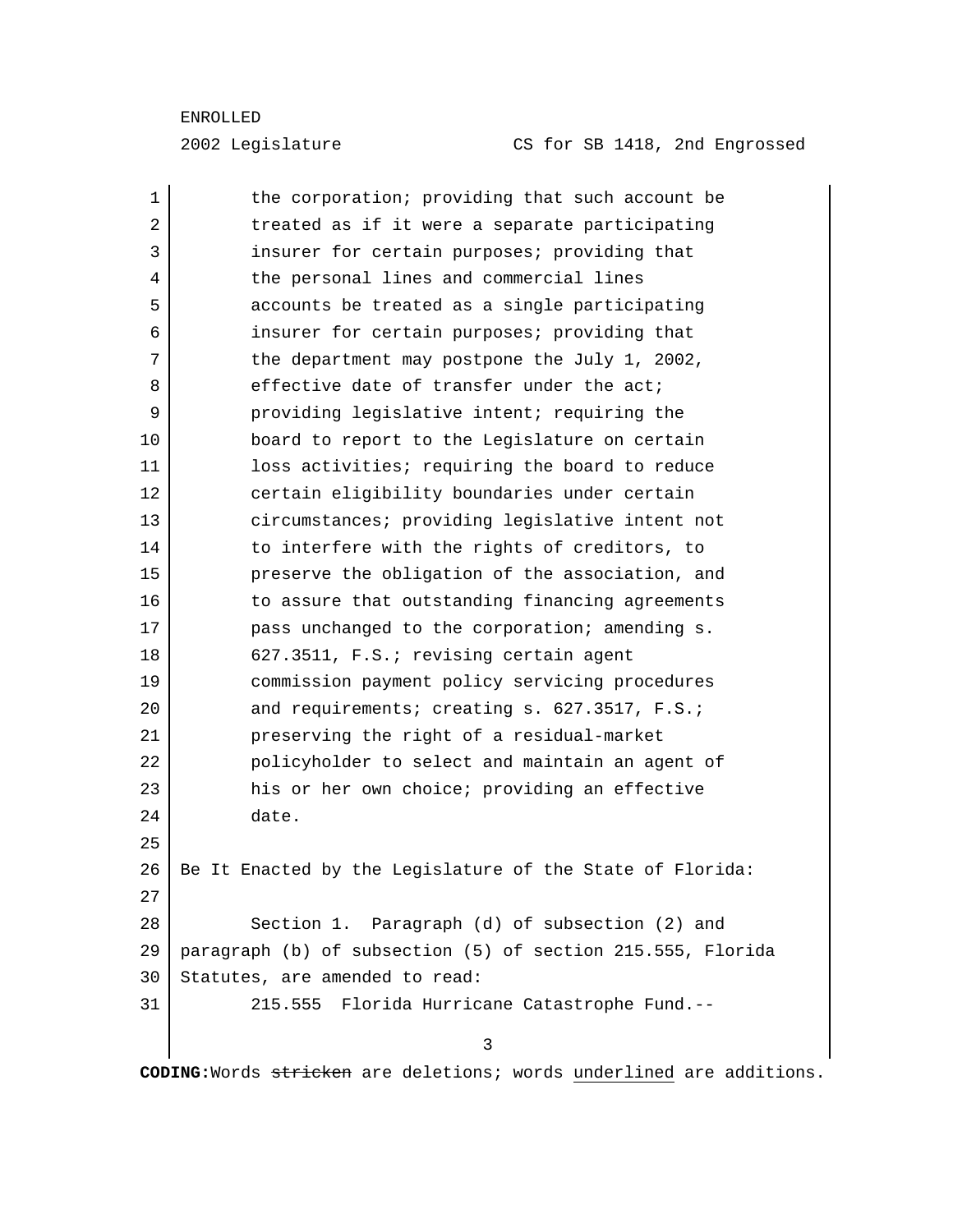### 2002 Legislature CS for SB 1418, 2nd Engrossed

1 the corporation; providing that such account be 2 treated as if it were a separate participating 3 insurer for certain purposes; providing that 4 the personal lines and commercial lines 5 accounts be treated as a single participating 6 insurer for certain purposes; providing that 7 the department may postpone the July 1, 2002, 8 effective date of transfer under the act; 9 providing legislative intent; requiring the 10 board to report to the Legislature on certain 11 **loss** activities; requiring the board to reduce 12 certain eligibility boundaries under certain 13 circumstances; providing legislative intent not 14 to interfere with the rights of creditors, to 15 preserve the obligation of the association, and 16 to assure that outstanding financing agreements 17 pass unchanged to the corporation; amending s. 18 627.3511, F.S.; revising certain agent 19 commission payment policy servicing procedures 20 and requirements; creating s. 627.3517, F.S.; 21 preserving the right of a residual-market 22 policyholder to select and maintain an agent of 23 his or her own choice; providing an effective 24 date. 25 26 Be It Enacted by the Legislature of the State of Florida: 27 28 Section 1. Paragraph (d) of subsection (2) and 29 paragraph (b) of subsection (5) of section 215.555, Florida 30 Statutes, are amended to read: 31 215.555 Florida Hurricane Catastrophe Fund.--  $\overline{\phantom{a}}$  3 **CODING:**Words stricken are deletions; words underlined are additions.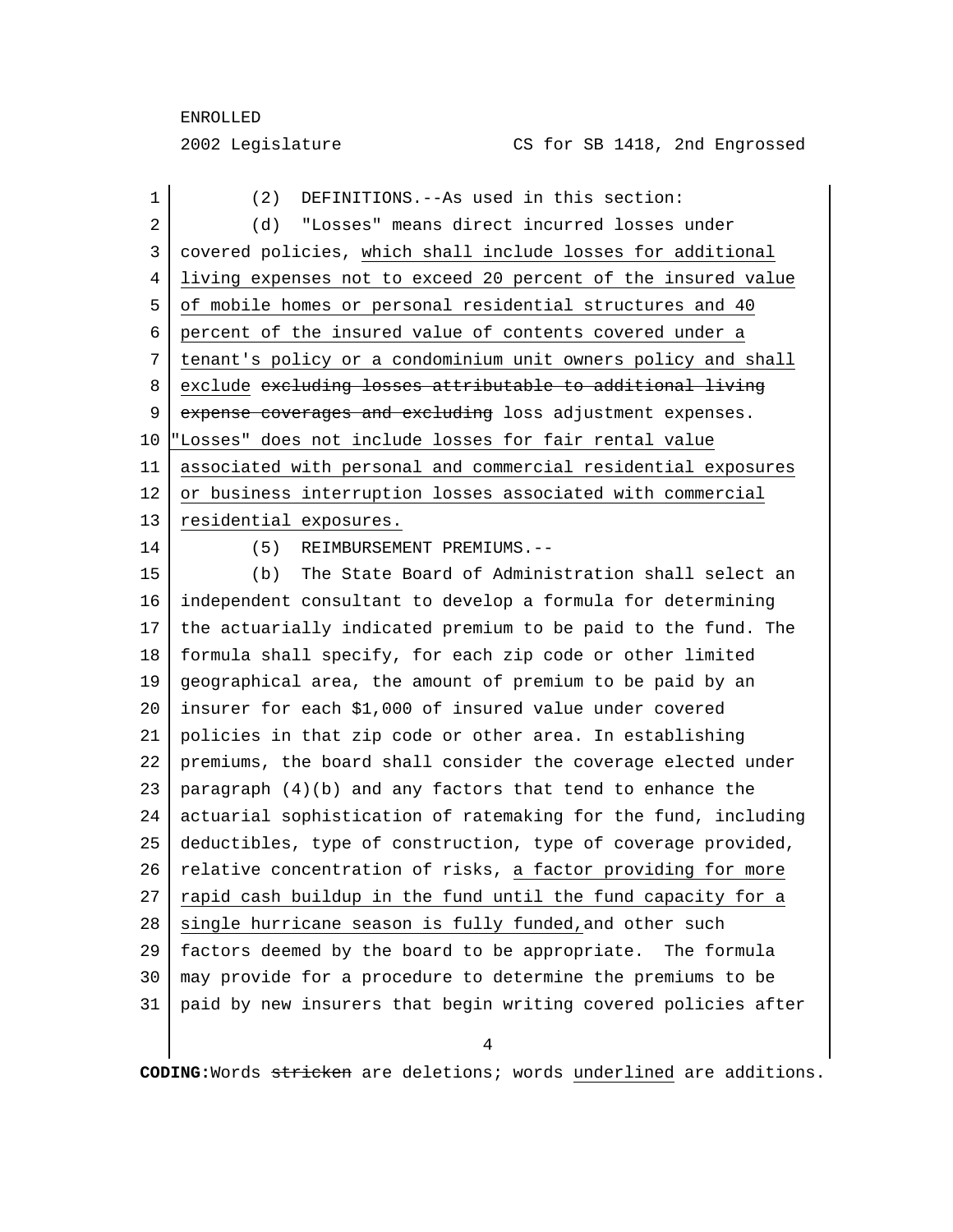# 2002 Legislature CS for SB 1418, 2nd Engrossed

| $\mathbf{1}$ | DEFINITIONS. -- As used in this section:<br>(2)                |
|--------------|----------------------------------------------------------------|
| 2            | (d) "Losses" means direct incurred losses under                |
| 3            | covered policies, which shall include losses for additional    |
| 4            | living expenses not to exceed 20 percent of the insured value  |
| 5            | of mobile homes or personal residential structures and 40      |
| 6            | percent of the insured value of contents covered under a       |
| 7            | tenant's policy or a condominium unit owners policy and shall  |
| 8            | exclude excluding losses attributable to additional living     |
| 9            | expense coverages and excluding loss adjustment expenses.      |
| 10           | "Losses" does not include losses for fair rental value         |
| 11           | associated with personal and commercial residential exposures  |
| 12           | or business interruption losses associated with commercial     |
| 13           | residential exposures.                                         |
| 14           | (5)<br>REIMBURSEMENT PREMIUMS.--                               |
| 15           | The State Board of Administration shall select an<br>(b)       |
| 16           | independent consultant to develop a formula for determining    |
| 17           | the actuarially indicated premium to be paid to the fund. The  |
| 18           | formula shall specify, for each zip code or other limited      |
| 19           | geographical area, the amount of premium to be paid by an      |
| 20           | insurer for each \$1,000 of insured value under covered        |
| 21           | policies in that zip code or other area. In establishing       |
| 22           | premiums, the board shall consider the coverage elected under  |
| 23           | paragraph $(4)(b)$ and any factors that tend to enhance the    |
| 24           | actuarial sophistication of ratemaking for the fund, including |
| 25           | deductibles, type of construction, type of coverage provided,  |
| 26           | relative concentration of risks, a factor providing for more   |
| 27           | rapid cash buildup in the fund until the fund capacity for a   |
| 28           | single hurricane season is fully funded, and other such        |
| 29           | factors deemed by the board to be appropriate. The formula     |
| 30           | may provide for a procedure to determine the premiums to be    |
| 31           | paid by new insurers that begin writing covered policies after |
|              | 4                                                              |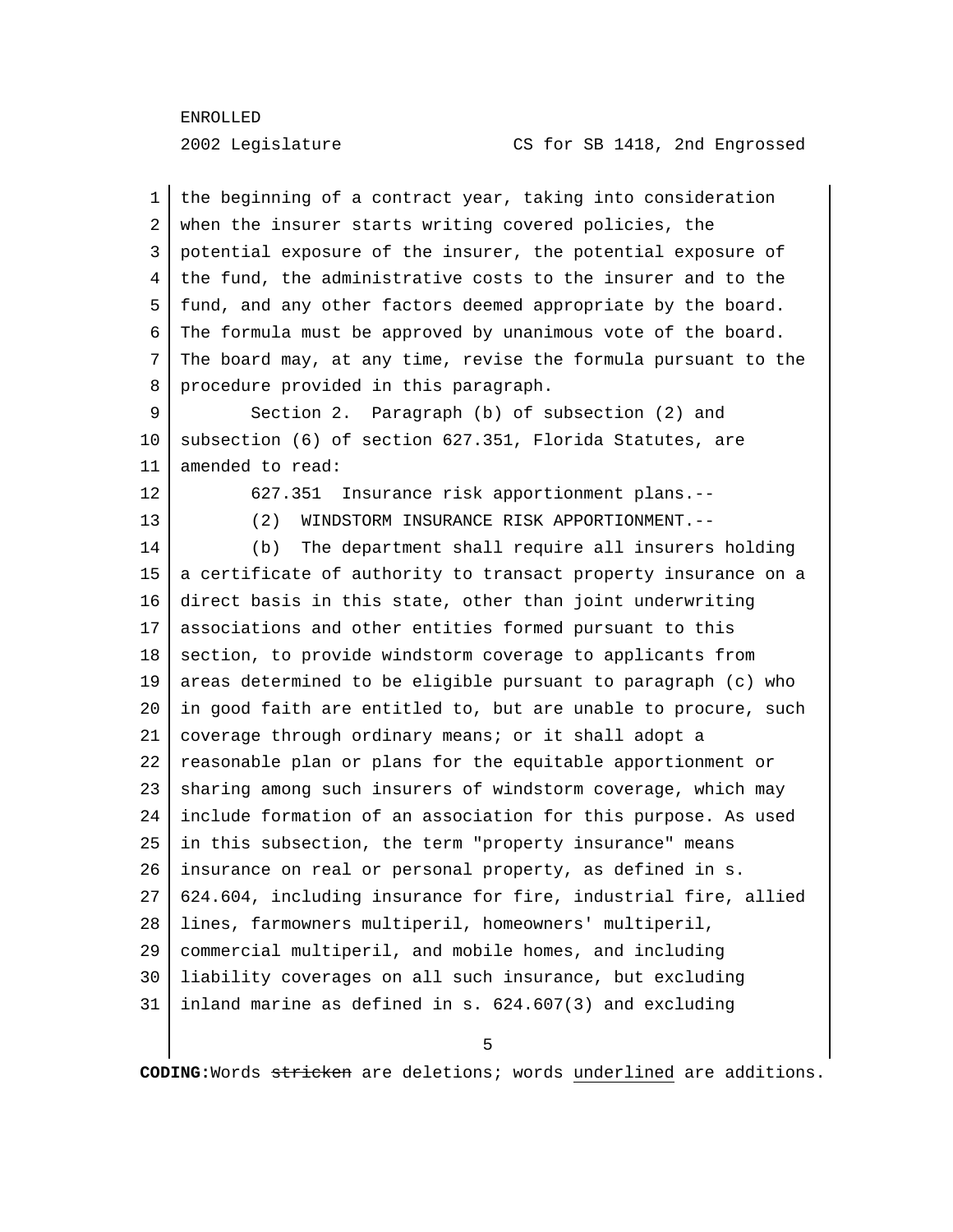### 2002 Legislature CS for SB 1418, 2nd Engrossed

 1 the beginning of a contract year, taking into consideration 2 when the insurer starts writing covered policies, the 3 potential exposure of the insurer, the potential exposure of 4 the fund, the administrative costs to the insurer and to the 5 fund, and any other factors deemed appropriate by the board. 6 The formula must be approved by unanimous vote of the board. 7 The board may, at any time, revise the formula pursuant to the 8 procedure provided in this paragraph. 9 Section 2. Paragraph (b) of subsection (2) and 10 subsection (6) of section 627.351, Florida Statutes, are 11 amended to read: 12 627.351 Insurance risk apportionment plans.-- 13 (2) WINDSTORM INSURANCE RISK APPORTIONMENT.-- 14 (b) The department shall require all insurers holding 15 a certificate of authority to transact property insurance on a 16 direct basis in this state, other than joint underwriting 17 associations and other entities formed pursuant to this 18 section, to provide windstorm coverage to applicants from 19 areas determined to be eligible pursuant to paragraph (c) who 20 in good faith are entitled to, but are unable to procure, such 21 coverage through ordinary means; or it shall adopt a 22 reasonable plan or plans for the equitable apportionment or 23 sharing among such insurers of windstorm coverage, which may 24 include formation of an association for this purpose. As used 25 in this subsection, the term "property insurance" means 26 insurance on real or personal property, as defined in s. 27 624.604, including insurance for fire, industrial fire, allied 28 lines, farmowners multiperil, homeowners' multiperil, 29 commercial multiperil, and mobile homes, and including 30 liability coverages on all such insurance, but excluding 31 inland marine as defined in s. 624.607(3) and excluding  $\sim$  5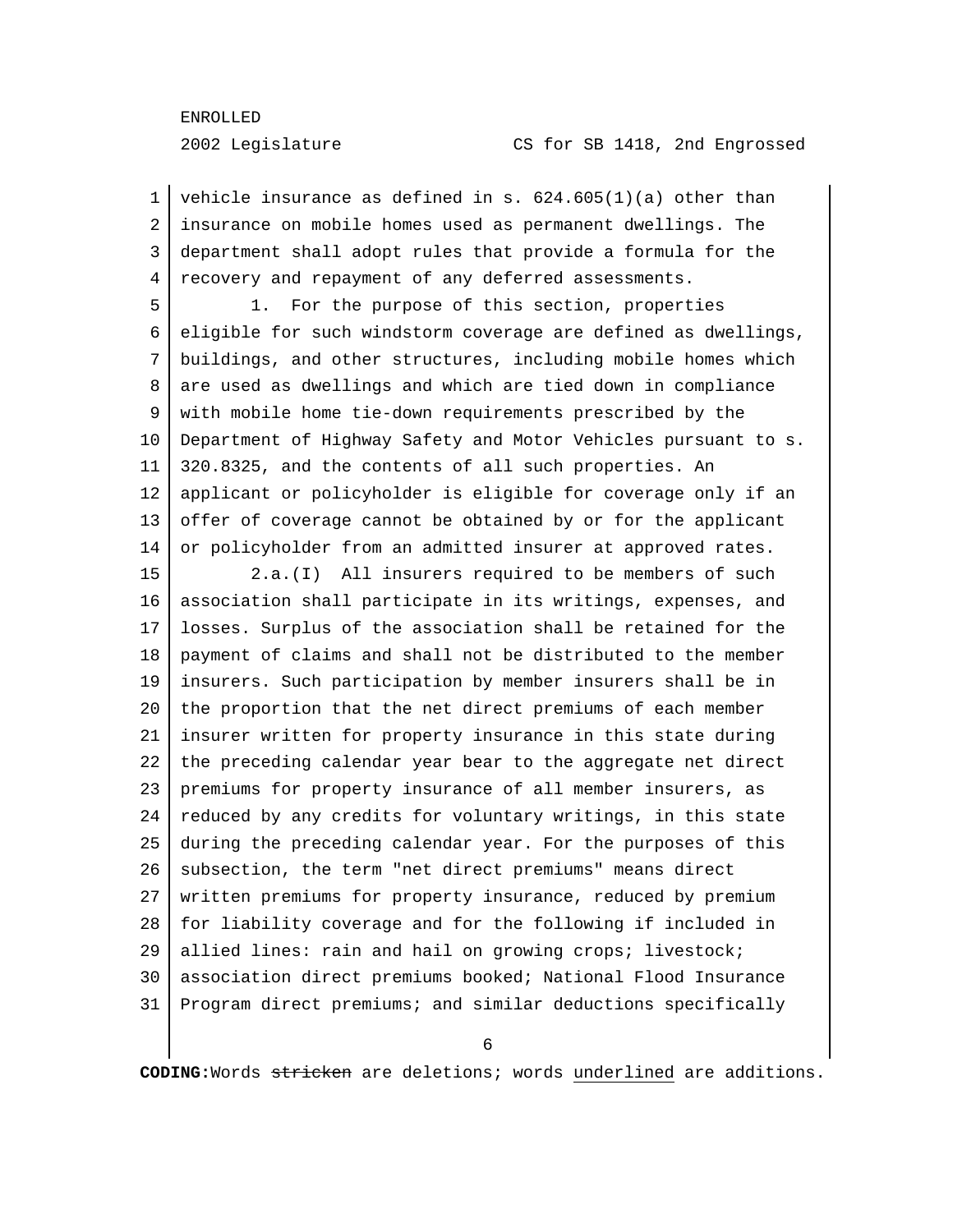### 2002 Legislature CS for SB 1418, 2nd Engrossed

1 vehicle insurance as defined in s.  $624.605(1)(a)$  other than 2 insurance on mobile homes used as permanent dwellings. The 3 department shall adopt rules that provide a formula for the 4 recovery and repayment of any deferred assessments.

 5 1. For the purpose of this section, properties 6 eligible for such windstorm coverage are defined as dwellings, 7 buildings, and other structures, including mobile homes which 8 are used as dwellings and which are tied down in compliance 9 with mobile home tie-down requirements prescribed by the 10 Department of Highway Safety and Motor Vehicles pursuant to s. 11 320.8325, and the contents of all such properties. An 12 applicant or policyholder is eligible for coverage only if an 13 offer of coverage cannot be obtained by or for the applicant 14 or policyholder from an admitted insurer at approved rates.

15 2.a.(I) All insurers required to be members of such 16 association shall participate in its writings, expenses, and 17 losses. Surplus of the association shall be retained for the 18 payment of claims and shall not be distributed to the member 19 insurers. Such participation by member insurers shall be in 20 the proportion that the net direct premiums of each member 21 insurer written for property insurance in this state during 22 the preceding calendar year bear to the aggregate net direct 23 premiums for property insurance of all member insurers, as 24 reduced by any credits for voluntary writings, in this state 25 during the preceding calendar year. For the purposes of this 26 subsection, the term "net direct premiums" means direct 27 written premiums for property insurance, reduced by premium 28 for liability coverage and for the following if included in 29 allied lines: rain and hail on growing crops; livestock; 30 association direct premiums booked; National Flood Insurance 31 Program direct premiums; and similar deductions specifically

 $\overline{6}$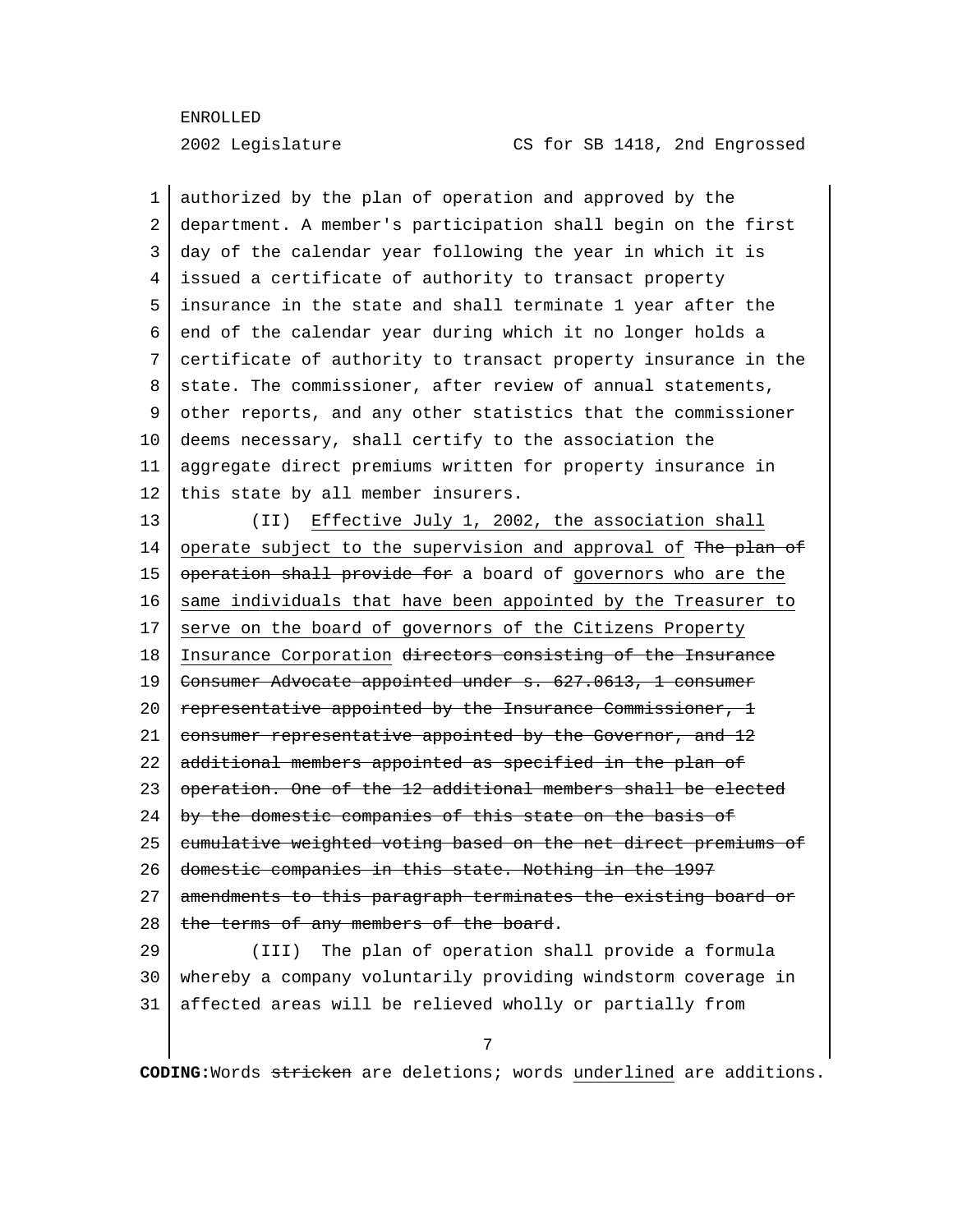### 2002 Legislature CS for SB 1418, 2nd Engrossed

 1 authorized by the plan of operation and approved by the 2 department. A member's participation shall begin on the first 3 day of the calendar year following the year in which it is 4 issued a certificate of authority to transact property 5 insurance in the state and shall terminate 1 year after the 6 end of the calendar year during which it no longer holds a 7 certificate of authority to transact property insurance in the 8 state. The commissioner, after review of annual statements, 9 other reports, and any other statistics that the commissioner 10 deems necessary, shall certify to the association the 11 aggregate direct premiums written for property insurance in 12 | this state by all member insurers. 13 (II) Effective July 1, 2002, the association shall 14 operate subject to the supervision and approval of The plan of 15 operation shall provide for a board of governors who are the 16 same individuals that have been appointed by the Treasurer to 17 serve on the board of governors of the Citizens Property 18 | Insurance Corporation directors consisting of the Insurance 19 Consumer Advocate appointed under s. 627.0613, 1 consumer 20 representative appointed by the Insurance Commissioner, 1 21 consumer representative appointed by the Governor, and 12 22 additional members appointed as specified in the plan of 23 operation. One of the 12 additional members shall be elected 24 by the domestic companies of this state on the basis of 25 cumulative weighted voting based on the net direct premiums of 26 domestic companies in this state. Nothing in the 1997 27 amendments to this paragraph terminates the existing board or 28 the terms of any members of the board. 29 (III) The plan of operation shall provide a formula 30 whereby a company voluntarily providing windstorm coverage in 31 affected areas will be relieved wholly or partially from

7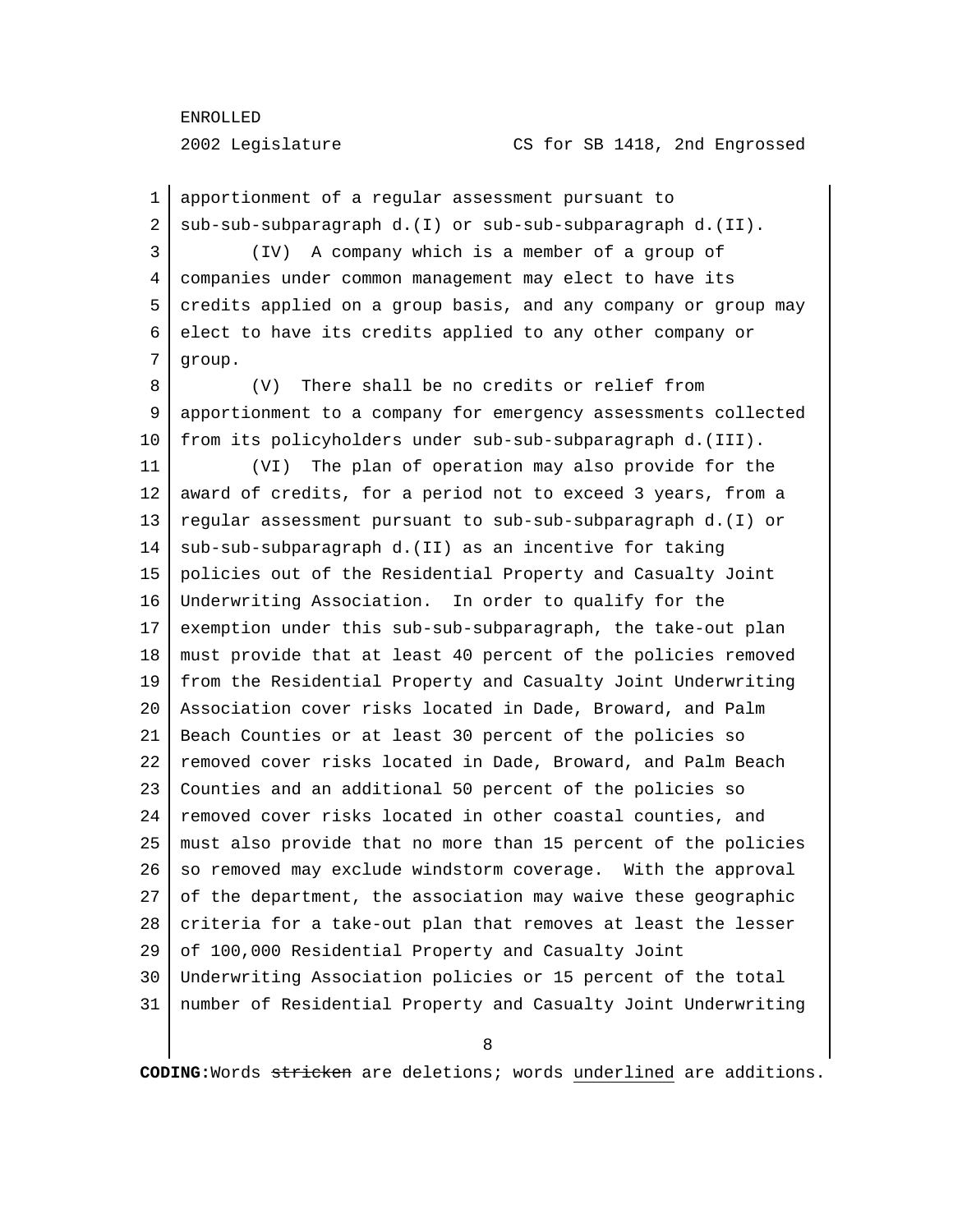### 2002 Legislature CS for SB 1418, 2nd Engrossed

 1 apportionment of a regular assessment pursuant to  $2 \mid sub-sub-subgraph d.(I) or sub-sub-sub-subgraph d.(II).$ 

 3 (IV) A company which is a member of a group of 4 companies under common management may elect to have its 5 credits applied on a group basis, and any company or group may 6 elect to have its credits applied to any other company or 7 group.

8 (V) There shall be no credits or relief from 9 apportionment to a company for emergency assessments collected 10 from its policyholders under sub-sub-subparagraph d.(III).

11 (VI) The plan of operation may also provide for the 12 award of credits, for a period not to exceed 3 years, from a 13 regular assessment pursuant to sub-sub-subparagraph d.(I) or 14 sub-sub-subparagraph d.(II) as an incentive for taking 15 policies out of the Residential Property and Casualty Joint 16 Underwriting Association. In order to qualify for the 17 exemption under this sub-sub-subparagraph, the take-out plan 18 must provide that at least 40 percent of the policies removed 19 from the Residential Property and Casualty Joint Underwriting 20 Association cover risks located in Dade, Broward, and Palm 21 Beach Counties or at least 30 percent of the policies so 22 removed cover risks located in Dade, Broward, and Palm Beach 23 Counties and an additional 50 percent of the policies so 24 removed cover risks located in other coastal counties, and 25 must also provide that no more than 15 percent of the policies 26 so removed may exclude windstorm coverage. With the approval 27 of the department, the association may waive these geographic 28 criteria for a take-out plan that removes at least the lesser 29 of 100,000 Residential Property and Casualty Joint 30 Underwriting Association policies or 15 percent of the total 31 number of Residential Property and Casualty Joint Underwriting

8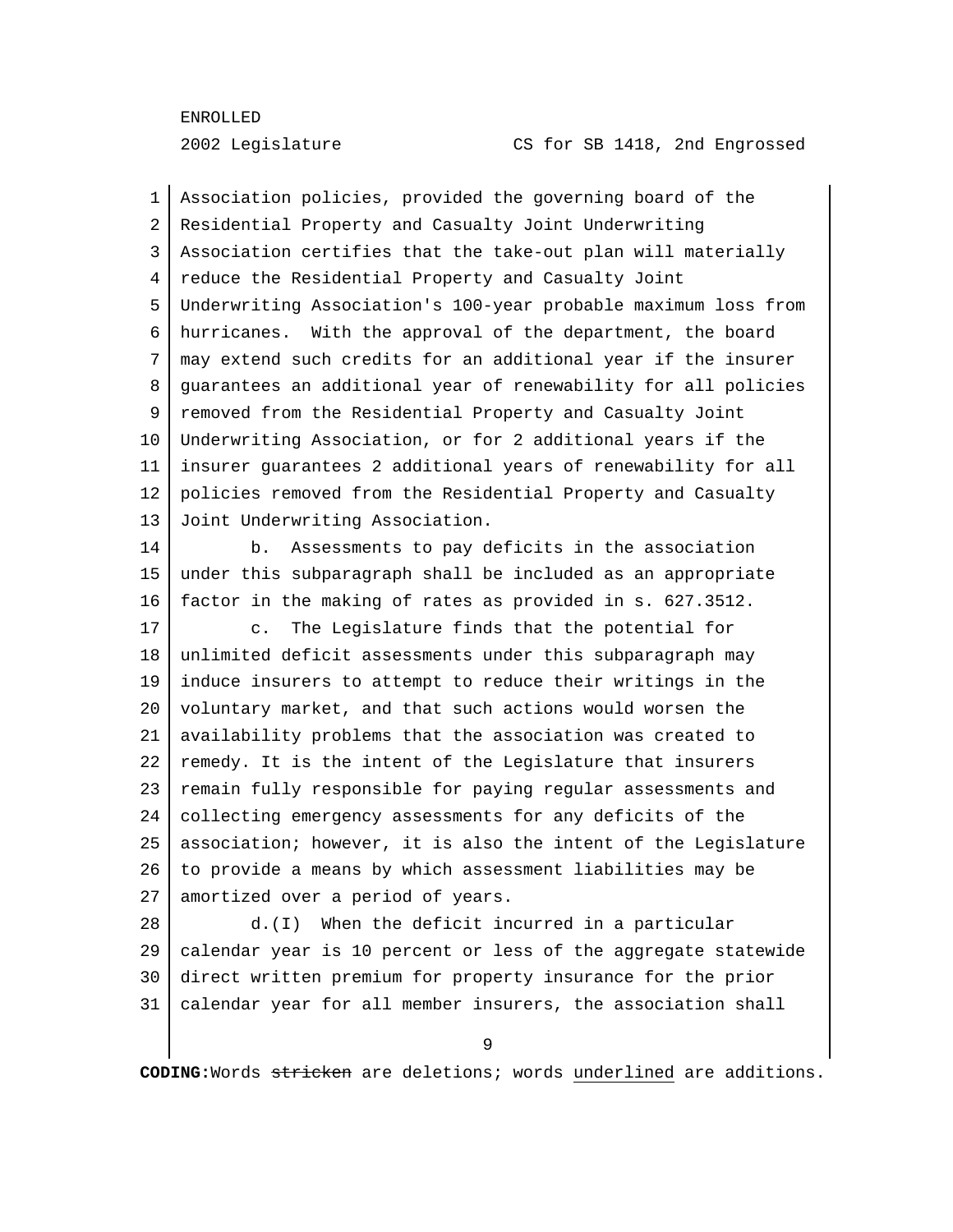### 2002 Legislature CS for SB 1418, 2nd Engrossed

 1 Association policies, provided the governing board of the 2 Residential Property and Casualty Joint Underwriting 3 Association certifies that the take-out plan will materially 4 reduce the Residential Property and Casualty Joint 5 Underwriting Association's 100-year probable maximum loss from 6 hurricanes. With the approval of the department, the board 7 may extend such credits for an additional year if the insurer 8 guarantees an additional year of renewability for all policies 9 removed from the Residential Property and Casualty Joint 10 Underwriting Association, or for 2 additional years if the 11 insurer guarantees 2 additional years of renewability for all 12 policies removed from the Residential Property and Casualty 13 Joint Underwriting Association.

14 b. Assessments to pay deficits in the association 15 under this subparagraph shall be included as an appropriate 16 factor in the making of rates as provided in s. 627.3512.

17 c. The Legislature finds that the potential for 18 unlimited deficit assessments under this subparagraph may 19 induce insurers to attempt to reduce their writings in the 20 voluntary market, and that such actions would worsen the 21 availability problems that the association was created to 22 remedy. It is the intent of the Legislature that insurers 23 remain fully responsible for paying regular assessments and 24 collecting emergency assessments for any deficits of the 25 association; however, it is also the intent of the Legislature 26 to provide a means by which assessment liabilities may be 27 amortized over a period of years.

28 d.(I) When the deficit incurred in a particular 29 calendar year is 10 percent or less of the aggregate statewide 30 direct written premium for property insurance for the prior 31 calendar year for all member insurers, the association shall

9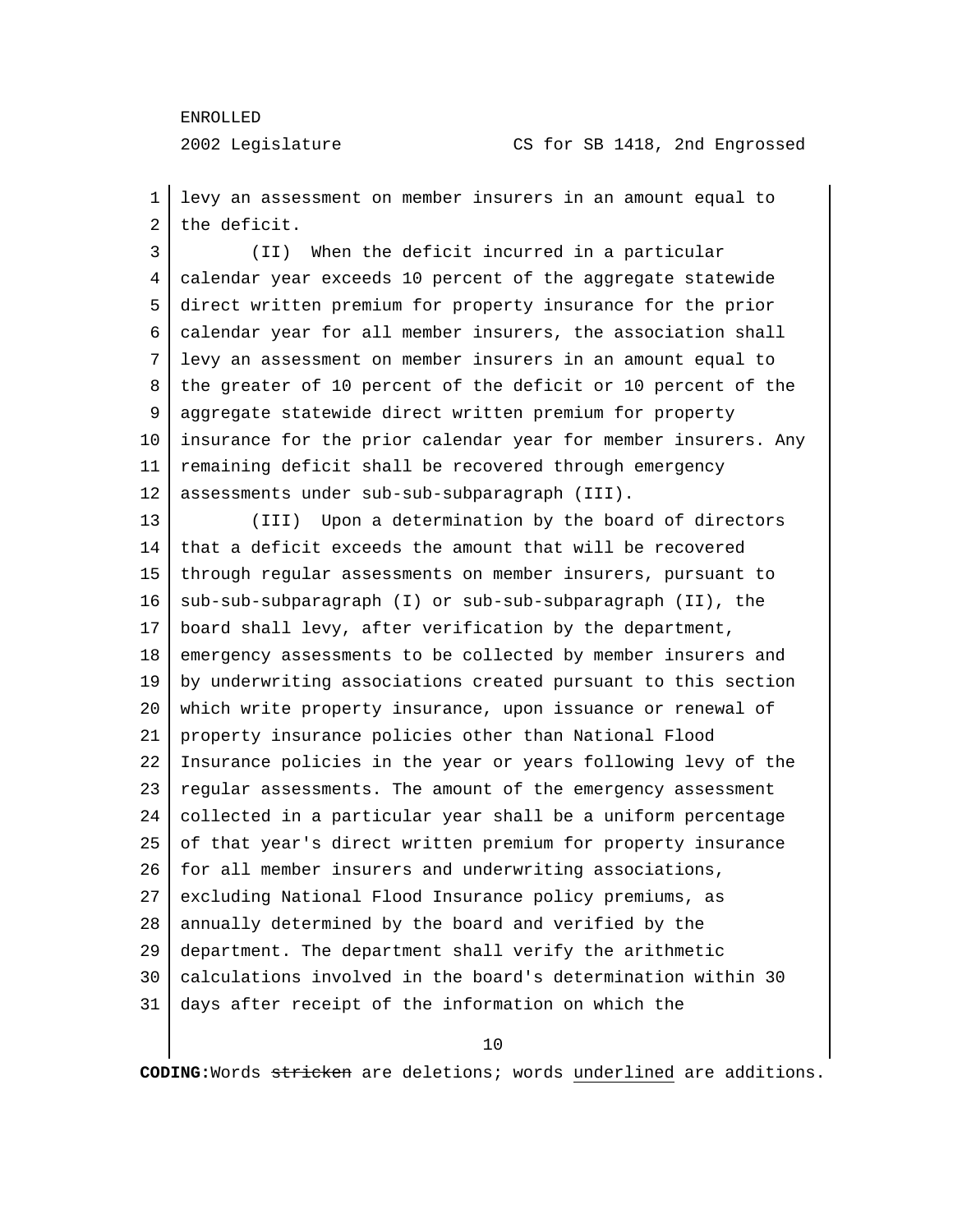### 2002 Legislature CS for SB 1418, 2nd Engrossed

 1 levy an assessment on member insurers in an amount equal to 2 the deficit.

 3 (II) When the deficit incurred in a particular 4 calendar year exceeds 10 percent of the aggregate statewide 5 direct written premium for property insurance for the prior 6 calendar year for all member insurers, the association shall 7 levy an assessment on member insurers in an amount equal to 8 the greater of 10 percent of the deficit or 10 percent of the 9 aggregate statewide direct written premium for property 10 insurance for the prior calendar year for member insurers. Any 11 remaining deficit shall be recovered through emergency 12 assessments under sub-sub-subparagraph (III).

13 (III) Upon a determination by the board of directors 14 that a deficit exceeds the amount that will be recovered 15 through regular assessments on member insurers, pursuant to 16 sub-sub-subparagraph (I) or sub-sub-subparagraph (II), the 17 board shall levy, after verification by the department, 18 emergency assessments to be collected by member insurers and 19 by underwriting associations created pursuant to this section 20 which write property insurance, upon issuance or renewal of 21 property insurance policies other than National Flood 22 Insurance policies in the year or years following levy of the 23 regular assessments. The amount of the emergency assessment 24 collected in a particular year shall be a uniform percentage 25 of that year's direct written premium for property insurance 26 for all member insurers and underwriting associations, 27 excluding National Flood Insurance policy premiums, as 28 annually determined by the board and verified by the 29 department. The department shall verify the arithmetic 30 calculations involved in the board's determination within 30 31 days after receipt of the information on which the

10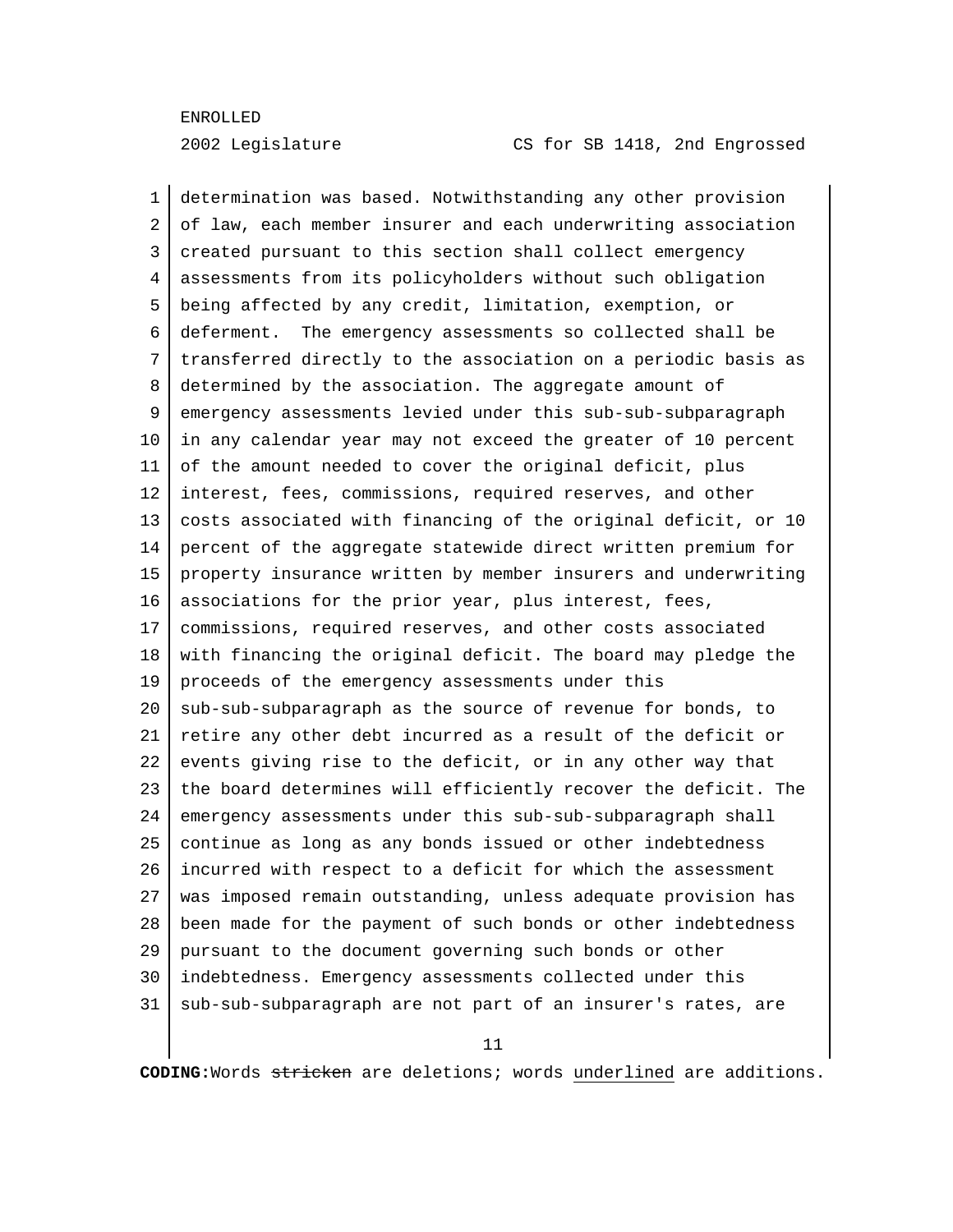### 2002 Legislature CS for SB 1418, 2nd Engrossed

 1 determination was based. Notwithstanding any other provision 2 of law, each member insurer and each underwriting association 3 created pursuant to this section shall collect emergency 4 assessments from its policyholders without such obligation 5 being affected by any credit, limitation, exemption, or 6 deferment. The emergency assessments so collected shall be 7 transferred directly to the association on a periodic basis as 8 determined by the association. The aggregate amount of 9 emergency assessments levied under this sub-sub-subparagraph 10 in any calendar year may not exceed the greater of 10 percent 11 of the amount needed to cover the original deficit, plus 12 interest, fees, commissions, required reserves, and other 13 costs associated with financing of the original deficit, or 10 14 percent of the aggregate statewide direct written premium for 15 property insurance written by member insurers and underwriting 16 associations for the prior year, plus interest, fees, 17 commissions, required reserves, and other costs associated 18 with financing the original deficit. The board may pledge the 19 proceeds of the emergency assessments under this 20 sub-sub-subparagraph as the source of revenue for bonds, to 21 retire any other debt incurred as a result of the deficit or 22 events giving rise to the deficit, or in any other way that 23 the board determines will efficiently recover the deficit. The 24 emergency assessments under this sub-sub-subparagraph shall 25 continue as long as any bonds issued or other indebtedness 26 incurred with respect to a deficit for which the assessment 27 was imposed remain outstanding, unless adequate provision has 28 been made for the payment of such bonds or other indebtedness 29 pursuant to the document governing such bonds or other 30 indebtedness. Emergency assessments collected under this 31 sub-sub-subparagraph are not part of an insurer's rates, are

11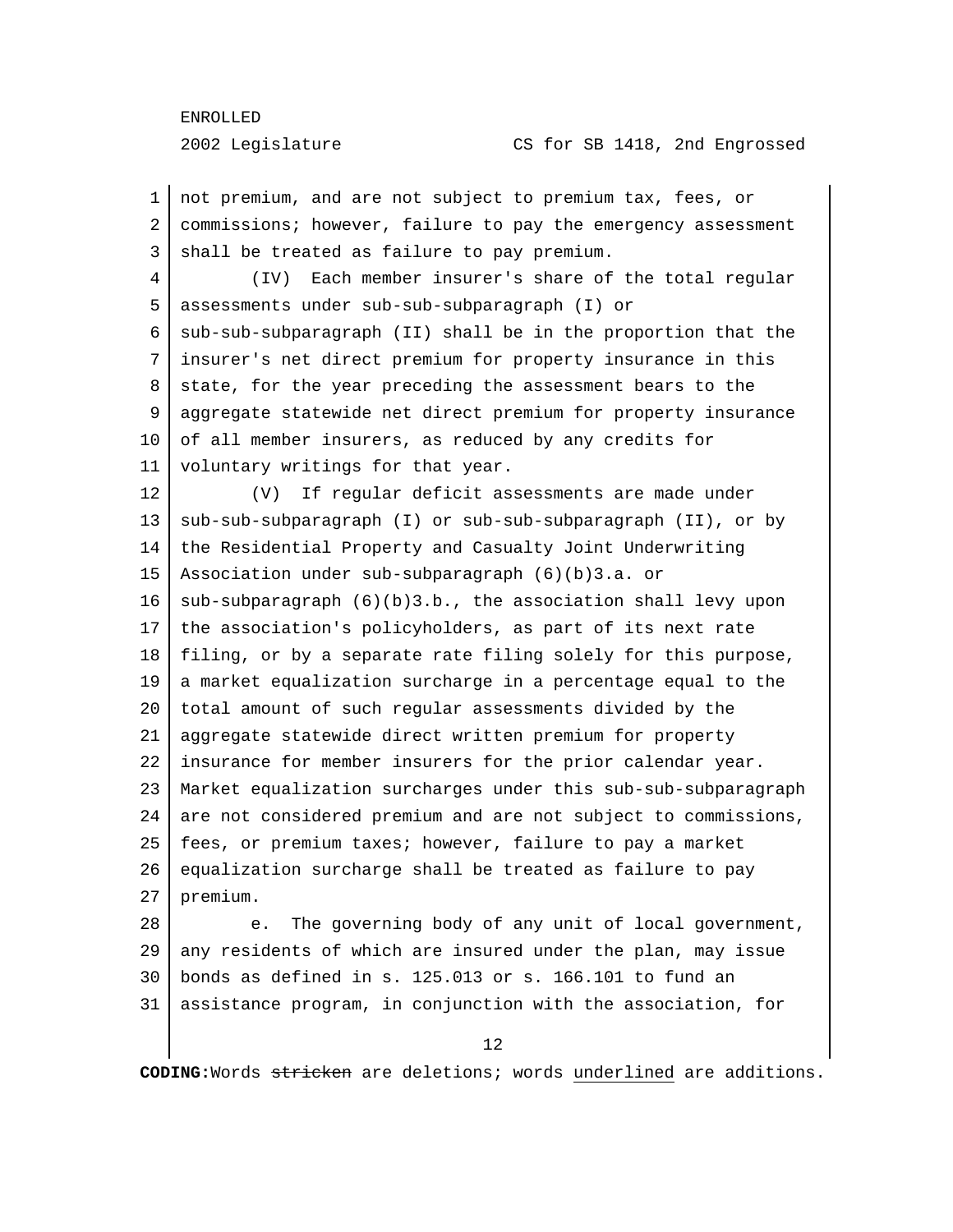1 not premium, and are not subject to premium tax, fees, or 2 commissions; however, failure to pay the emergency assessment 3 shall be treated as failure to pay premium. 4 (IV) Each member insurer's share of the total regular 5 assessments under sub-sub-subparagraph (I) or 6 sub-sub-subparagraph (II) shall be in the proportion that the 7 insurer's net direct premium for property insurance in this 8 state, for the year preceding the assessment bears to the 9 aggregate statewide net direct premium for property insurance 10 of all member insurers, as reduced by any credits for 11 voluntary writings for that year. 12 (V) If regular deficit assessments are made under 13 sub-sub-subparagraph (I) or sub-sub-subparagraph (II), or by 14 the Residential Property and Casualty Joint Underwriting 15 Association under sub-subparagraph (6)(b)3.a. or 16 sub-subparagraph (6)(b)3.b., the association shall levy upon 17 the association's policyholders, as part of its next rate 18 filing, or by a separate rate filing solely for this purpose, 19 a market equalization surcharge in a percentage equal to the 20 total amount of such regular assessments divided by the 21 aggregate statewide direct written premium for property 22 insurance for member insurers for the prior calendar year. 23 Market equalization surcharges under this sub-sub-subparagraph 24 are not considered premium and are not subject to commissions, 25 fees, or premium taxes; however, failure to pay a market 26 equalization surcharge shall be treated as failure to pay 27 premium. 28 e. The governing body of any unit of local government, 29 any residents of which are insured under the plan, may issue 30 bonds as defined in s. 125.013 or s. 166.101 to fund an 31 assistance program, in conjunction with the association, for 12 **CODING:**Words stricken are deletions; words underlined are additions.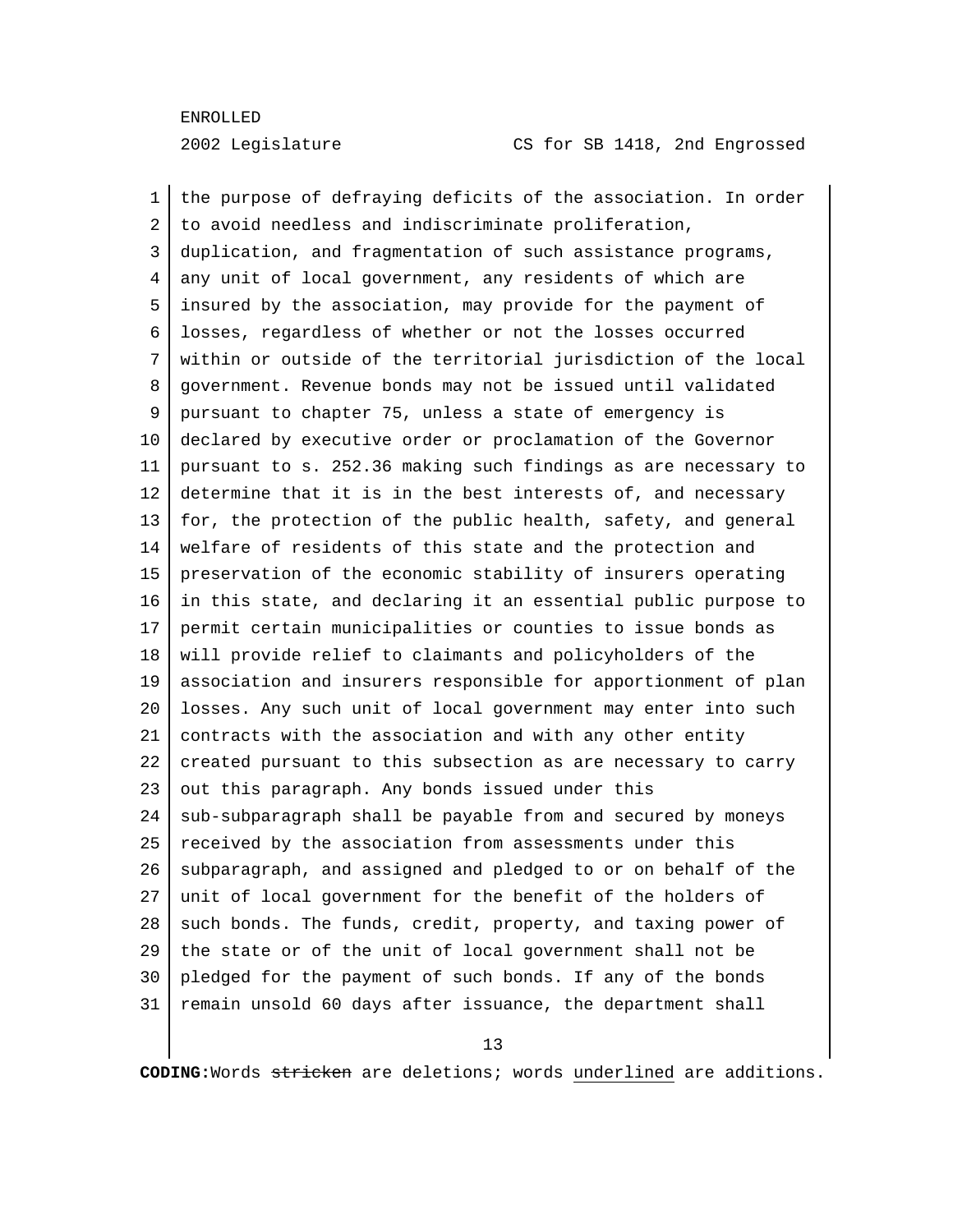1 the purpose of defraying deficits of the association. In order 2 to avoid needless and indiscriminate proliferation, 3 duplication, and fragmentation of such assistance programs, 4 any unit of local government, any residents of which are 5 insured by the association, may provide for the payment of 6 losses, regardless of whether or not the losses occurred 7 within or outside of the territorial jurisdiction of the local 8 government. Revenue bonds may not be issued until validated 9 pursuant to chapter 75, unless a state of emergency is 10 declared by executive order or proclamation of the Governor 11 pursuant to s. 252.36 making such findings as are necessary to 12 determine that it is in the best interests of, and necessary 13 for, the protection of the public health, safety, and general 14 welfare of residents of this state and the protection and 15 preservation of the economic stability of insurers operating 16 in this state, and declaring it an essential public purpose to 17 permit certain municipalities or counties to issue bonds as 18 will provide relief to claimants and policyholders of the 19 association and insurers responsible for apportionment of plan 20 losses. Any such unit of local government may enter into such 21 contracts with the association and with any other entity 22 created pursuant to this subsection as are necessary to carry 23 out this paragraph. Any bonds issued under this 24 sub-subparagraph shall be payable from and secured by moneys 25 received by the association from assessments under this 26 subparagraph, and assigned and pledged to or on behalf of the 27 unit of local government for the benefit of the holders of 28 such bonds. The funds, credit, property, and taxing power of 29 the state or of the unit of local government shall not be 30 pledged for the payment of such bonds. If any of the bonds 31 remain unsold 60 days after issuance, the department shall

13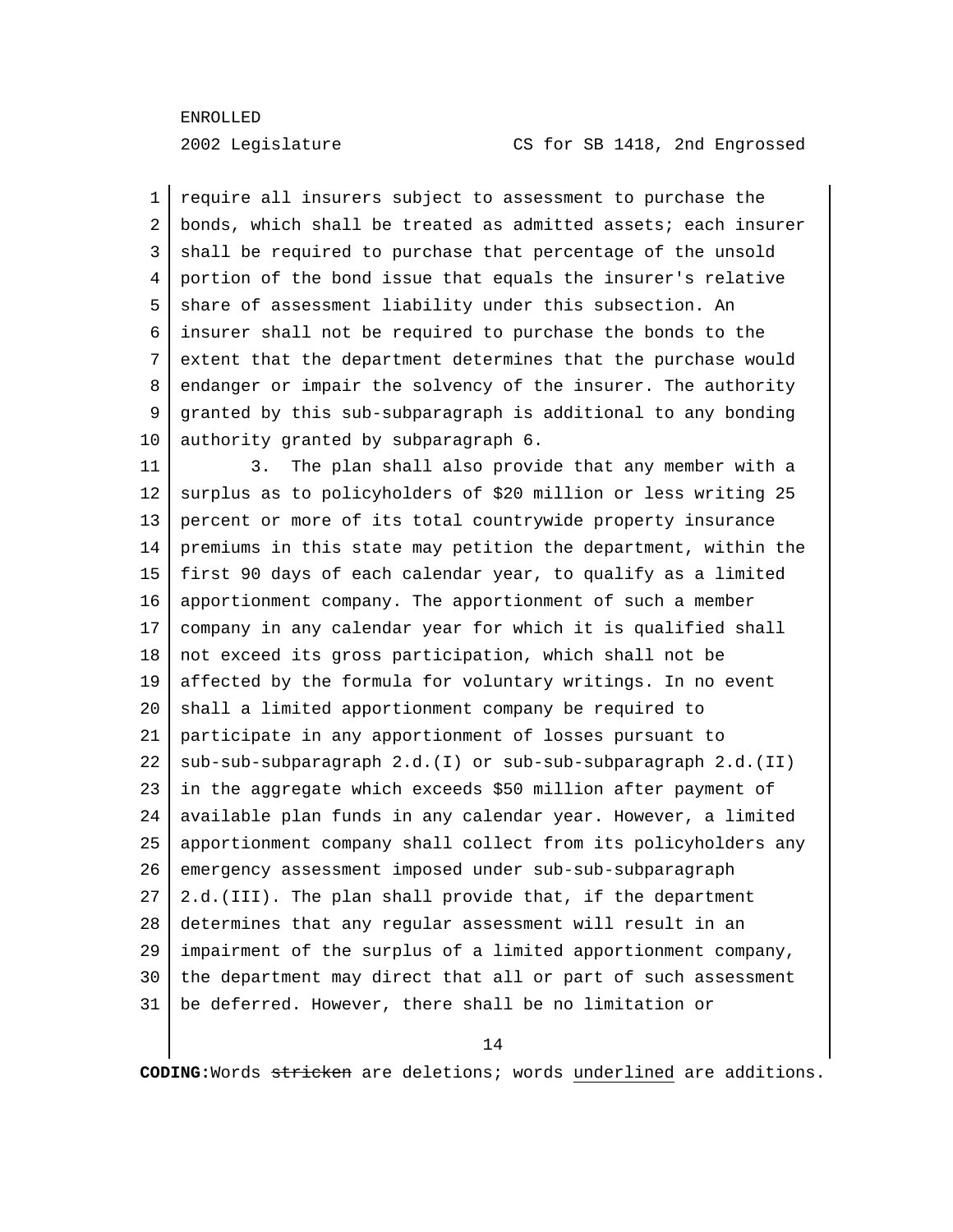### 2002 Legislature CS for SB 1418, 2nd Engrossed

 1 require all insurers subject to assessment to purchase the 2 bonds, which shall be treated as admitted assets; each insurer 3 shall be required to purchase that percentage of the unsold 4 portion of the bond issue that equals the insurer's relative 5 share of assessment liability under this subsection. An 6 insurer shall not be required to purchase the bonds to the 7 extent that the department determines that the purchase would 8 endanger or impair the solvency of the insurer. The authority 9 granted by this sub-subparagraph is additional to any bonding 10 authority granted by subparagraph 6.

11 3. The plan shall also provide that any member with a 12 surplus as to policyholders of \$20 million or less writing 25 13 percent or more of its total countrywide property insurance 14 premiums in this state may petition the department, within the 15 first 90 days of each calendar year, to qualify as a limited 16 apportionment company. The apportionment of such a member 17 company in any calendar year for which it is qualified shall 18 not exceed its gross participation, which shall not be 19 affected by the formula for voluntary writings. In no event 20 shall a limited apportionment company be required to 21 participate in any apportionment of losses pursuant to 22  $\vert$  sub-sub-subparagraph 2.d.(I) or sub-sub-subparagraph 2.d.(II) 23 in the aggregate which exceeds \$50 million after payment of 24 available plan funds in any calendar year. However, a limited 25 apportionment company shall collect from its policyholders any 26 emergency assessment imposed under sub-sub-subparagraph 27 2.d.(III). The plan shall provide that, if the department 28 determines that any regular assessment will result in an 29 impairment of the surplus of a limited apportionment company, 30 the department may direct that all or part of such assessment 31 be deferred. However, there shall be no limitation or

14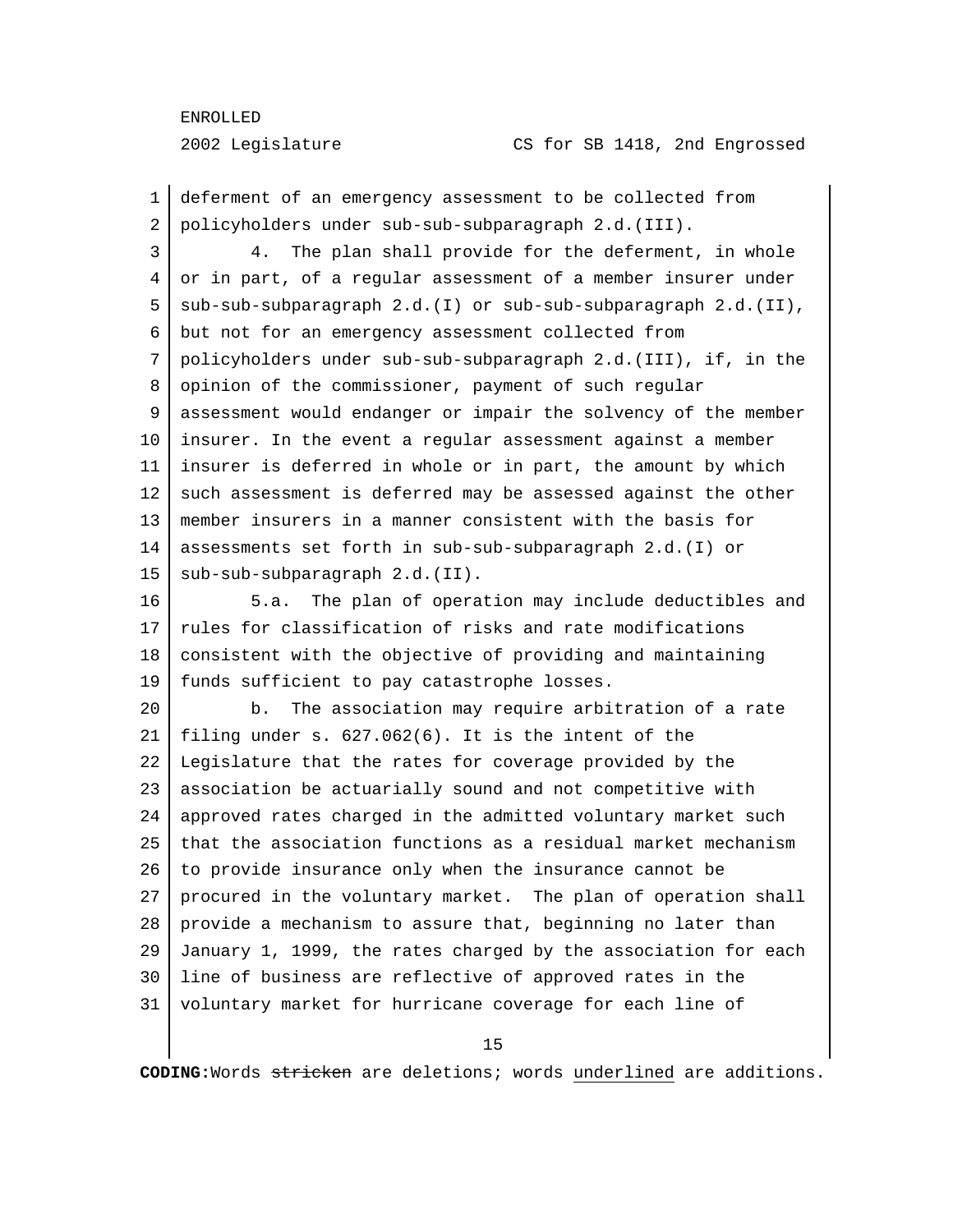### 2002 Legislature CS for SB 1418, 2nd Engrossed

 1 deferment of an emergency assessment to be collected from 2 policyholders under sub-sub-subparagraph 2.d.(III). 3 4. The plan shall provide for the deferment, in whole 4 or in part, of a regular assessment of a member insurer under 5 sub-sub-subparagraph 2.d.(I) or sub-sub-subparagraph 2.d.(II), 6 but not for an emergency assessment collected from 7 policyholders under sub-sub-subparagraph 2.d.(III), if, in the 8 opinion of the commissioner, payment of such regular 9 assessment would endanger or impair the solvency of the member 10 insurer. In the event a regular assessment against a member 11 insurer is deferred in whole or in part, the amount by which 12 such assessment is deferred may be assessed against the other 13 member insurers in a manner consistent with the basis for 14 assessments set forth in sub-sub-subparagraph 2.d.(I) or 15 sub-sub-subparagraph 2.d.(II). 16 5.a. The plan of operation may include deductibles and

17 rules for classification of risks and rate modifications 18 consistent with the objective of providing and maintaining 19 funds sufficient to pay catastrophe losses.

20 b. The association may require arbitration of a rate 21 filing under s. 627.062(6). It is the intent of the 22 Legislature that the rates for coverage provided by the 23 association be actuarially sound and not competitive with 24 approved rates charged in the admitted voluntary market such 25 that the association functions as a residual market mechanism 26 to provide insurance only when the insurance cannot be 27 procured in the voluntary market. The plan of operation shall 28 provide a mechanism to assure that, beginning no later than 29 January 1, 1999, the rates charged by the association for each 30 line of business are reflective of approved rates in the 31 voluntary market for hurricane coverage for each line of

15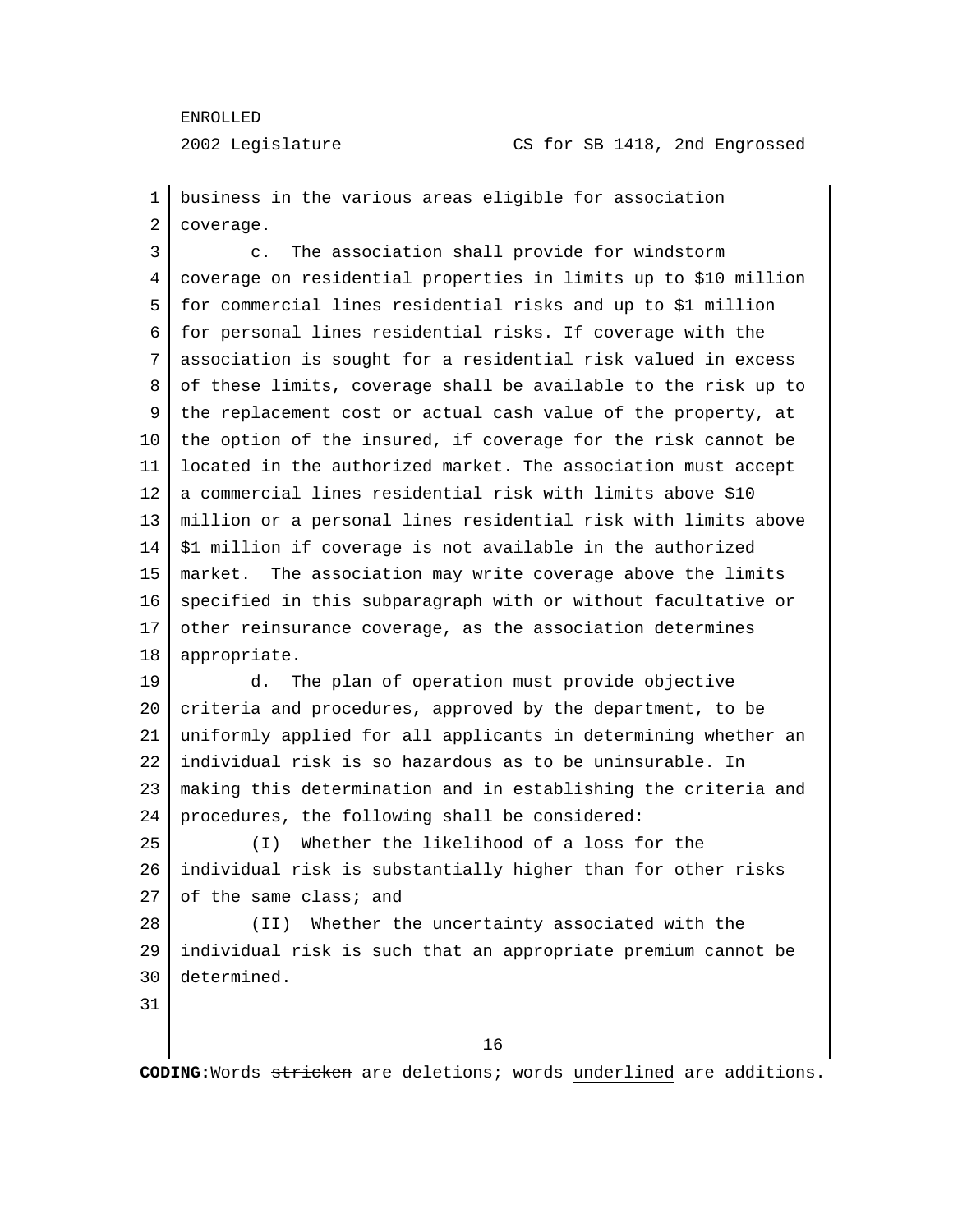### 2002 Legislature CS for SB 1418, 2nd Engrossed

 1 business in the various areas eligible for association 2 coverage.

 3 c. The association shall provide for windstorm 4 coverage on residential properties in limits up to \$10 million 5 for commercial lines residential risks and up to \$1 million 6 for personal lines residential risks. If coverage with the 7 association is sought for a residential risk valued in excess 8 of these limits, coverage shall be available to the risk up to 9 the replacement cost or actual cash value of the property, at 10 the option of the insured, if coverage for the risk cannot be 11 located in the authorized market. The association must accept 12 a commercial lines residential risk with limits above \$10 13 million or a personal lines residential risk with limits above 14 \$1 million if coverage is not available in the authorized 15 market. The association may write coverage above the limits 16 specified in this subparagraph with or without facultative or 17 other reinsurance coverage, as the association determines 18 appropriate.

19 d. The plan of operation must provide objective 20 criteria and procedures, approved by the department, to be 21 uniformly applied for all applicants in determining whether an 22 individual risk is so hazardous as to be uninsurable. In 23 making this determination and in establishing the criteria and 24 procedures, the following shall be considered:

25 (I) Whether the likelihood of a loss for the 26 individual risk is substantially higher than for other risks 27 of the same class; and

28 (II) Whether the uncertainty associated with the 29 individual risk is such that an appropriate premium cannot be 30 determined.

31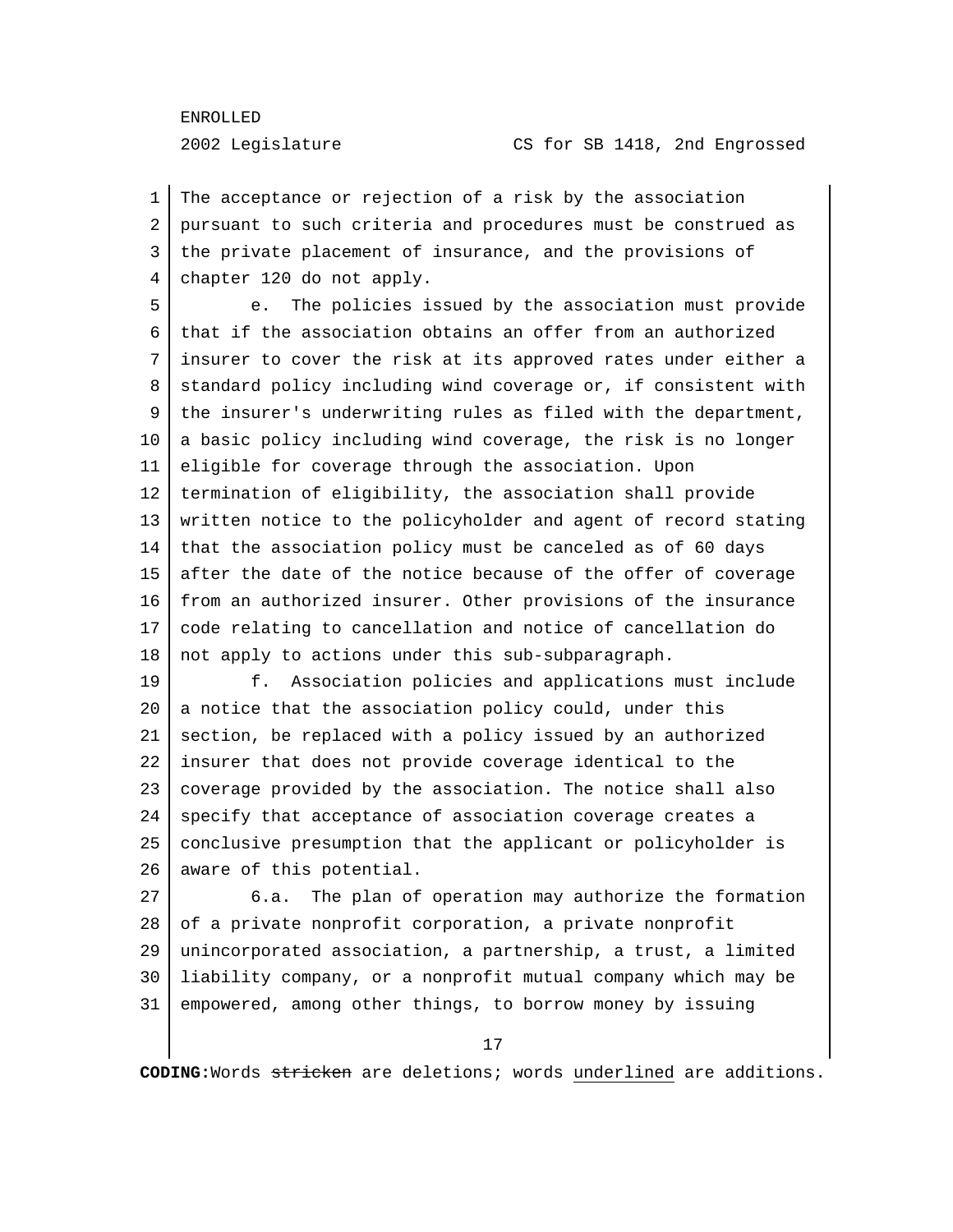### 2002 Legislature CS for SB 1418, 2nd Engrossed

 1 The acceptance or rejection of a risk by the association 2 pursuant to such criteria and procedures must be construed as 3 the private placement of insurance, and the provisions of 4 chapter 120 do not apply.

 5 e. The policies issued by the association must provide 6 that if the association obtains an offer from an authorized 7 insurer to cover the risk at its approved rates under either a 8 | standard policy including wind coverage or, if consistent with 9 the insurer's underwriting rules as filed with the department, 10 a basic policy including wind coverage, the risk is no longer 11 eligible for coverage through the association. Upon 12 termination of eligibility, the association shall provide 13 written notice to the policyholder and agent of record stating 14 that the association policy must be canceled as of 60 days 15 after the date of the notice because of the offer of coverage 16 from an authorized insurer. Other provisions of the insurance 17 code relating to cancellation and notice of cancellation do 18 not apply to actions under this sub-subparagraph.

19 f. Association policies and applications must include 20 a notice that the association policy could, under this 21 section, be replaced with a policy issued by an authorized 22 insurer that does not provide coverage identical to the 23 coverage provided by the association. The notice shall also 24 specify that acceptance of association coverage creates a 25 conclusive presumption that the applicant or policyholder is 26 aware of this potential.

27 6.a. The plan of operation may authorize the formation 28 of a private nonprofit corporation, a private nonprofit 29 unincorporated association, a partnership, a trust, a limited 30 liability company, or a nonprofit mutual company which may be 31 empowered, among other things, to borrow money by issuing

17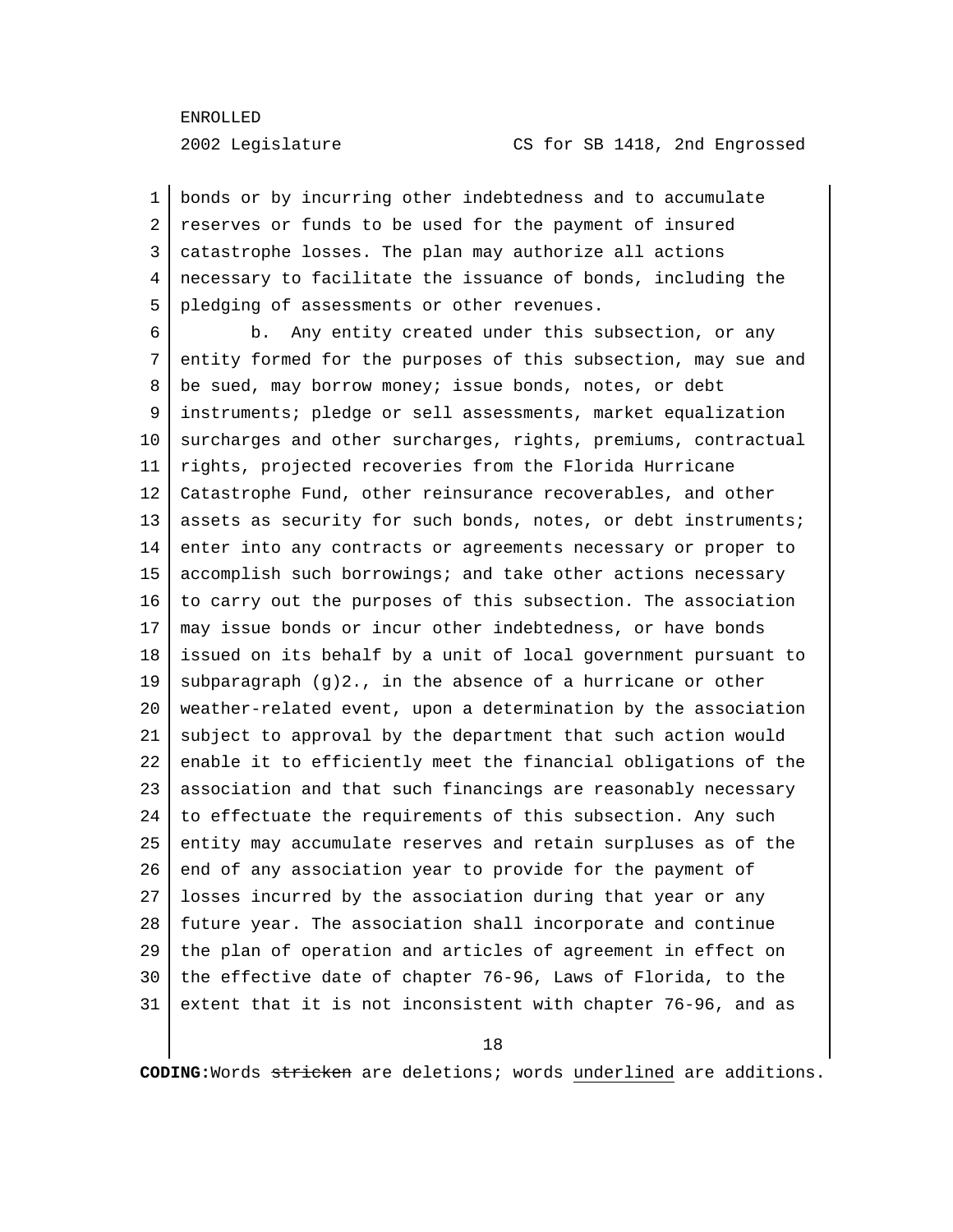### 2002 Legislature CS for SB 1418, 2nd Engrossed

 1 bonds or by incurring other indebtedness and to accumulate 2 reserves or funds to be used for the payment of insured 3 catastrophe losses. The plan may authorize all actions 4 necessary to facilitate the issuance of bonds, including the 5 pledging of assessments or other revenues.

 6 b. Any entity created under this subsection, or any 7 entity formed for the purposes of this subsection, may sue and 8 be sued, may borrow money; issue bonds, notes, or debt 9 instruments; pledge or sell assessments, market equalization 10 surcharges and other surcharges, rights, premiums, contractual 11 rights, projected recoveries from the Florida Hurricane 12 Catastrophe Fund, other reinsurance recoverables, and other 13 assets as security for such bonds, notes, or debt instruments; 14 enter into any contracts or agreements necessary or proper to 15 accomplish such borrowings; and take other actions necessary 16 to carry out the purposes of this subsection. The association 17 may issue bonds or incur other indebtedness, or have bonds 18 issued on its behalf by a unit of local government pursuant to 19 subparagraph  $(g)2.$ , in the absence of a hurricane or other 20 weather-related event, upon a determination by the association 21 subject to approval by the department that such action would 22 enable it to efficiently meet the financial obligations of the 23 association and that such financings are reasonably necessary 24 to effectuate the requirements of this subsection. Any such 25 entity may accumulate reserves and retain surpluses as of the 26 end of any association year to provide for the payment of 27 losses incurred by the association during that year or any 28 future year. The association shall incorporate and continue 29 the plan of operation and articles of agreement in effect on 30 the effective date of chapter 76-96, Laws of Florida, to the 31 extent that it is not inconsistent with chapter 76-96, and as

18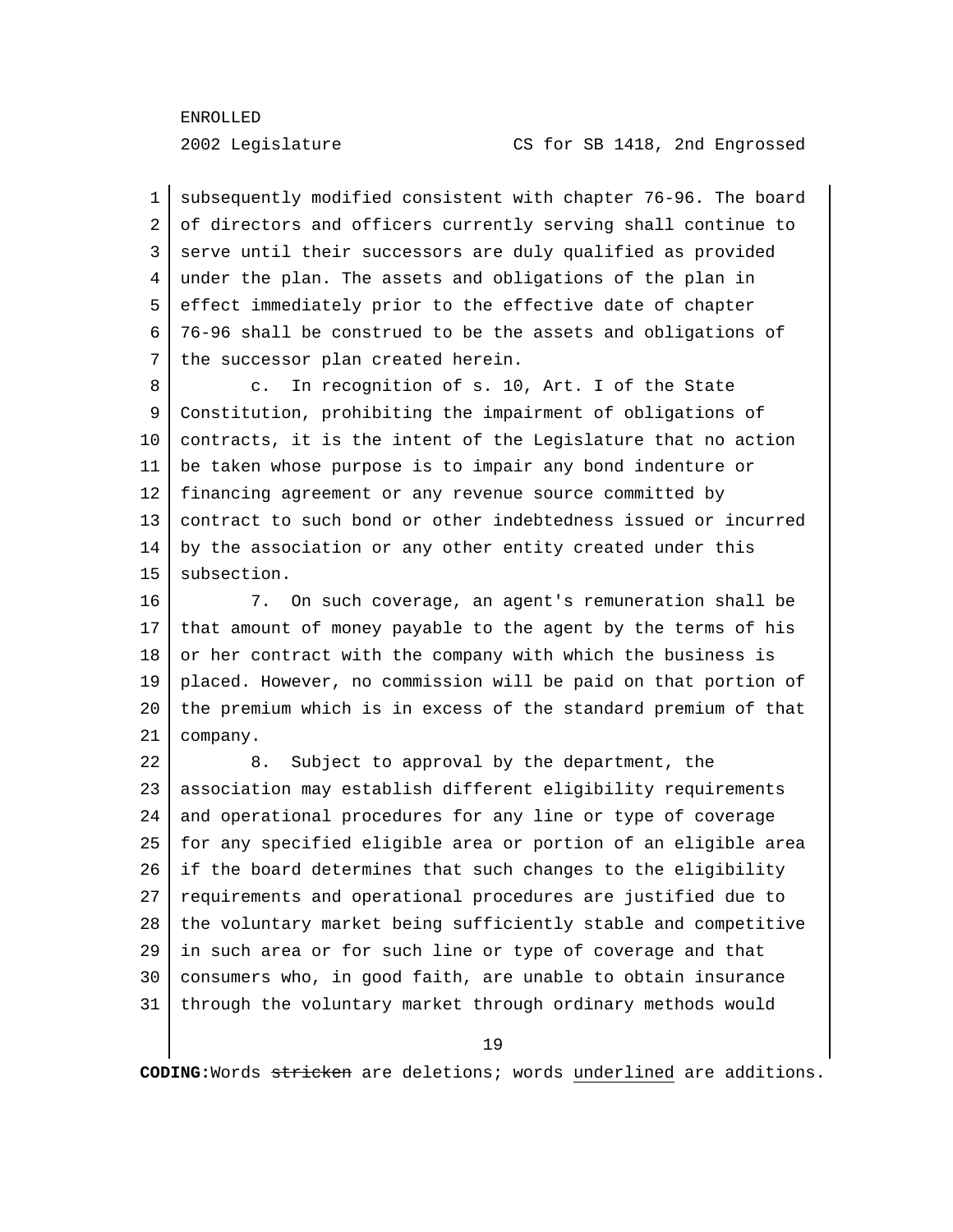### 2002 Legislature CS for SB 1418, 2nd Engrossed

 1 subsequently modified consistent with chapter 76-96. The board 2 of directors and officers currently serving shall continue to 3 serve until their successors are duly qualified as provided 4 under the plan. The assets and obligations of the plan in 5 effect immediately prior to the effective date of chapter 6 76-96 shall be construed to be the assets and obligations of 7 the successor plan created herein.

8 c. In recognition of s. 10, Art. I of the State 9 Constitution, prohibiting the impairment of obligations of 10 contracts, it is the intent of the Legislature that no action 11 be taken whose purpose is to impair any bond indenture or 12 financing agreement or any revenue source committed by 13 contract to such bond or other indebtedness issued or incurred 14 by the association or any other entity created under this 15 subsection.

16 7. On such coverage, an agent's remuneration shall be 17 that amount of money payable to the agent by the terms of his 18 or her contract with the company with which the business is 19 placed. However, no commission will be paid on that portion of 20 the premium which is in excess of the standard premium of that 21 company.

22 8. Subject to approval by the department, the 23 association may establish different eligibility requirements 24 and operational procedures for any line or type of coverage 25 for any specified eligible area or portion of an eligible area 26 if the board determines that such changes to the eligibility 27 requirements and operational procedures are justified due to 28 the voluntary market being sufficiently stable and competitive 29 in such area or for such line or type of coverage and that 30 consumers who, in good faith, are unable to obtain insurance 31 through the voluntary market through ordinary methods would

19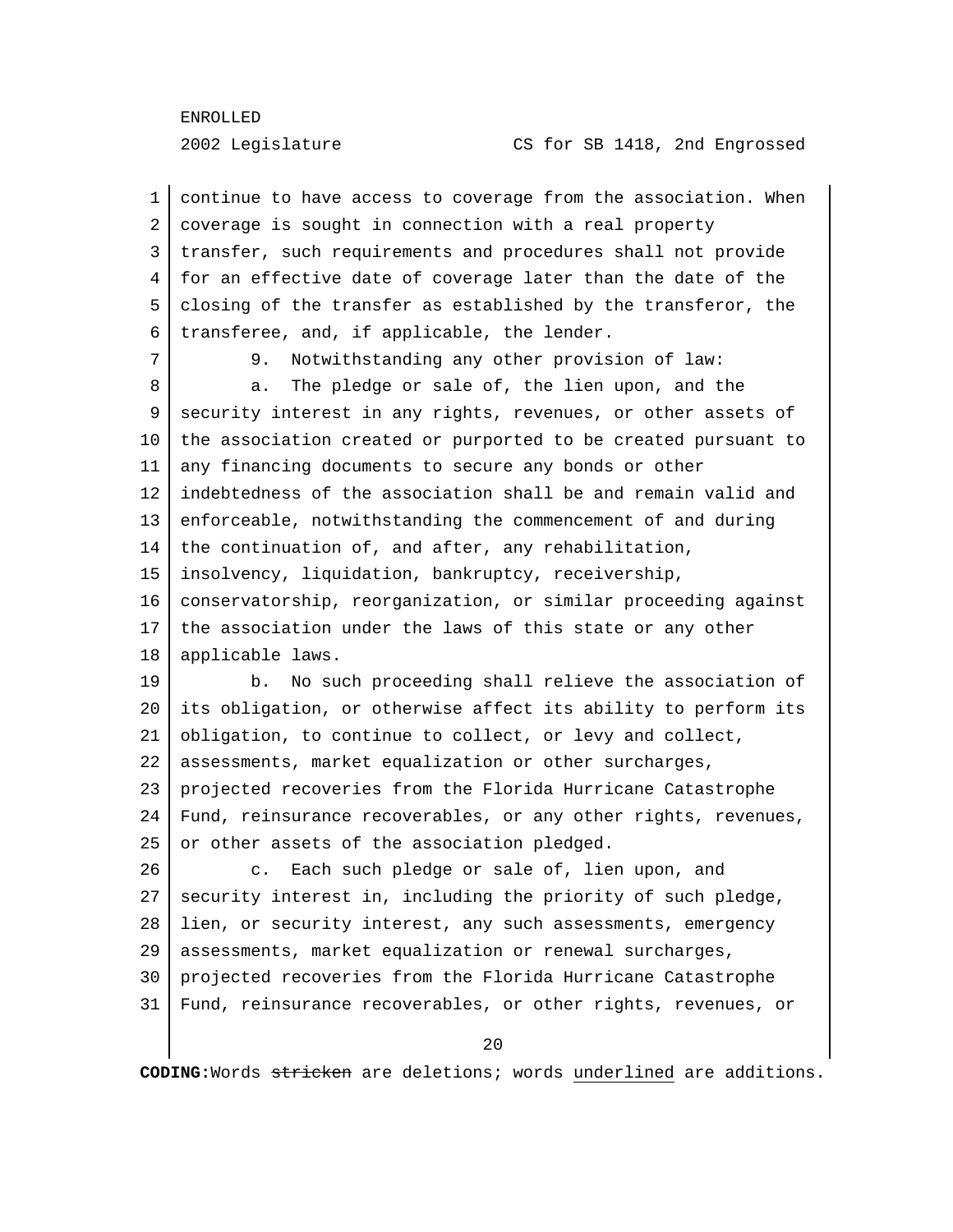### 2002 Legislature CS for SB 1418, 2nd Engrossed

 1 continue to have access to coverage from the association. When 2 coverage is sought in connection with a real property 3 transfer, such requirements and procedures shall not provide 4 for an effective date of coverage later than the date of the 5 closing of the transfer as established by the transferor, the 6 transferee, and, if applicable, the lender. 7 9. Notwithstanding any other provision of law: 8 a. The pledge or sale of, the lien upon, and the 9 security interest in any rights, revenues, or other assets of 10 the association created or purported to be created pursuant to 11 any financing documents to secure any bonds or other 12 indebtedness of the association shall be and remain valid and 13 enforceable, notwithstanding the commencement of and during 14 the continuation of, and after, any rehabilitation, 15 insolvency, liquidation, bankruptcy, receivership, 16 conservatorship, reorganization, or similar proceeding against 17 the association under the laws of this state or any other 18 applicable laws. 19 b. No such proceeding shall relieve the association of 20 its obligation, or otherwise affect its ability to perform its 21 obligation, to continue to collect, or levy and collect, 22 assessments, market equalization or other surcharges, 23 projected recoveries from the Florida Hurricane Catastrophe 24 Fund, reinsurance recoverables, or any other rights, revenues, 25 or other assets of the association pledged. 26 c. Each such pledge or sale of, lien upon, and 27 security interest in, including the priority of such pledge, 28 lien, or security interest, any such assessments, emergency 29 assessments, market equalization or renewal surcharges, 30 projected recoveries from the Florida Hurricane Catastrophe 31 Fund, reinsurance recoverables, or other rights, revenues, or 20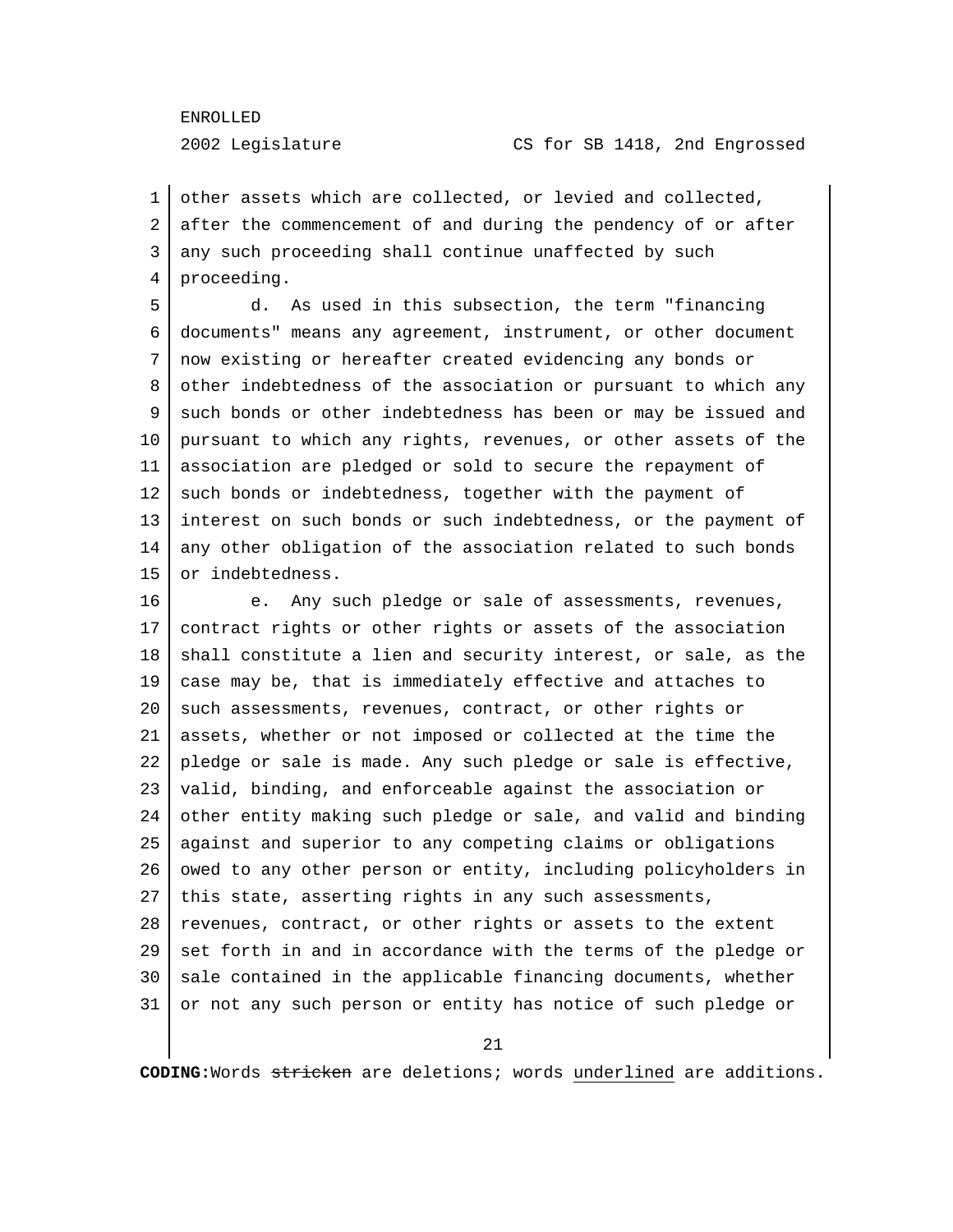### 2002 Legislature CS for SB 1418, 2nd Engrossed

1 other assets which are collected, or levied and collected, 2 after the commencement of and during the pendency of or after 3 any such proceeding shall continue unaffected by such 4 proceeding.

 5 d. As used in this subsection, the term "financing 6 documents" means any agreement, instrument, or other document 7 now existing or hereafter created evidencing any bonds or 8 other indebtedness of the association or pursuant to which any 9 such bonds or other indebtedness has been or may be issued and 10 pursuant to which any rights, revenues, or other assets of the 11 association are pledged or sold to secure the repayment of 12 such bonds or indebtedness, together with the payment of 13 interest on such bonds or such indebtedness, or the payment of 14 any other obligation of the association related to such bonds 15 or indebtedness.

16 e. Any such pledge or sale of assessments, revenues, 17 contract rights or other rights or assets of the association 18 shall constitute a lien and security interest, or sale, as the 19 case may be, that is immediately effective and attaches to 20 such assessments, revenues, contract, or other rights or 21 assets, whether or not imposed or collected at the time the 22 pledge or sale is made. Any such pledge or sale is effective, 23 valid, binding, and enforceable against the association or 24 other entity making such pledge or sale, and valid and binding 25 against and superior to any competing claims or obligations 26 owed to any other person or entity, including policyholders in 27 this state, asserting rights in any such assessments, 28 revenues, contract, or other rights or assets to the extent 29 set forth in and in accordance with the terms of the pledge or 30 sale contained in the applicable financing documents, whether 31 or not any such person or entity has notice of such pledge or

21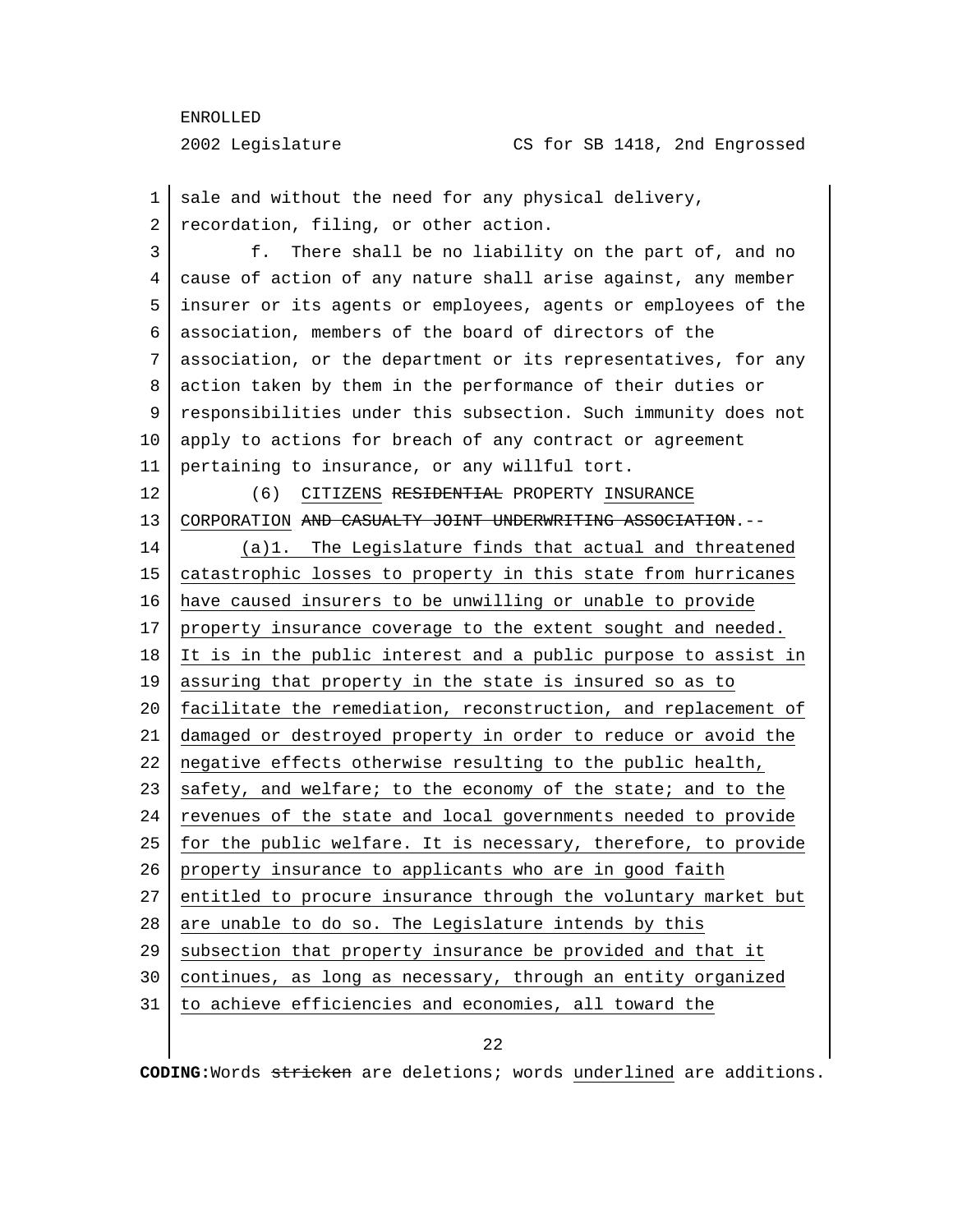### 2002 Legislature CS for SB 1418, 2nd Engrossed

1 sale and without the need for any physical delivery, 2 recordation, filing, or other action. 3 f. There shall be no liability on the part of, and no 4 cause of action of any nature shall arise against, any member 5 insurer or its agents or employees, agents or employees of the 6 association, members of the board of directors of the 7 association, or the department or its representatives, for any 8 action taken by them in the performance of their duties or 9 responsibilities under this subsection. Such immunity does not 10 apply to actions for breach of any contract or agreement 11 pertaining to insurance, or any willful tort. 12 (6) CITIZENS RESIDENTIAL PROPERTY INSURANCE 13 CORPORATION AND CASUALTY JOINT UNDERWRITING ASSOCIATION.-- 14 (a)1. The Legislature finds that actual and threatened 15 catastrophic losses to property in this state from hurricanes 16 have caused insurers to be unwilling or unable to provide 17 property insurance coverage to the extent sought and needed. 18 It is in the public interest and a public purpose to assist in 19 assuring that property in the state is insured so as to 20 facilitate the remediation, reconstruction, and replacement of 21 damaged or destroyed property in order to reduce or avoid the 22 negative effects otherwise resulting to the public health, 23 safety, and welfare; to the economy of the state; and to the 24 revenues of the state and local governments needed to provide 25 for the public welfare. It is necessary, therefore, to provide 26 property insurance to applicants who are in good faith 27 entitled to procure insurance through the voluntary market but 28 are unable to do so. The Legislature intends by this 29 subsection that property insurance be provided and that it 30 continues, as long as necessary, through an entity organized 31 to achieve efficiencies and economies, all toward the 22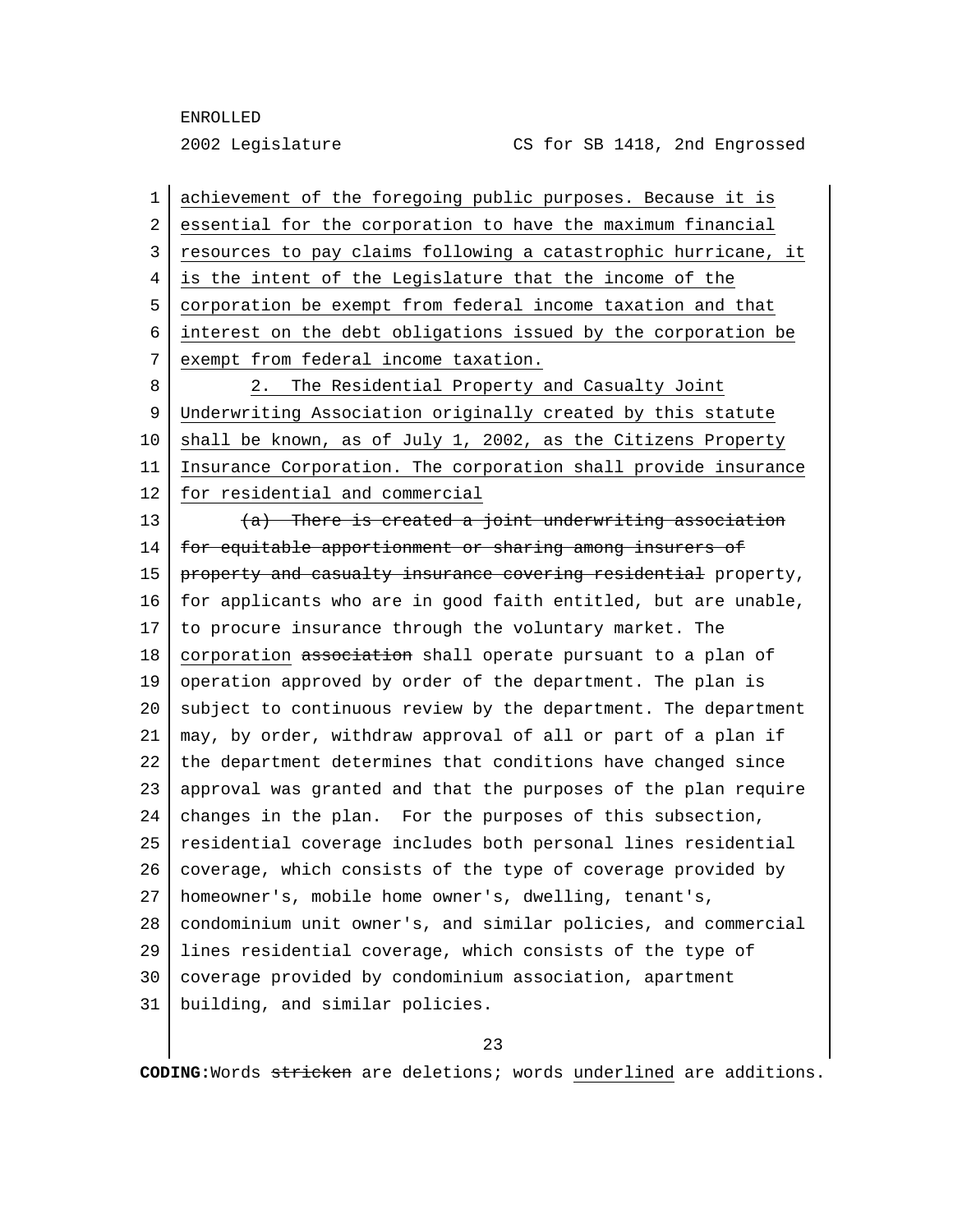### 2002 Legislature CS for SB 1418, 2nd Engrossed

 1 achievement of the foregoing public purposes. Because it is 2 essential for the corporation to have the maximum financial 3 resources to pay claims following a catastrophic hurricane, it 4 is the intent of the Legislature that the income of the 5 corporation be exempt from federal income taxation and that 6 interest on the debt obligations issued by the corporation be 7 exempt from federal income taxation. 8 2. The Residential Property and Casualty Joint 9 Underwriting Association originally created by this statute 10 shall be known, as of July 1, 2002, as the Citizens Property 11 Insurance Corporation. The corporation shall provide insurance 12 for residential and commercial 13  $(a)$  There is created a joint underwriting association 14 for equitable apportionment or sharing among insurers of 15 property and casualty insurance covering residential property, 16 for applicants who are in good faith entitled, but are unable, 17 to procure insurance through the voluntary market. The 18 corporation association shall operate pursuant to a plan of 19 operation approved by order of the department. The plan is 20 subject to continuous review by the department. The department 21 may, by order, withdraw approval of all or part of a plan if 22 the department determines that conditions have changed since 23 approval was granted and that the purposes of the plan require 24 changes in the plan. For the purposes of this subsection, 25 residential coverage includes both personal lines residential 26 coverage, which consists of the type of coverage provided by 27 homeowner's, mobile home owner's, dwelling, tenant's, 28 condominium unit owner's, and similar policies, and commercial 29 lines residential coverage, which consists of the type of 30 coverage provided by condominium association, apartment 31 building, and similar policies.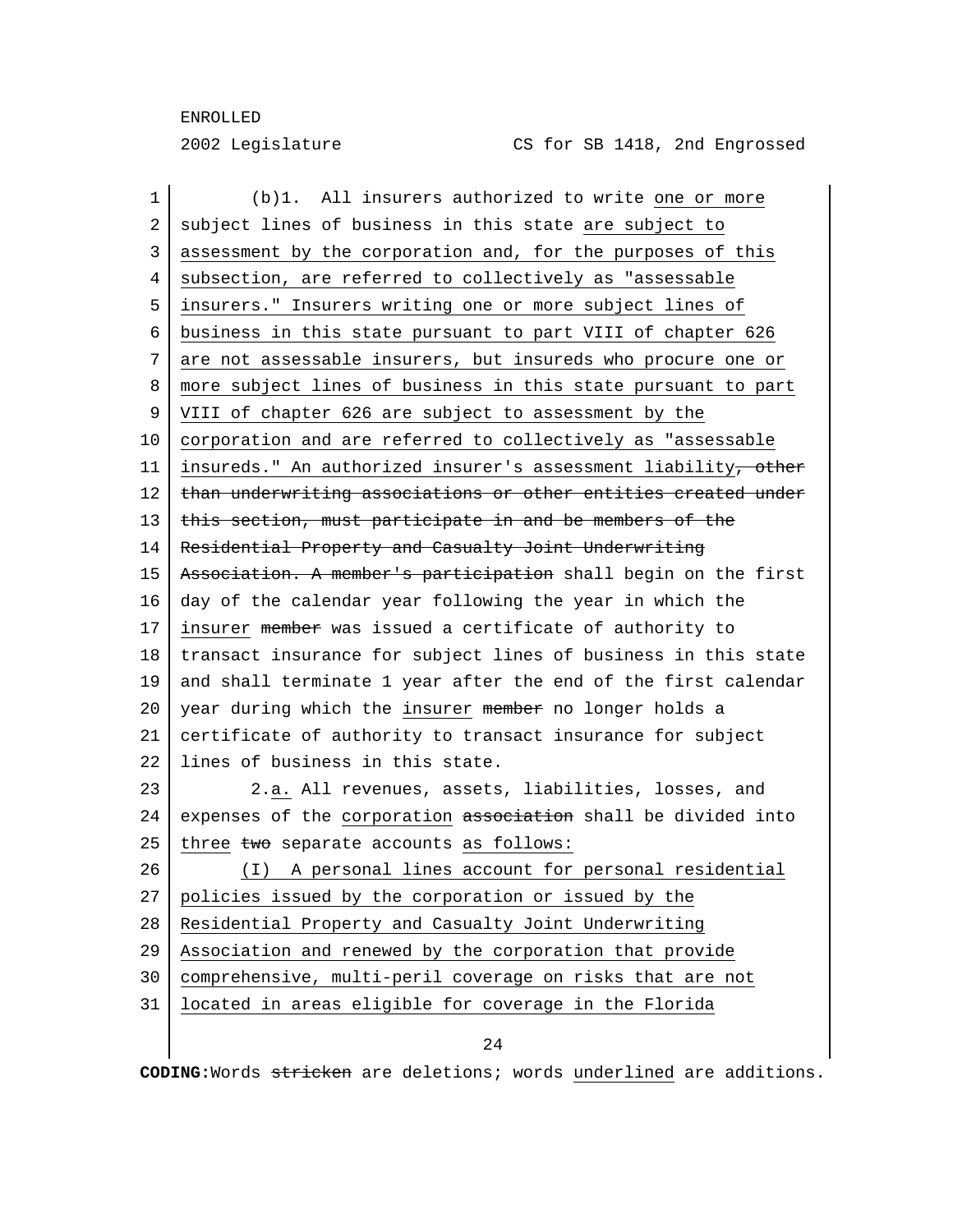### 2002 Legislature CS for SB 1418, 2nd Engrossed

 1 (b)1. All insurers authorized to write one or more 2 subject lines of business in this state are subject to 3 assessment by the corporation and, for the purposes of this 4 subsection, are referred to collectively as "assessable 5 insurers." Insurers writing one or more subject lines of 6 business in this state pursuant to part VIII of chapter 626 7 are not assessable insurers, but insureds who procure one or 8 more subject lines of business in this state pursuant to part 9 VIII of chapter 626 are subject to assessment by the 10 corporation and are referred to collectively as "assessable 11 insureds." An authorized insurer's assessment liability, other 12 than underwriting associations or other entities created under 13 this section, must participate in and be members of the 14 Residential Property and Casualty Joint Underwriting 15 | Association. A member's participation shall begin on the first 16 day of the calendar year following the year in which the 17 insurer member was issued a certificate of authority to 18 transact insurance for subject lines of business in this state 19 and shall terminate 1 year after the end of the first calendar 20 year during which the insurer member no longer holds a 21 certificate of authority to transact insurance for subject 22 lines of business in this state. 23 2.a. All revenues, assets, liabilities, losses, and 24 expenses of the corporation association shall be divided into 25 three two separate accounts as follows: 26 (I) A personal lines account for personal residential 27 policies issued by the corporation or issued by the 28 Residential Property and Casualty Joint Underwriting 29 Association and renewed by the corporation that provide 30 comprehensive, multi-peril coverage on risks that are not 31 located in areas eligible for coverage in the Florida 24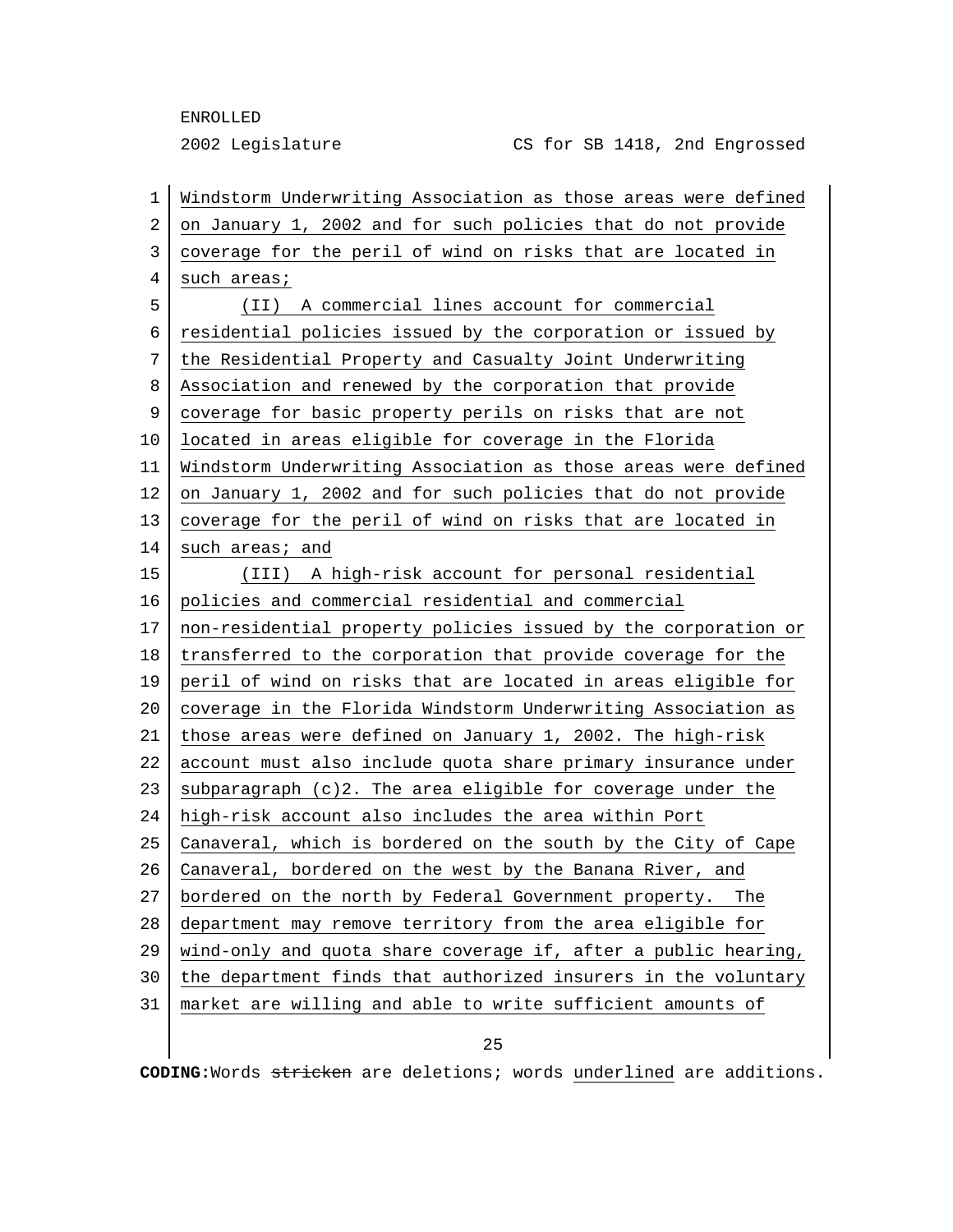1 Windstorm Underwriting Association as those areas were defined 2 on January 1, 2002 and for such policies that do not provide 3 coverage for the peril of wind on risks that are located in 4 such areas; 5 (II) A commercial lines account for commercial 6 residential policies issued by the corporation or issued by 7 the Residential Property and Casualty Joint Underwriting 8 Association and renewed by the corporation that provide 9 coverage for basic property perils on risks that are not 10 located in areas eligible for coverage in the Florida 11 Windstorm Underwriting Association as those areas were defined 12 on January 1, 2002 and for such policies that do not provide 13 coverage for the peril of wind on risks that are located in 14 such areas; and 15 (III) A high-risk account for personal residential 16 policies and commercial residential and commercial 17 non-residential property policies issued by the corporation or 18 transferred to the corporation that provide coverage for the 19 peril of wind on risks that are located in areas eligible for 20 coverage in the Florida Windstorm Underwriting Association as 21 those areas were defined on January 1, 2002. The high-risk 22 account must also include quota share primary insurance under 23 subparagraph  $(c)$ 2. The area eligible for coverage under the 24 high-risk account also includes the area within Port 25 Canaveral, which is bordered on the south by the City of Cape 26 Canaveral, bordered on the west by the Banana River, and 27 bordered on the north by Federal Government property. The 28 department may remove territory from the area eligible for 29 wind-only and quota share coverage if, after a public hearing, 30 the department finds that authorized insurers in the voluntary 31 market are willing and able to write sufficient amounts of <u>25</u>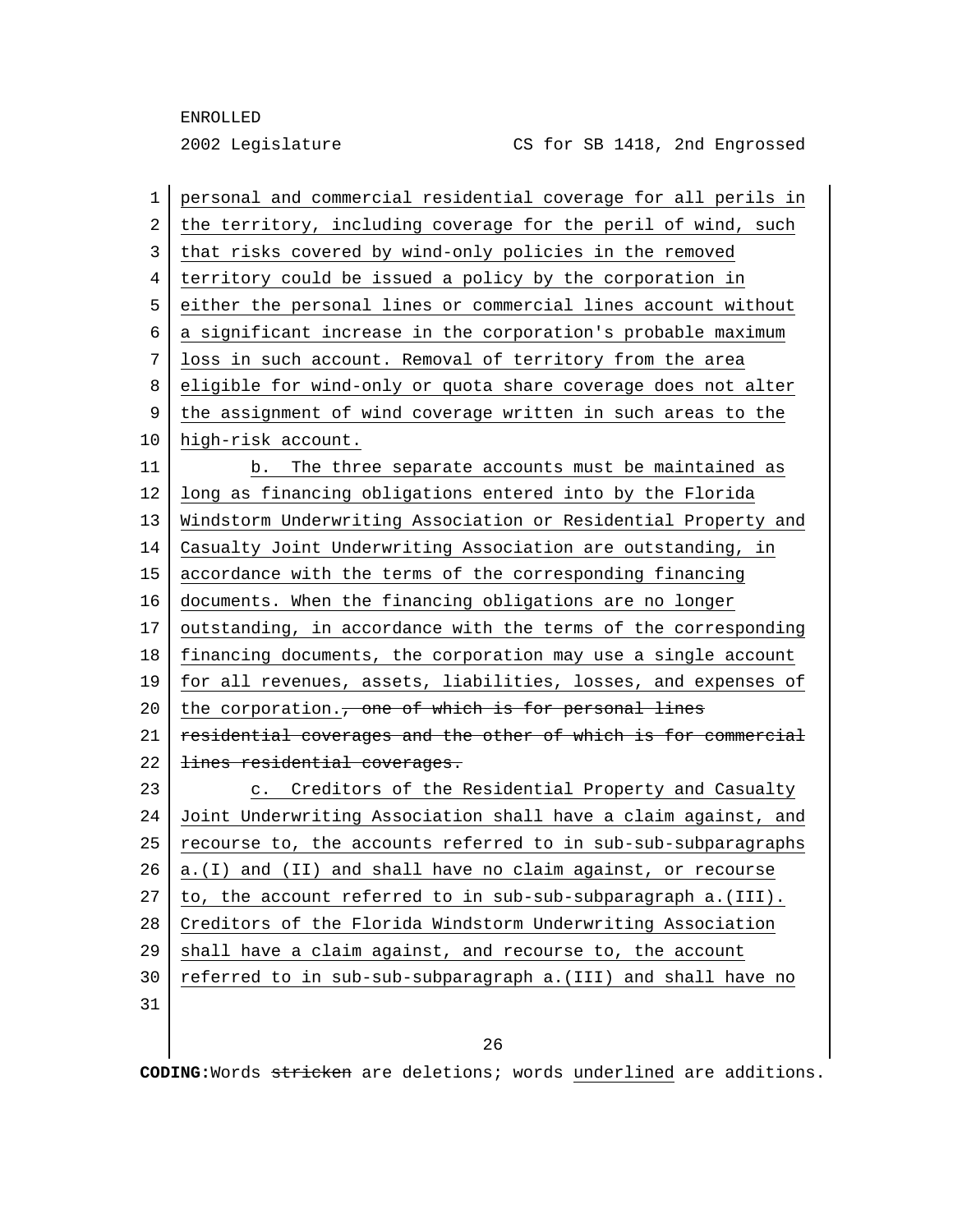### 2002 Legislature CS for SB 1418, 2nd Engrossed

 1 personal and commercial residential coverage for all perils in 2 the territory, including coverage for the peril of wind, such 3 that risks covered by wind-only policies in the removed 4 territory could be issued a policy by the corporation in 5 either the personal lines or commercial lines account without 6 a significant increase in the corporation's probable maximum 7 loss in such account. Removal of territory from the area 8 eligible for wind-only or quota share coverage does not alter 9 the assignment of wind coverage written in such areas to the 10 high-risk account. 11 b. The three separate accounts must be maintained as 12 long as financing obligations entered into by the Florida 13 Windstorm Underwriting Association or Residential Property and 14 Casualty Joint Underwriting Association are outstanding, in 15 accordance with the terms of the corresponding financing 16 documents. When the financing obligations are no longer 17 outstanding, in accordance with the terms of the corresponding 18 financing documents, the corporation may use a single account 19 for all revenues, assets, liabilities, losses, and expenses of 20 the corporation., one of which is for personal lines 21 | residential coverages and the other of which is for commercial 22 | <del>lines residential coverages.</del> 23 c. Creditors of the Residential Property and Casualty 24 Joint Underwriting Association shall have a claim against, and 25 recourse to, the accounts referred to in sub-sub-subparagraphs  $26$  a.(I) and (II) and shall have no claim against, or recourse 27 to, the account referred to in sub-sub-subparagraph a.(III). 28 Creditors of the Florida Windstorm Underwriting Association 29 shall have a claim against, and recourse to, the account 30 referred to in sub-sub-subparagraph a.(III) and shall have no 31 26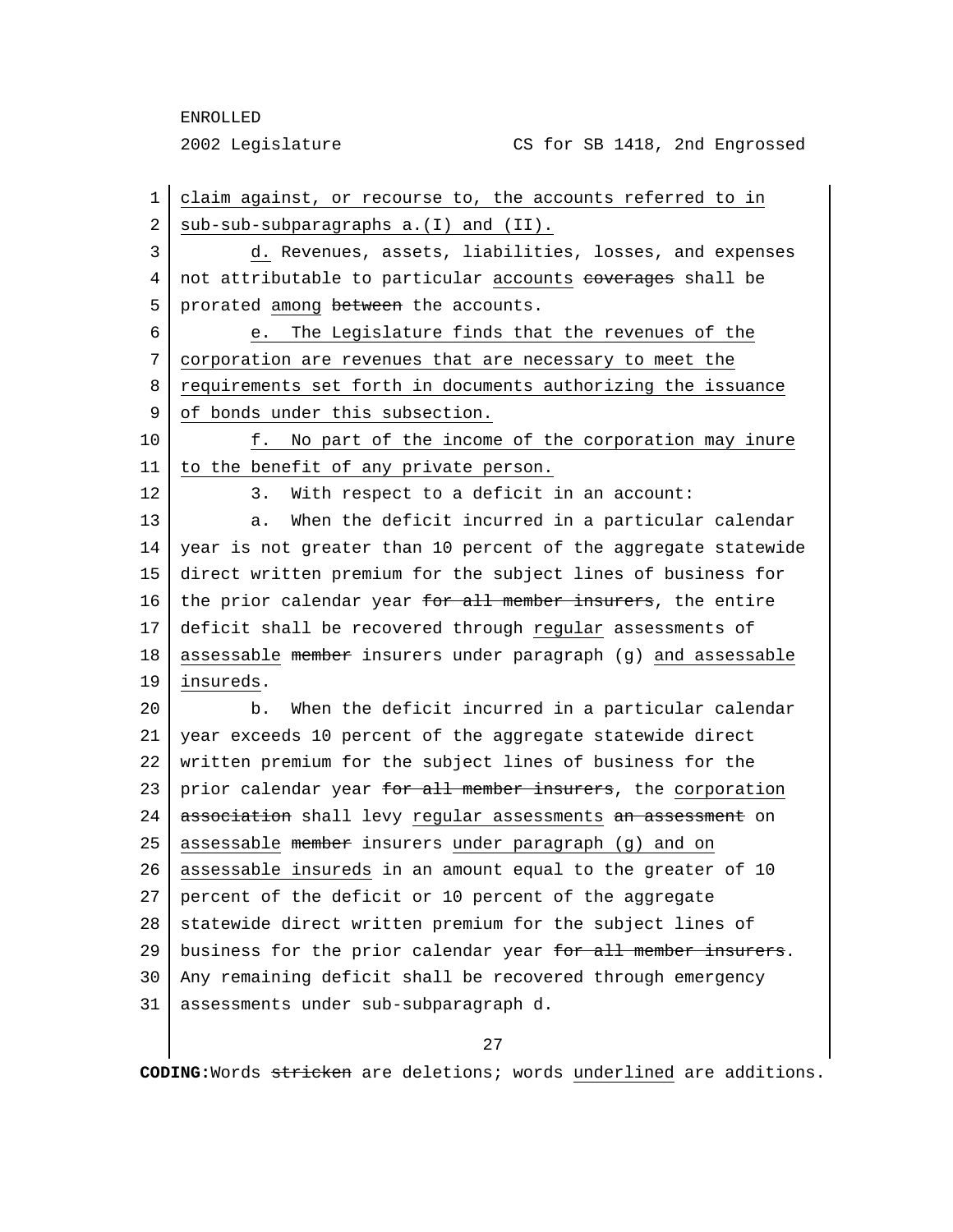1 claim against, or recourse to, the accounts referred to in 2 sub-sub-subparagraphs a.(I) and (II). 3 d. Revenues, assets, liabilities, losses, and expenses 4 | not attributable to particular accounts coverages shall be 5 prorated among between the accounts. 6 e. The Legislature finds that the revenues of the 7 corporation are revenues that are necessary to meet the 8 requirements set forth in documents authorizing the issuance 9 of bonds under this subsection. 10 f. No part of the income of the corporation may inure 11 to the benefit of any private person. 12 3. With respect to a deficit in an account: 13 a. When the deficit incurred in a particular calendar 14 year is not greater than 10 percent of the aggregate statewide 15 direct written premium for the subject lines of business for 16 the prior calendar year for all member insurers, the entire 17 deficit shall be recovered through regular assessments of 18 assessable member insurers under paragraph (g) and assessable 19 insureds. 20 b. When the deficit incurred in a particular calendar 21 year exceeds 10 percent of the aggregate statewide direct 22 written premium for the subject lines of business for the 23 prior calendar year for all member insurers, the corporation 24 association shall levy regular assessments an assessment on 25 assessable member insurers under paragraph (g) and on 26 assessable insureds in an amount equal to the greater of 10 27 percent of the deficit or 10 percent of the aggregate 28 statewide direct written premium for the subject lines of 29 business for the prior calendar year for all member insurers. 30 Any remaining deficit shall be recovered through emergency 31 assessments under sub-subparagraph d.

27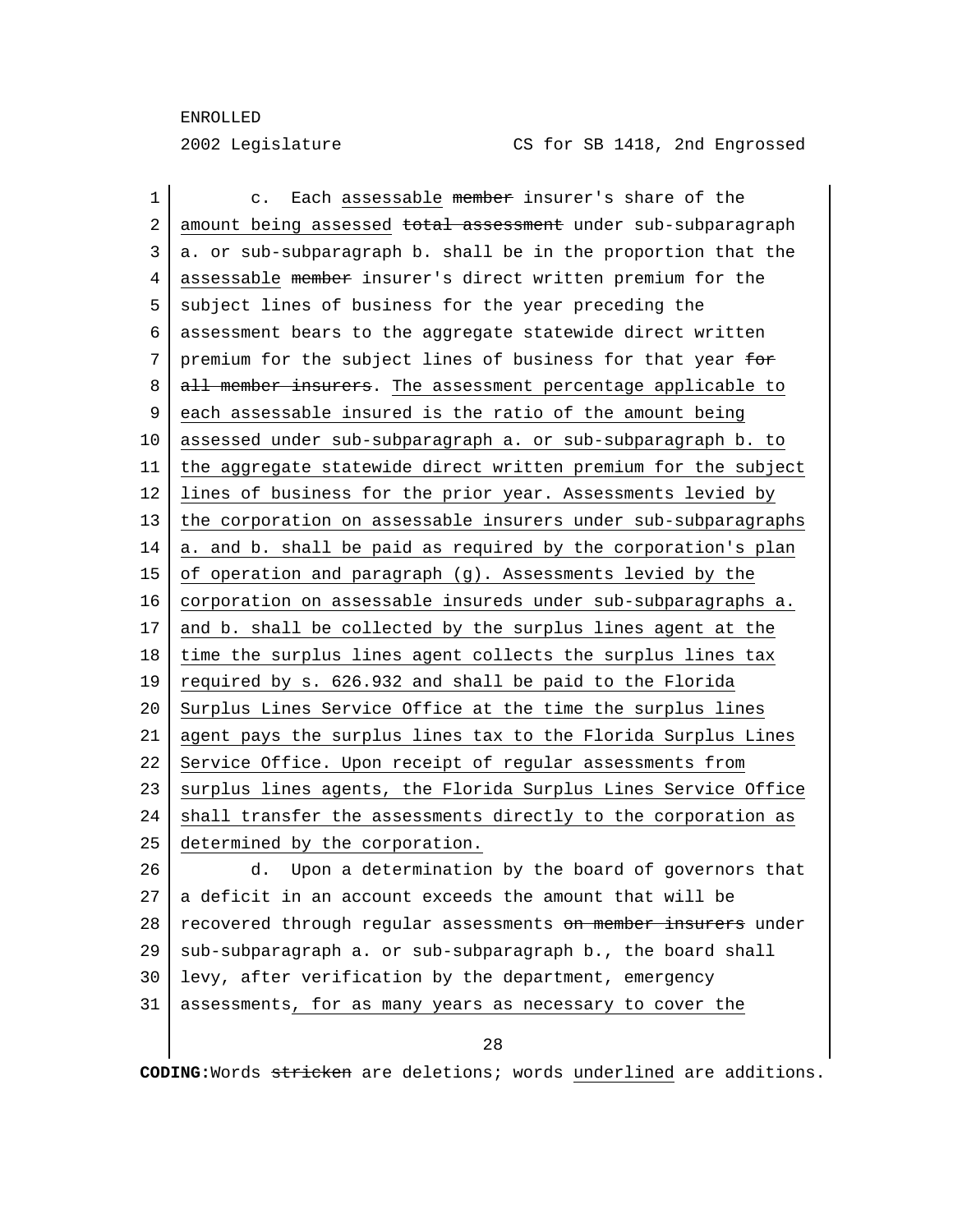### 2002 Legislature CS for SB 1418, 2nd Engrossed

1 c. Each assessable member insurer's share of the 2 amount being assessed total assessment under sub-subparagraph 3 a. or sub-subparagraph b. shall be in the proportion that the 4 assessable member insurer's direct written premium for the 5 subject lines of business for the year preceding the 6 assessment bears to the aggregate statewide direct written 7 premium for the subject lines of business for that year for 8 all member insurers. The assessment percentage applicable to 9 each assessable insured is the ratio of the amount being 10 assessed under sub-subparagraph a. or sub-subparagraph b. to 11 the aggregate statewide direct written premium for the subject 12 lines of business for the prior year. Assessments levied by 13 the corporation on assessable insurers under sub-subparagraphs  $14$  a. and b. shall be paid as required by the corporation's plan 15 of operation and paragraph (g). Assessments levied by the 16 corporation on assessable insureds under sub-subparagraphs a. 17 and b. shall be collected by the surplus lines agent at the 18 time the surplus lines agent collects the surplus lines tax 19 required by s. 626.932 and shall be paid to the Florida 20 Surplus Lines Service Office at the time the surplus lines 21 agent pays the surplus lines tax to the Florida Surplus Lines 22 Service Office. Upon receipt of regular assessments from 23 surplus lines agents, the Florida Surplus Lines Service Office 24 shall transfer the assessments directly to the corporation as 25 determined by the corporation. 26 d. Upon a determination by the board of governors that 27 a deficit in an account exceeds the amount that will be 28 recovered through regular assessments on member insurers under 29 sub-subparagraph a. or sub-subparagraph b., the board shall 30 levy, after verification by the department, emergency 31 assessments, for as many years as necessary to cover the 28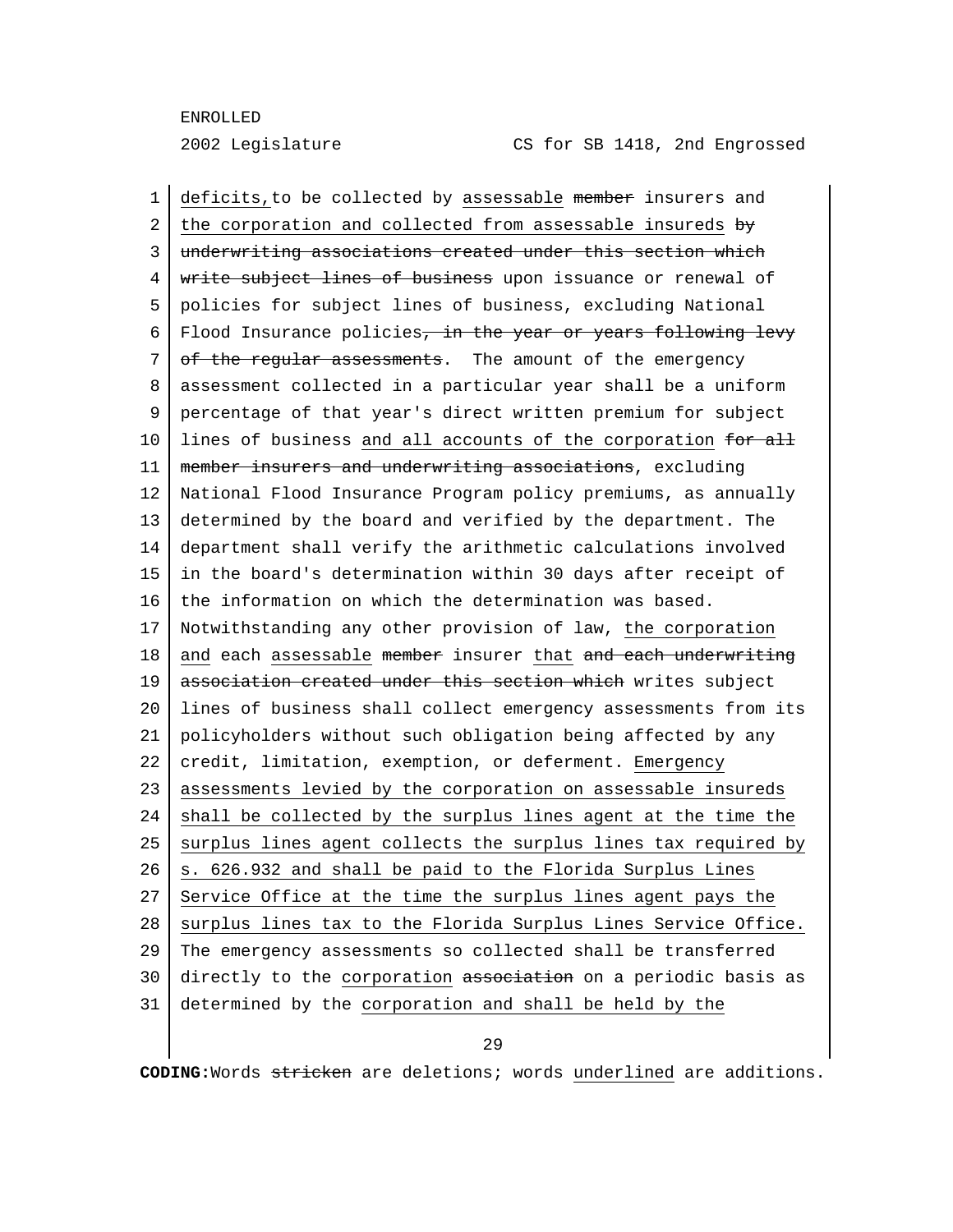### 2002 Legislature CS for SB 1418, 2nd Engrossed

1 deficits, to be collected by assessable member insurers and 2 the corporation and collected from assessable insureds by 3 underwriting associations created under this section which 4 write subject lines of business upon issuance or renewal of 5 policies for subject lines of business, excluding National 6 Flood Insurance policies, in the year or years following levy 7 of the regular assessments. The amount of the emergency 8 assessment collected in a particular year shall be a uniform 9 percentage of that year's direct written premium for subject 10 lines of business and all accounts of the corporation for all 11 | member insurers and underwriting associations, excluding 12 National Flood Insurance Program policy premiums, as annually 13 determined by the board and verified by the department. The 14 department shall verify the arithmetic calculations involved 15 in the board's determination within 30 days after receipt of 16 the information on which the determination was based. 17 Notwithstanding any other provision of law, the corporation 18 and each assessable member insurer that and each underwriting 19 association created under this section which writes subject 20 lines of business shall collect emergency assessments from its 21 policyholders without such obligation being affected by any 22 credit, limitation, exemption, or deferment. Emergency 23 assessments levied by the corporation on assessable insureds 24 shall be collected by the surplus lines agent at the time the 25 surplus lines agent collects the surplus lines tax required by  $26$  s. 626.932 and shall be paid to the Florida Surplus Lines 27 Service Office at the time the surplus lines agent pays the 28 surplus lines tax to the Florida Surplus Lines Service Office. 29 The emergency assessments so collected shall be transferred 30 directly to the corporation association on a periodic basis as 31 determined by the corporation and shall be held by the 29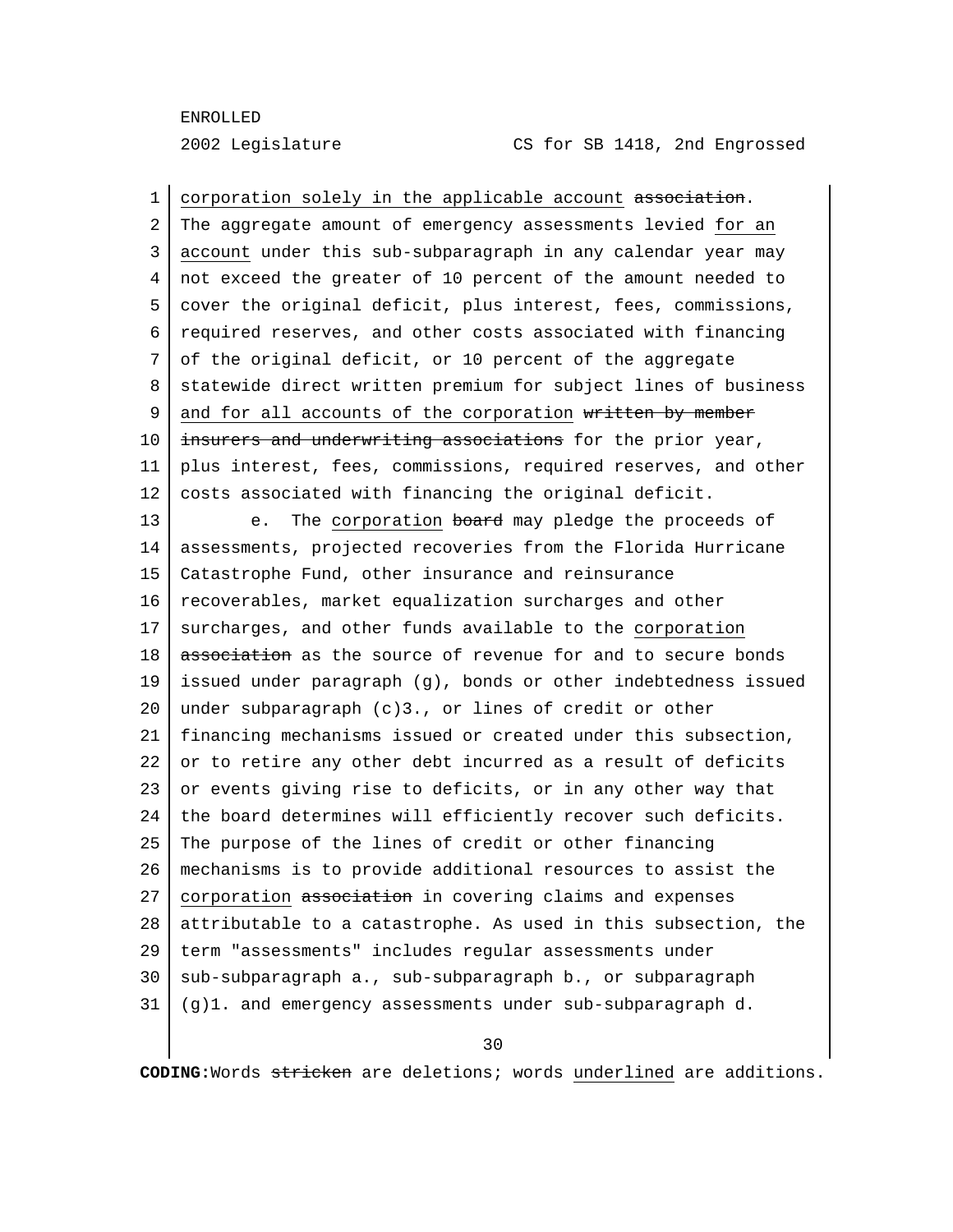1 corporation solely in the applicable account association. 2 The aggregate amount of emergency assessments levied for an 3 account under this sub-subparagraph in any calendar year may 4 not exceed the greater of 10 percent of the amount needed to 5 cover the original deficit, plus interest, fees, commissions, 6 required reserves, and other costs associated with financing 7 of the original deficit, or 10 percent of the aggregate 8 statewide direct written premium for subject lines of business 9 and for all accounts of the corporation written by member 10 insurers and underwriting associations for the prior year, 11 plus interest, fees, commissions, required reserves, and other 12 costs associated with financing the original deficit. 13 e. The corporation board may pledge the proceeds of 14 assessments, projected recoveries from the Florida Hurricane 15 Catastrophe Fund, other insurance and reinsurance 16 recoverables, market equalization surcharges and other 17 surcharges, and other funds available to the corporation 18 **association** as the source of revenue for and to secure bonds 19 issued under paragraph (g), bonds or other indebtedness issued 20 under subparagraph (c)3., or lines of credit or other 21 financing mechanisms issued or created under this subsection, 22 or to retire any other debt incurred as a result of deficits 23 or events giving rise to deficits, or in any other way that 24 the board determines will efficiently recover such deficits. 25 The purpose of the lines of credit or other financing 26 mechanisms is to provide additional resources to assist the 27 corporation association in covering claims and expenses 28 attributable to a catastrophe. As used in this subsection, the 29 term "assessments" includes regular assessments under 30 sub-subparagraph a., sub-subparagraph b., or subparagraph 31 (g)1. and emergency assessments under sub-subparagraph d.

30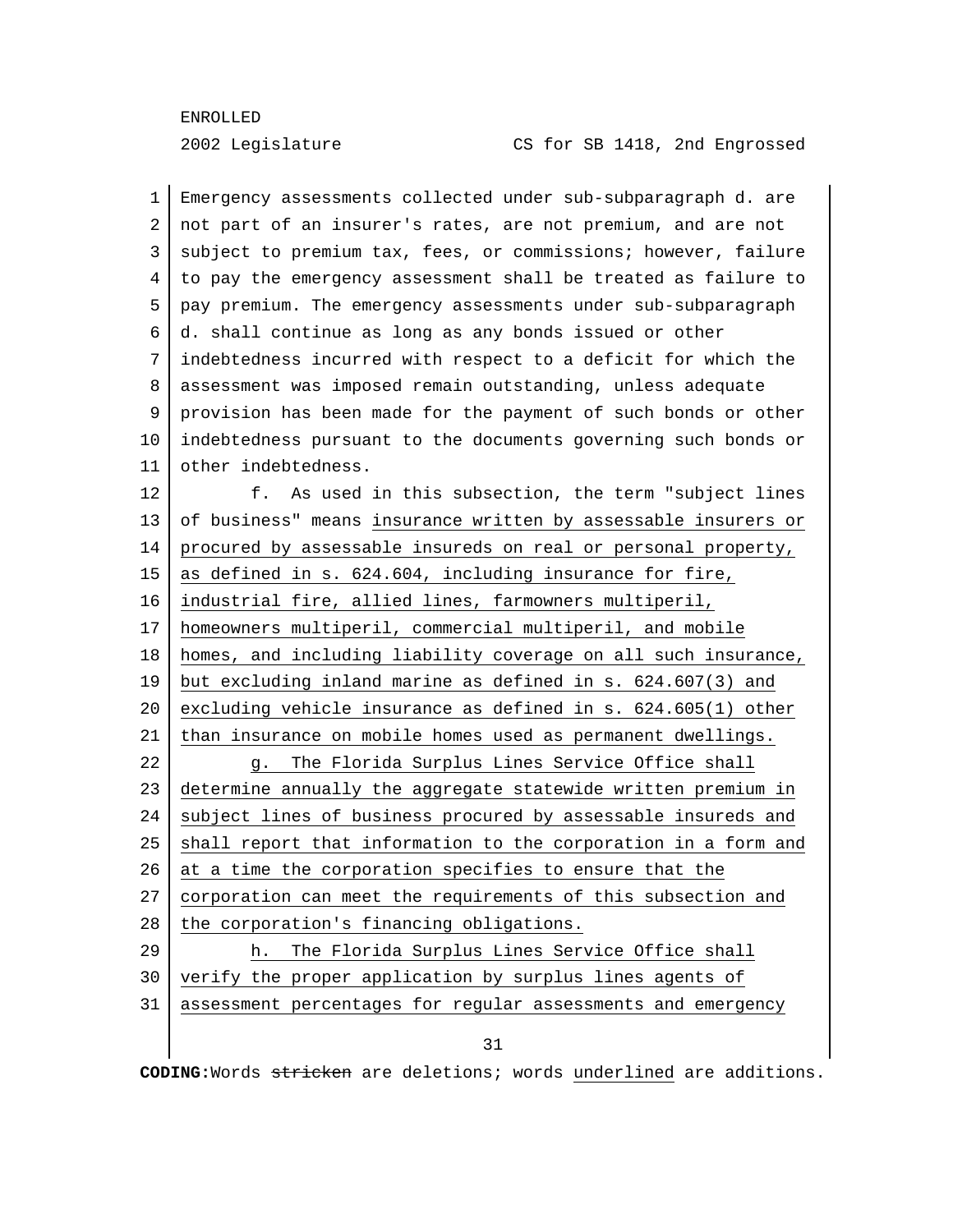### 2002 Legislature CS for SB 1418, 2nd Engrossed

 1 Emergency assessments collected under sub-subparagraph d. are 2 not part of an insurer's rates, are not premium, and are not 3 subject to premium tax, fees, or commissions; however, failure 4 to pay the emergency assessment shall be treated as failure to 5 pay premium. The emergency assessments under sub-subparagraph 6 d. shall continue as long as any bonds issued or other 7 indebtedness incurred with respect to a deficit for which the 8 assessment was imposed remain outstanding, unless adequate 9 provision has been made for the payment of such bonds or other 10 indebtedness pursuant to the documents governing such bonds or 11 other indebtedness.

12 f. As used in this subsection, the term "subject lines 13 of business" means insurance written by assessable insurers or 14 procured by assessable insureds on real or personal property, 15 as defined in s. 624.604, including insurance for fire, 16 industrial fire, allied lines, farmowners multiperil, 17 homeowners multiperil, commercial multiperil, and mobile 18 homes, and including liability coverage on all such insurance, 19 but excluding inland marine as defined in s. 624.607(3) and 20 excluding vehicle insurance as defined in s. 624.605(1) other 21 than insurance on mobile homes used as permanent dwellings. 22 g. The Florida Surplus Lines Service Office shall 23 determine annually the aggregate statewide written premium in 24 subject lines of business procured by assessable insureds and 25 shall report that information to the corporation in a form and 26 at a time the corporation specifies to ensure that the 27 corporation can meet the requirements of this subsection and 28 the corporation's financing obligations. 29 h. The Florida Surplus Lines Service Office shall 30 verify the proper application by surplus lines agents of 31 | assessment percentages for regular assessments and emergency 31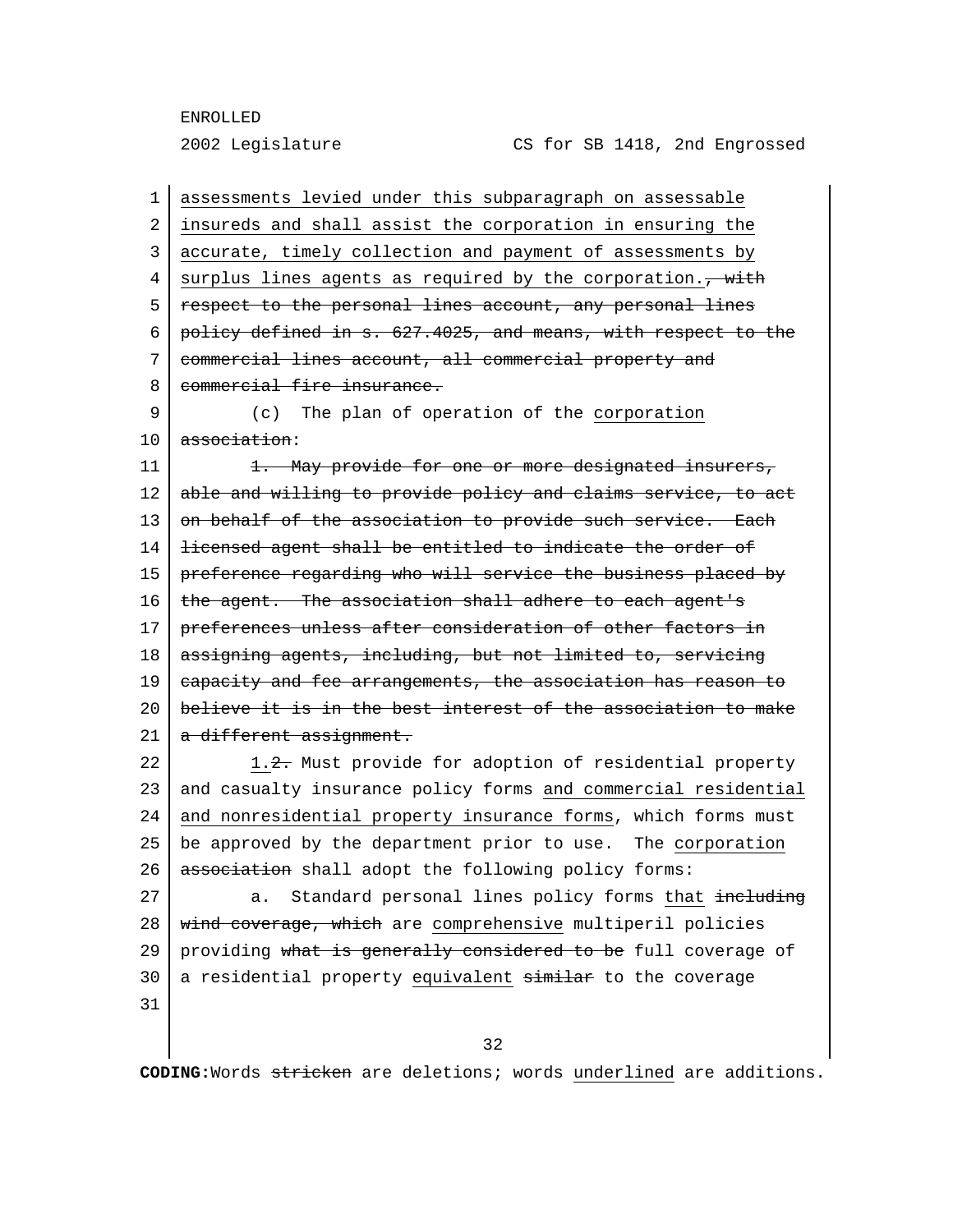### 2002 Legislature CS for SB 1418, 2nd Engrossed

 1 assessments levied under this subparagraph on assessable 2 insureds and shall assist the corporation in ensuring the 3 accurate, timely collection and payment of assessments by 4 surplus lines agents as required by the corporation., with 5 respect to the personal lines account, any personal lines 6 policy defined in s. 627.4025, and means, with respect to the 7 commercial lines account, all commercial property and 8 | commercial fire insurance. 9 (c) The plan of operation of the corporation 10 association: 11 1. May provide for one or more designated insurers, 12 able and willing to provide policy and claims service, to act 13 on behalf of the association to provide such service. Each 14 iicensed agent shall be entitled to indicate the order of 15 preference regarding who will service the business placed by 16 the agent. The association shall adhere to each agent's 17 preferences unless after consideration of other factors in 18 | assigning agents, including, but not limited to, servicing 19 capacity and fee arrangements, the association has reason to 20 believe it is in the best interest of the association to make 21 a different assignment. 22 1.2. Must provide for adoption of residential property 23 and casualty insurance policy forms and commercial residential 24 and nonresidential property insurance forms, which forms must 25 be approved by the department prior to use. The corporation 26 association shall adopt the following policy forms: 27 a. Standard personal lines policy forms that including 28 wind coverage, which are comprehensive multiperil policies 29 providing what is generally considered to be full coverage of 30 a residential property equivalent similar to the coverage 31 32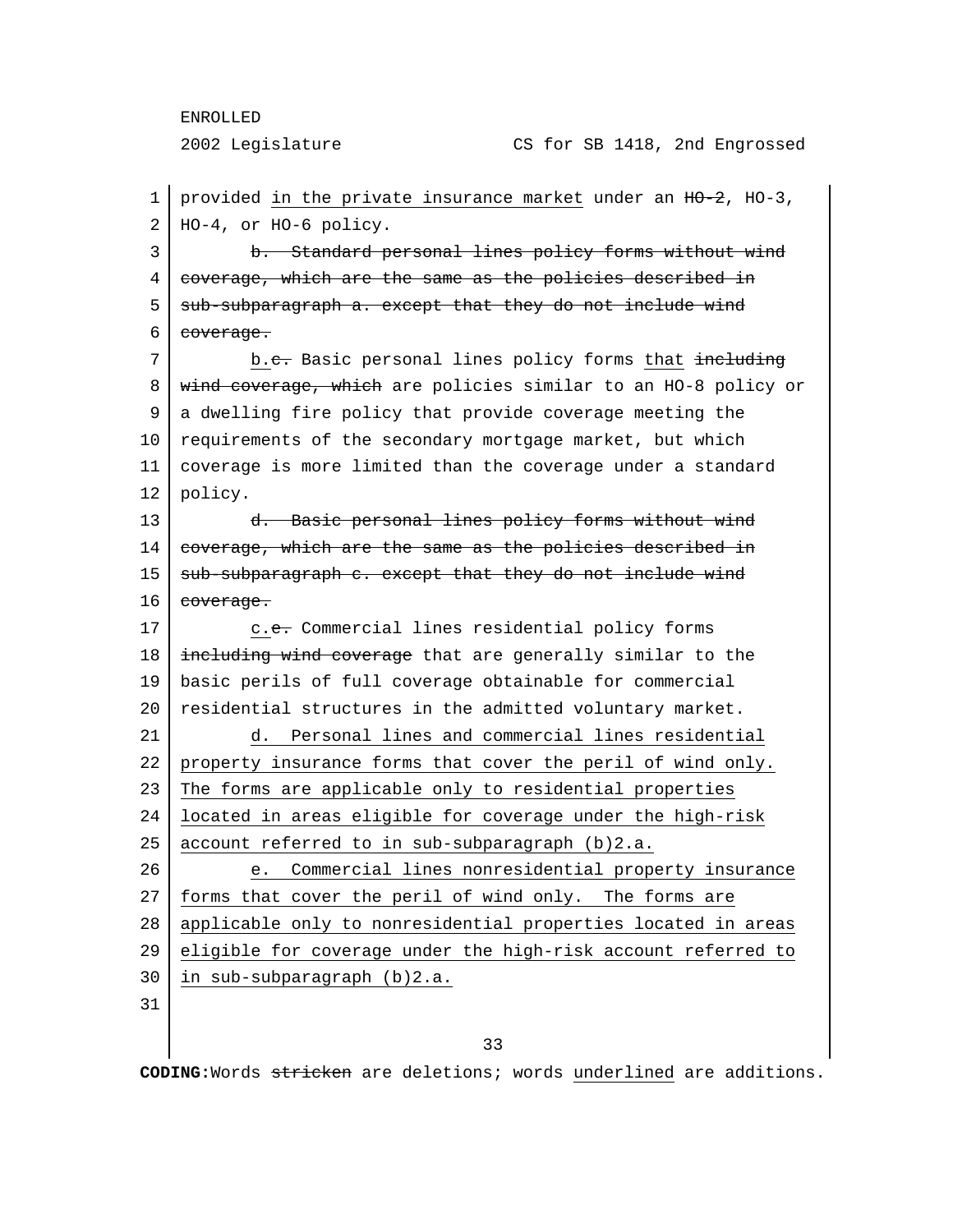### 2002 Legislature CS for SB 1418, 2nd Engrossed

1 provided in the private insurance market under an  $H\rightarrow 2$ , HO-3, 2 HO-4, or HO-6 policy. 3 b. Standard personal lines policy forms without wind 4 coverage, which are the same as the policies described in 5 sub-subparagraph a. except that they do not include wind 6 coverage. 7 b.c. Basic personal lines policy forms that including 8 wind coverage, which are policies similar to an HO-8 policy or 9 a dwelling fire policy that provide coverage meeting the 10 requirements of the secondary mortgage market, but which 11 coverage is more limited than the coverage under a standard 12 policy. 13 d. Basic personal lines policy forms without wind 14 coverage, which are the same as the policies described in 15 sub-subparagraph c. except that they do not include wind  $16$  coverage. 17 c. e. Commercial lines residential policy forms 18 including wind coverage that are generally similar to the 19 basic perils of full coverage obtainable for commercial 20 residential structures in the admitted voluntary market. 21 d. Personal lines and commercial lines residential 22 property insurance forms that cover the peril of wind only. 23 The forms are applicable only to residential properties 24 located in areas eligible for coverage under the high-risk 25 account referred to in sub-subparagraph (b)2.a. 26 e. Commercial lines nonresidential property insurance 27 forms that cover the peril of wind only. The forms are 28 applicable only to nonresidential properties located in areas 29 eligible for coverage under the high-risk account referred to 30 in sub-subparagraph (b)2.a. 31 <u>33</u>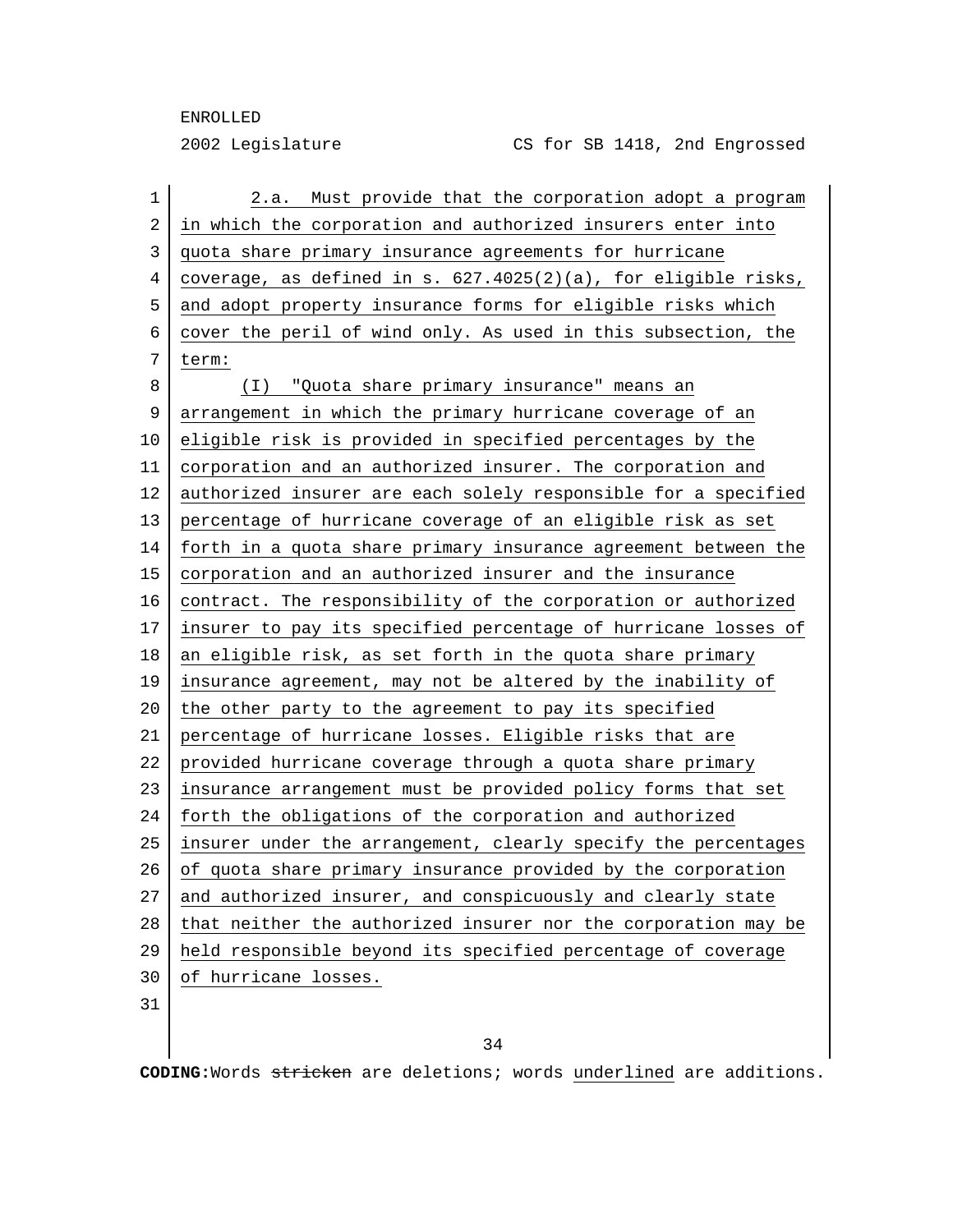### 2002 Legislature CS for SB 1418, 2nd Engrossed

 1 2.a. Must provide that the corporation adopt a program 2 in which the corporation and authorized insurers enter into 3 quota share primary insurance agreements for hurricane 4 coverage, as defined in s. 627.4025(2)(a), for eligible risks, 5 and adopt property insurance forms for eligible risks which 6 cover the peril of wind only. As used in this subsection, the 7 term: 8 (I) "Quota share primary insurance" means an 9 arrangement in which the primary hurricane coverage of an 10 eligible risk is provided in specified percentages by the 11 corporation and an authorized insurer. The corporation and 12 authorized insurer are each solely responsible for a specified 13 percentage of hurricane coverage of an eligible risk as set 14 forth in a quota share primary insurance agreement between the 15 corporation and an authorized insurer and the insurance 16 contract. The responsibility of the corporation or authorized 17 insurer to pay its specified percentage of hurricane losses of 18 an eligible risk, as set forth in the quota share primary 19 insurance agreement, may not be altered by the inability of 20 the other party to the agreement to pay its specified 21 percentage of hurricane losses. Eligible risks that are 22 provided hurricane coverage through a quota share primary 23 insurance arrangement must be provided policy forms that set 24 forth the obligations of the corporation and authorized 25 insurer under the arrangement, clearly specify the percentages 26 of quota share primary insurance provided by the corporation 27 and authorized insurer, and conspicuously and clearly state 28 that neither the authorized insurer nor the corporation may be 29 held responsible beyond its specified percentage of coverage 30 of hurricane losses. 31 34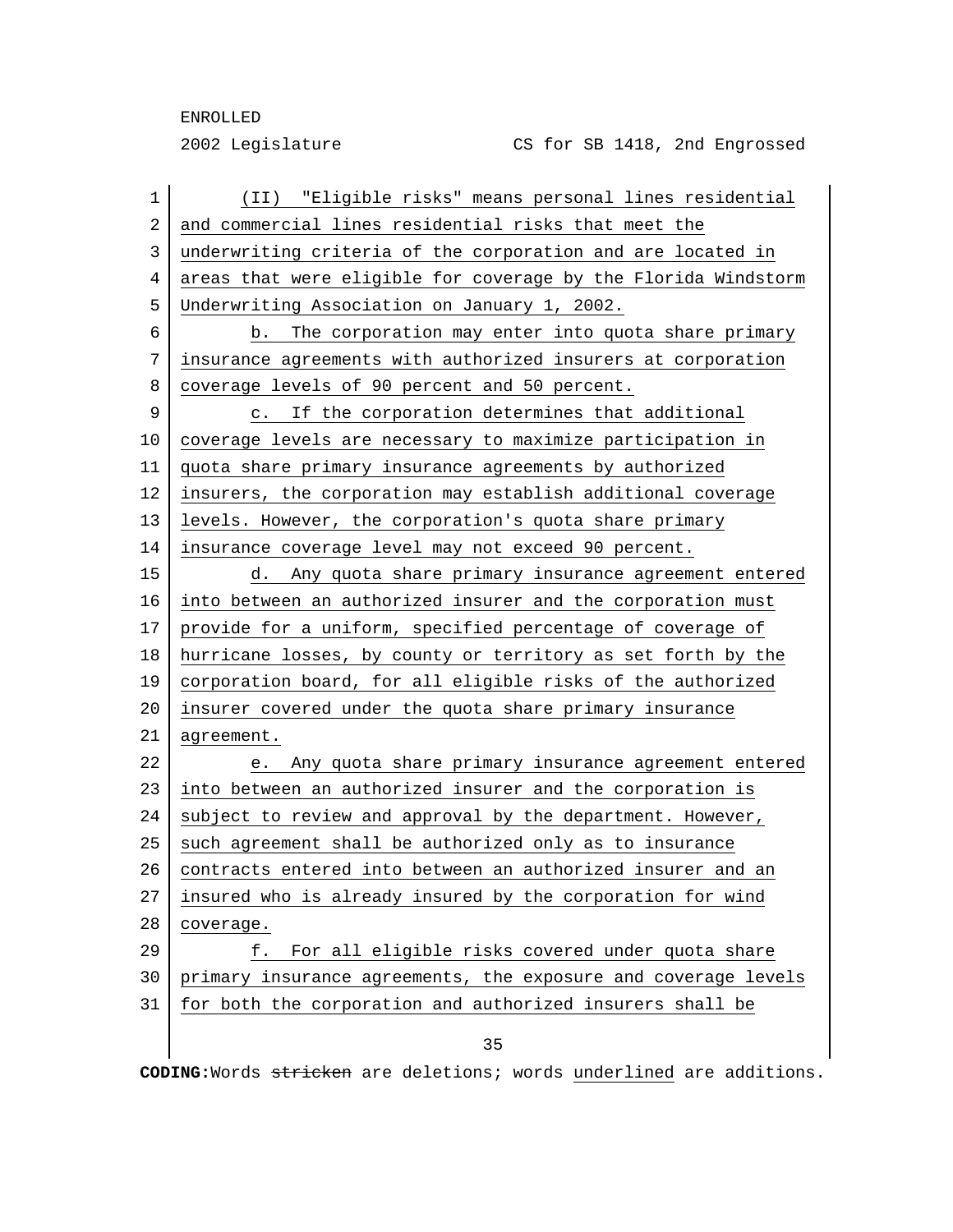### 2002 Legislature CS for SB 1418, 2nd Engrossed

 1 (II) "Eligible risks" means personal lines residential 2 and commercial lines residential risks that meet the 3 underwriting criteria of the corporation and are located in 4 areas that were eligible for coverage by the Florida Windstorm 5 Underwriting Association on January 1, 2002. 6 b. The corporation may enter into quota share primary 7 insurance agreements with authorized insurers at corporation 8 coverage levels of 90 percent and 50 percent. 9 c. If the corporation determines that additional 10 coverage levels are necessary to maximize participation in 11 quota share primary insurance agreements by authorized 12 insurers, the corporation may establish additional coverage 13 levels. However, the corporation's quota share primary 14 insurance coverage level may not exceed 90 percent. 15 d. Any quota share primary insurance agreement entered 16 into between an authorized insurer and the corporation must 17 provide for a uniform, specified percentage of coverage of 18 hurricane losses, by county or territory as set forth by the 19 corporation board, for all eligible risks of the authorized 20 insurer covered under the quota share primary insurance 21 agreement. 22 e. Any quota share primary insurance agreement entered 23 into between an authorized insurer and the corporation is 24 subject to review and approval by the department. However, 25 such agreement shall be authorized only as to insurance 26 contracts entered into between an authorized insurer and an 27 insured who is already insured by the corporation for wind 28 coverage. 29 f. For all eligible risks covered under quota share 30 primary insurance agreements, the exposure and coverage levels 31 for both the corporation and authorized insurers shall be <u>25</u> and 25 and 25 and 25 and 25 and 25 and 25 and 25 and 25 and 25 and 25 and 25 and 25 and 25 and 25 and 26 and 26 and 26 and 26 and 26 and 26 and 26 and 26 and 26 and 26 and 26 and 26 and 26 and 26 and 26 and 26 and 26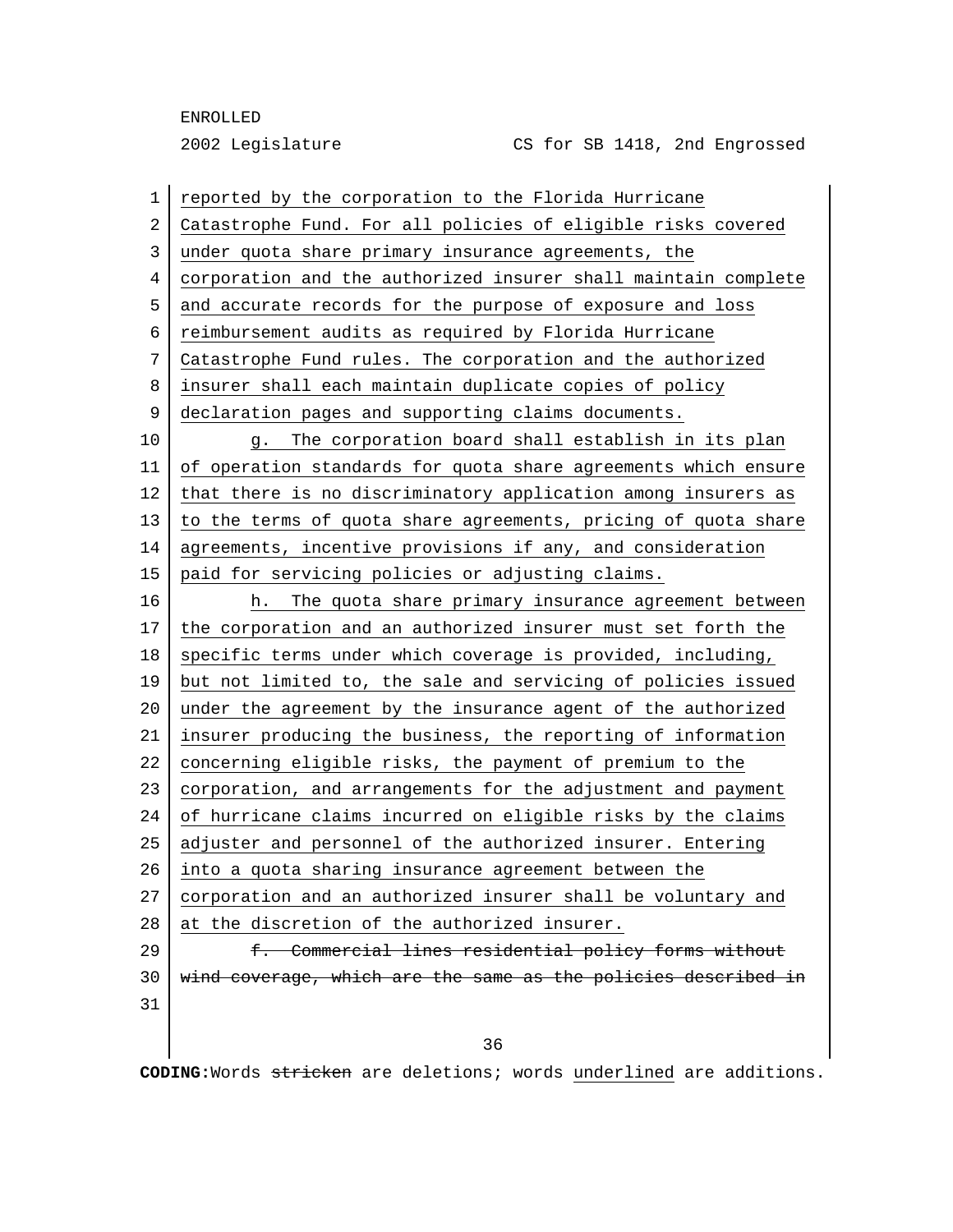1 reported by the corporation to the Florida Hurricane 2 Catastrophe Fund. For all policies of eligible risks covered 3 under quota share primary insurance agreements, the 4 corporation and the authorized insurer shall maintain complete 5 and accurate records for the purpose of exposure and loss 6 reimbursement audits as required by Florida Hurricane 7 Catastrophe Fund rules. The corporation and the authorized 8 insurer shall each maintain duplicate copies of policy 9 declaration pages and supporting claims documents. 10 g. The corporation board shall establish in its plan 11 of operation standards for quota share agreements which ensure 12 that there is no discriminatory application among insurers as 13 to the terms of quota share agreements, pricing of quota share 14 agreements, incentive provisions if any, and consideration 15 paid for servicing policies or adjusting claims. 16 h. The quota share primary insurance agreement between 17 the corporation and an authorized insurer must set forth the 18 specific terms under which coverage is provided, including, 19 but not limited to, the sale and servicing of policies issued 20 under the agreement by the insurance agent of the authorized 21 insurer producing the business, the reporting of information 22 concerning eligible risks, the payment of premium to the 23 corporation, and arrangements for the adjustment and payment 24 of hurricane claims incurred on eligible risks by the claims 25 adjuster and personnel of the authorized insurer. Entering 26 into a quota sharing insurance agreement between the 27 corporation and an authorized insurer shall be voluntary and 28 at the discretion of the authorized insurer. 29 f. Commercial lines residential policy forms without 30 wind coverage, which are the same as the policies described in 31 <u>26 and 26</u> and 26 and 26 and 26 and 26 and 26 and 26 and 26 and 26 and 26 and 26 and 26 and 26 and 26 and 26 and 26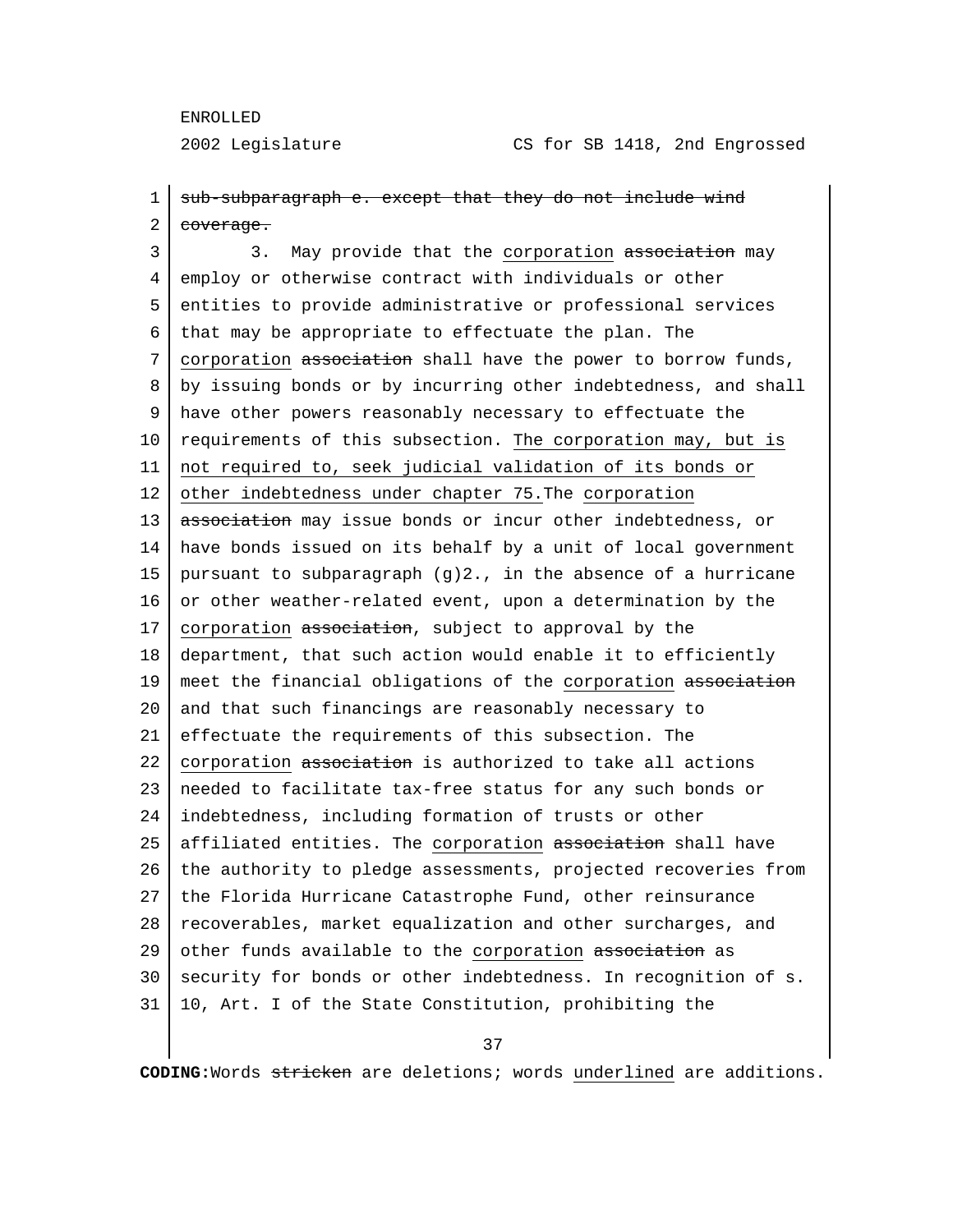### 2002 Legislature CS for SB 1418, 2nd Engrossed

 1 sub-subparagraph e. except that they do not include wind  $2 \mid \text{coverage.}$ 

3 3. May provide that the corporation association may 4 employ or otherwise contract with individuals or other 5 entities to provide administrative or professional services 6 that may be appropriate to effectuate the plan. The 7 corporation association shall have the power to borrow funds, 8 by issuing bonds or by incurring other indebtedness, and shall 9 have other powers reasonably necessary to effectuate the 10 requirements of this subsection. The corporation may, but is 11 not required to, seek judicial validation of its bonds or 12 other indebtedness under chapter 75.The corporation 13 association may issue bonds or incur other indebtedness, or 14 have bonds issued on its behalf by a unit of local government 15 pursuant to subparagraph  $(g)$ 2., in the absence of a hurricane 16 or other weather-related event, upon a determination by the 17 corporation association, subject to approval by the 18 department, that such action would enable it to efficiently 19 meet the financial obligations of the corporation association 20 and that such financings are reasonably necessary to 21 effectuate the requirements of this subsection. The 22 corporation association is authorized to take all actions 23 needed to facilitate tax-free status for any such bonds or 24 indebtedness, including formation of trusts or other 25 affiliated entities. The corporation association shall have 26 the authority to pledge assessments, projected recoveries from 27 the Florida Hurricane Catastrophe Fund, other reinsurance 28 recoverables, market equalization and other surcharges, and 29 other funds available to the corporation association as 30 security for bonds or other indebtedness. In recognition of s. 31 10, Art. I of the State Constitution, prohibiting the

37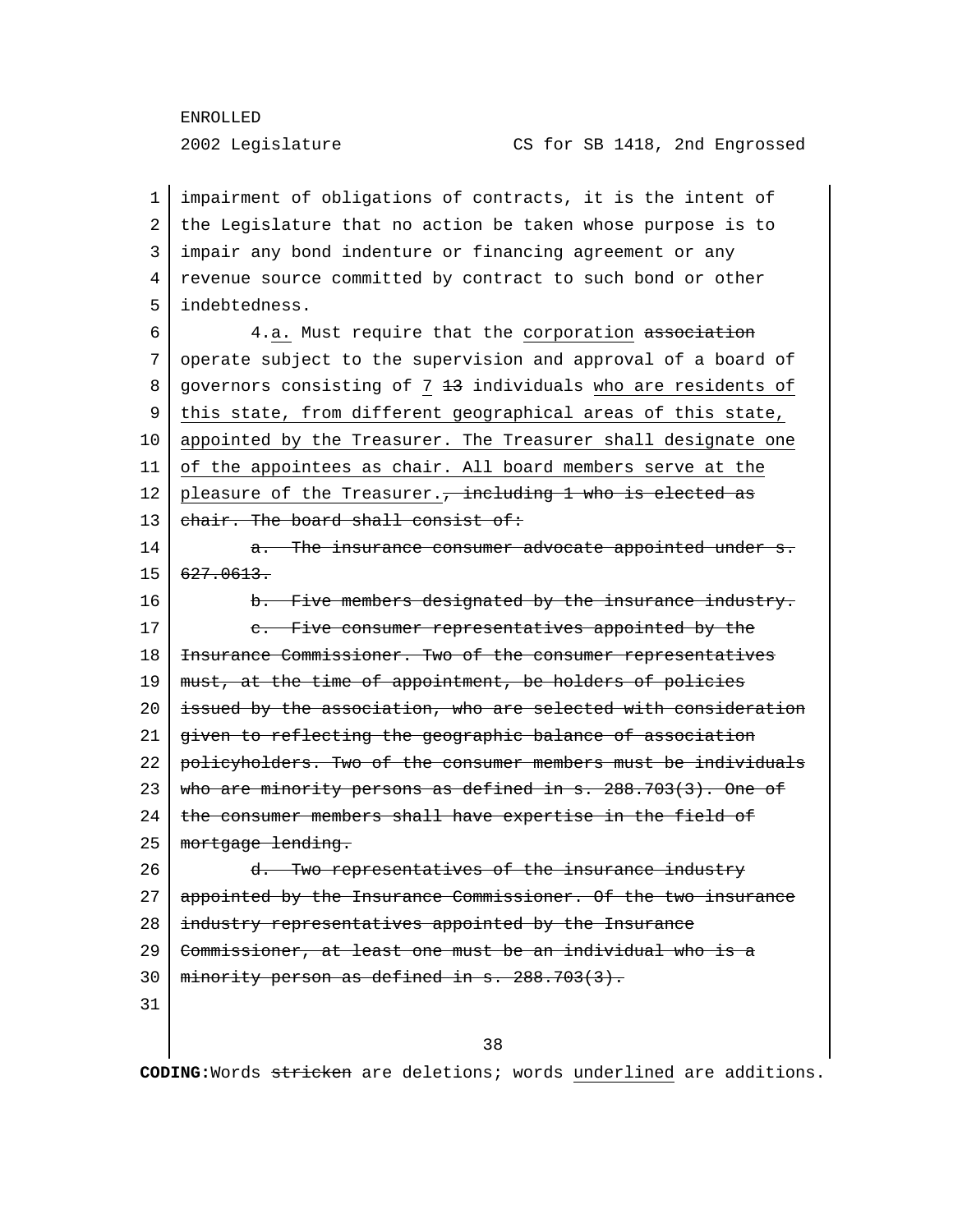1 impairment of obligations of contracts, it is the intent of 2 the Legislature that no action be taken whose purpose is to 3 impair any bond indenture or financing agreement or any 4 revenue source committed by contract to such bond or other 5 indebtedness. 6 4.a. Must require that the corporation association 7 operate subject to the supervision and approval of a board of 8 governors consisting of 7 13 individuals who are residents of 9 this state, from different geographical areas of this state, 10 appointed by the Treasurer. The Treasurer shall designate one 11 of the appointees as chair. All board members serve at the 12 pleasure of the Treasurer., including 1 who is elected as 13 chair. The board shall consist of: 14 a. The insurance consumer advocate appointed under s.  $15 \mid 627.0613.$ 16 b. Five members designated by the insurance industry. 17 c. Five consumer representatives appointed by the 18 | <del>Insurance Commissioner. Two of the consumer representatives</del> 19 must, at the time of appointment, be holders of policies 20 issued by the association, who are selected with consideration 21 given to reflecting the geographic balance of association 22 policyholders. Two of the consumer members must be individuals 23 who are minority persons as defined in  $s$ . 288.703(3). One of 24 the consumer members shall have expertise in the field of 25 mortgage lending. 26 d. Two representatives of the insurance industry 27 appointed by the Insurance Commissioner. Of the two insurance 28 industry representatives appointed by the Insurance 29 Commissioner, at least one must be an individual who is a 30 minority person as defined in  $s. 288.703(3)$ . 31 <u>28</u> and 28 and 28 and 28 and 28 and 28 and 28 and 28 and 28 and 28 and 28 and 28 and 28 and 28 and 28 and 28 and 28 and 28 and 28 and 28 and 28 and 28 and 28 and 28 and 28 and 28 and 28 and 28 and 28 and 28 and 28 and 28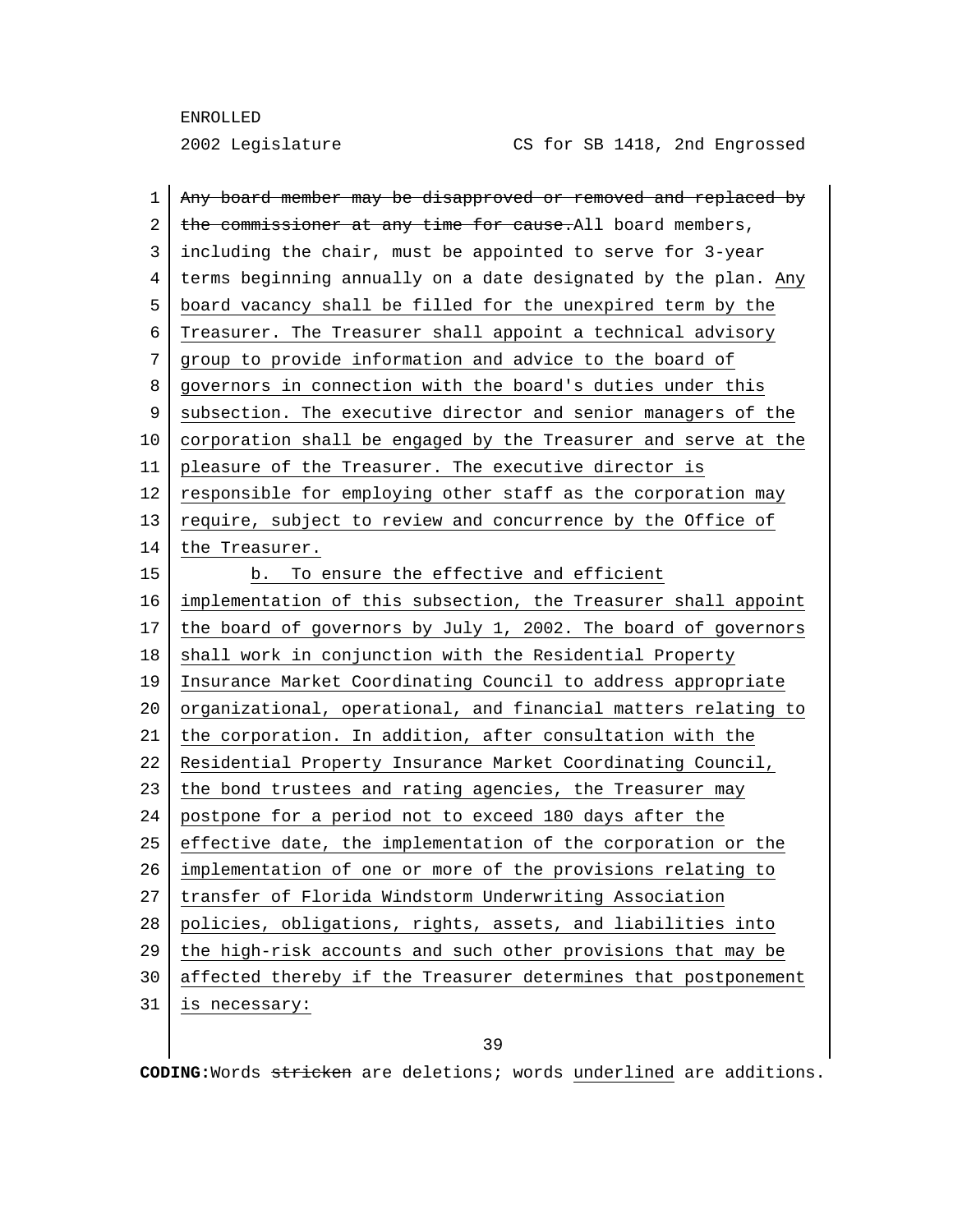### 2002 Legislature CS for SB 1418, 2nd Engrossed

1 | Any board member may be disapproved or removed and replaced by 2 the commissioner at any time for cause. All board members, 3 including the chair, must be appointed to serve for 3-year 4 terms beginning annually on a date designated by the plan. Any 5 board vacancy shall be filled for the unexpired term by the 6 Treasurer. The Treasurer shall appoint a technical advisory 7 group to provide information and advice to the board of 8 governors in connection with the board's duties under this 9 subsection. The executive director and senior managers of the 10 corporation shall be engaged by the Treasurer and serve at the 11 pleasure of the Treasurer. The executive director is 12 responsible for employing other staff as the corporation may 13 require, subject to review and concurrence by the Office of 14 the Treasurer. 15 b. To ensure the effective and efficient 16 implementation of this subsection, the Treasurer shall appoint 17 the board of governors by July 1, 2002. The board of governors 18 shall work in conjunction with the Residential Property 19 Insurance Market Coordinating Council to address appropriate 20 organizational, operational, and financial matters relating to 21 the corporation. In addition, after consultation with the 22 Residential Property Insurance Market Coordinating Council, 23 the bond trustees and rating agencies, the Treasurer may 24 postpone for a period not to exceed 180 days after the 25 effective date, the implementation of the corporation or the 26 implementation of one or more of the provisions relating to 27 transfer of Florida Windstorm Underwriting Association 28 policies, obligations, rights, assets, and liabilities into 29 the high-risk accounts and such other provisions that may be 30 affected thereby if the Treasurer determines that postponement 31 is necessary: 39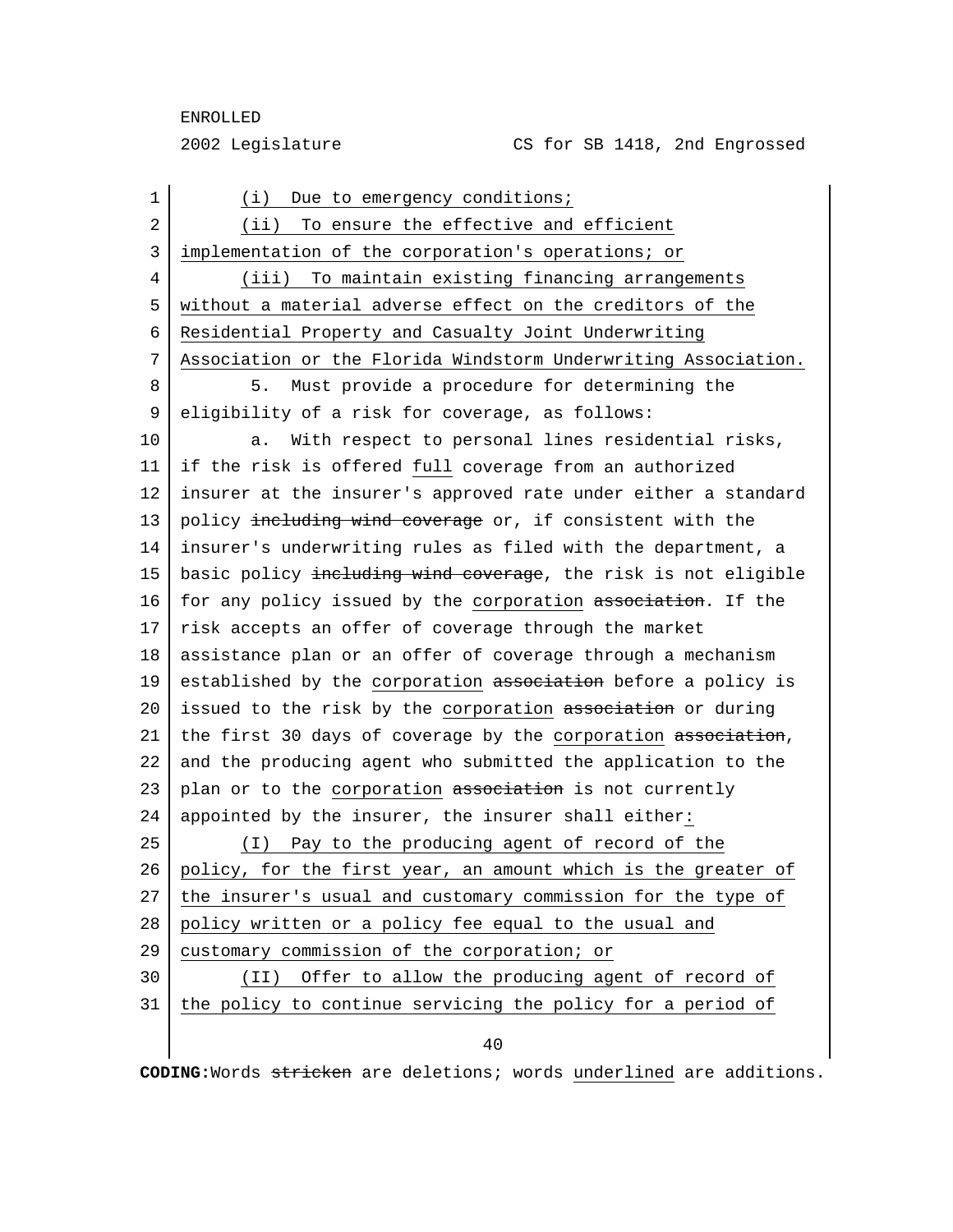1 (i) Due to emergency conditions; 2 (ii) To ensure the effective and efficient 3 implementation of the corporation's operations; or 4 (iii) To maintain existing financing arrangements 5 without a material adverse effect on the creditors of the 6 Residential Property and Casualty Joint Underwriting 7 Association or the Florida Windstorm Underwriting Association. 8 5. Must provide a procedure for determining the 9 eligibility of a risk for coverage, as follows: 10 a. With respect to personal lines residential risks, 11 if the risk is offered full coverage from an authorized 12 insurer at the insurer's approved rate under either a standard 13 policy including wind coverage or, if consistent with the 14 insurer's underwriting rules as filed with the department, a 15 basic policy including wind coverage, the risk is not eligible 16 for any policy issued by the corporation association. If the 17 risk accepts an offer of coverage through the market 18 assistance plan or an offer of coverage through a mechanism 19 established by the corporation association before a policy is 20 issued to the risk by the corporation association or during 21 the first 30 days of coverage by the corporation association, 22 and the producing agent who submitted the application to the 23 plan or to the corporation  $\overline{association}$  is not currently 24 appointed by the insurer, the insurer shall either: 25 (I) Pay to the producing agent of record of the 26 policy, for the first year, an amount which is the greater of 27 the insurer's usual and customary commission for the type of 28 policy written or a policy fee equal to the usual and 29 customary commission of the corporation; or 30 (II) Offer to allow the producing agent of record of 31 the policy to continue servicing the policy for a period of 40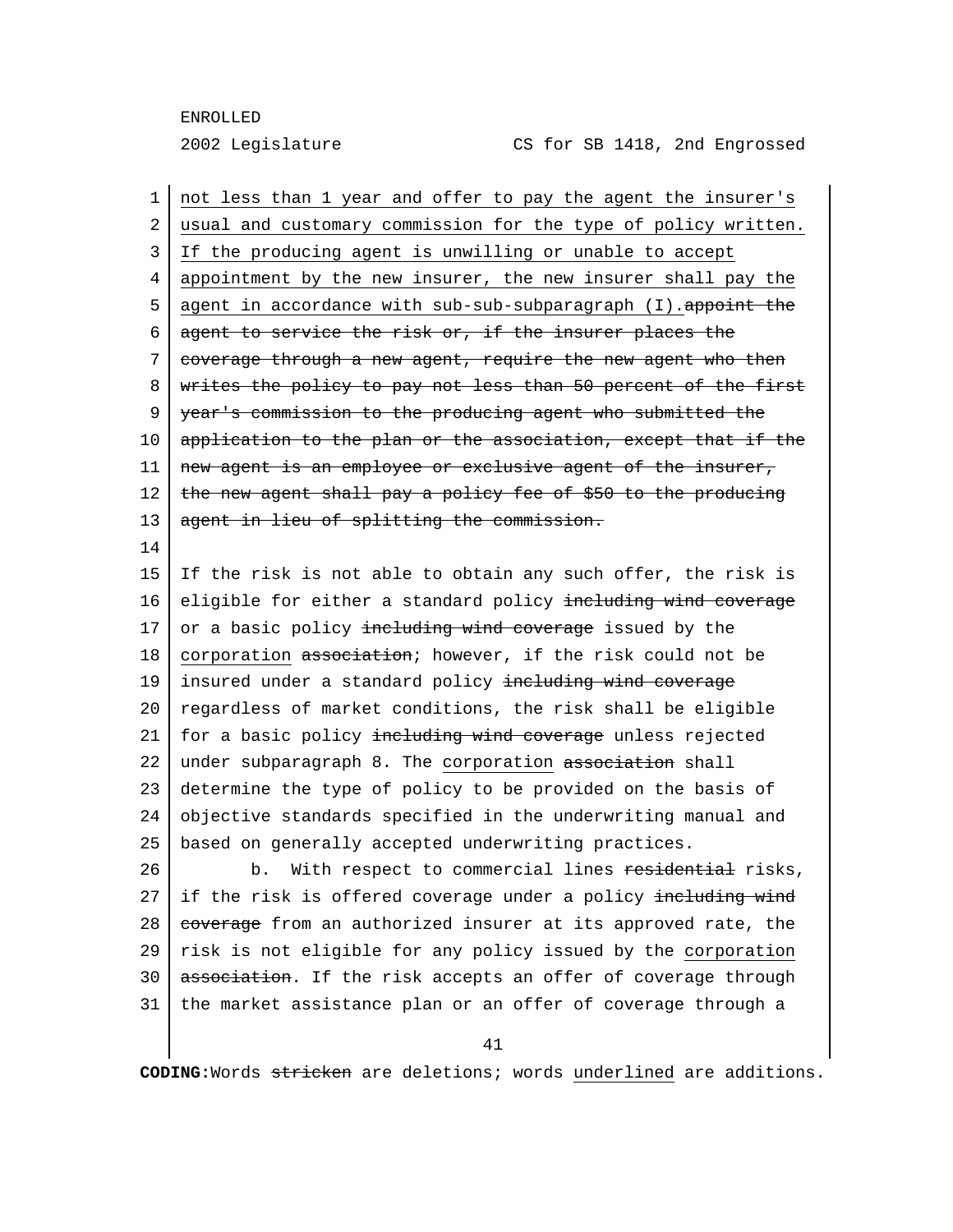### 2002 Legislature CS for SB 1418, 2nd Engrossed

 1 not less than 1 year and offer to pay the agent the insurer's 2 usual and customary commission for the type of policy written. 3 If the producing agent is unwilling or unable to accept 4 appointment by the new insurer, the new insurer shall pay the 5 agent in accordance with sub-sub-subparagraph (I). appoint the 6 agent to service the risk or, if the insurer places the 7 coverage through a new agent, require the new agent who then 8 | writes the policy to pay not less than 50 percent of the first 9 year's commission to the producing agent who submitted the 10 application to the plan or the association, except that if the 11 new agent is an employee or exclusive agent of the insurer, 12 the new agent shall pay a policy fee of \$50 to the producing 13 agent in lieu of splitting the commission. 14 15 If the risk is not able to obtain any such offer, the risk is 16 eligible for either a standard policy including wind coverage 17 or a basic policy including wind coverage issued by the 18 corporation association; however, if the risk could not be 19 insured under a standard policy including wind coverage 20 regardless of market conditions, the risk shall be eligible 21 for a basic policy including wind coverage unless rejected 22 under subparagraph 8. The corporation association shall 23 determine the type of policy to be provided on the basis of 24 objective standards specified in the underwriting manual and 25 based on generally accepted underwriting practices.

26 b. With respect to commercial lines residential risks, 27 if the risk is offered coverage under a policy including wind 28 coverage from an authorized insurer at its approved rate, the 29 risk is not eligible for any policy issued by the corporation 30 association. If the risk accepts an offer of coverage through 31 the market assistance plan or an offer of coverage through a

41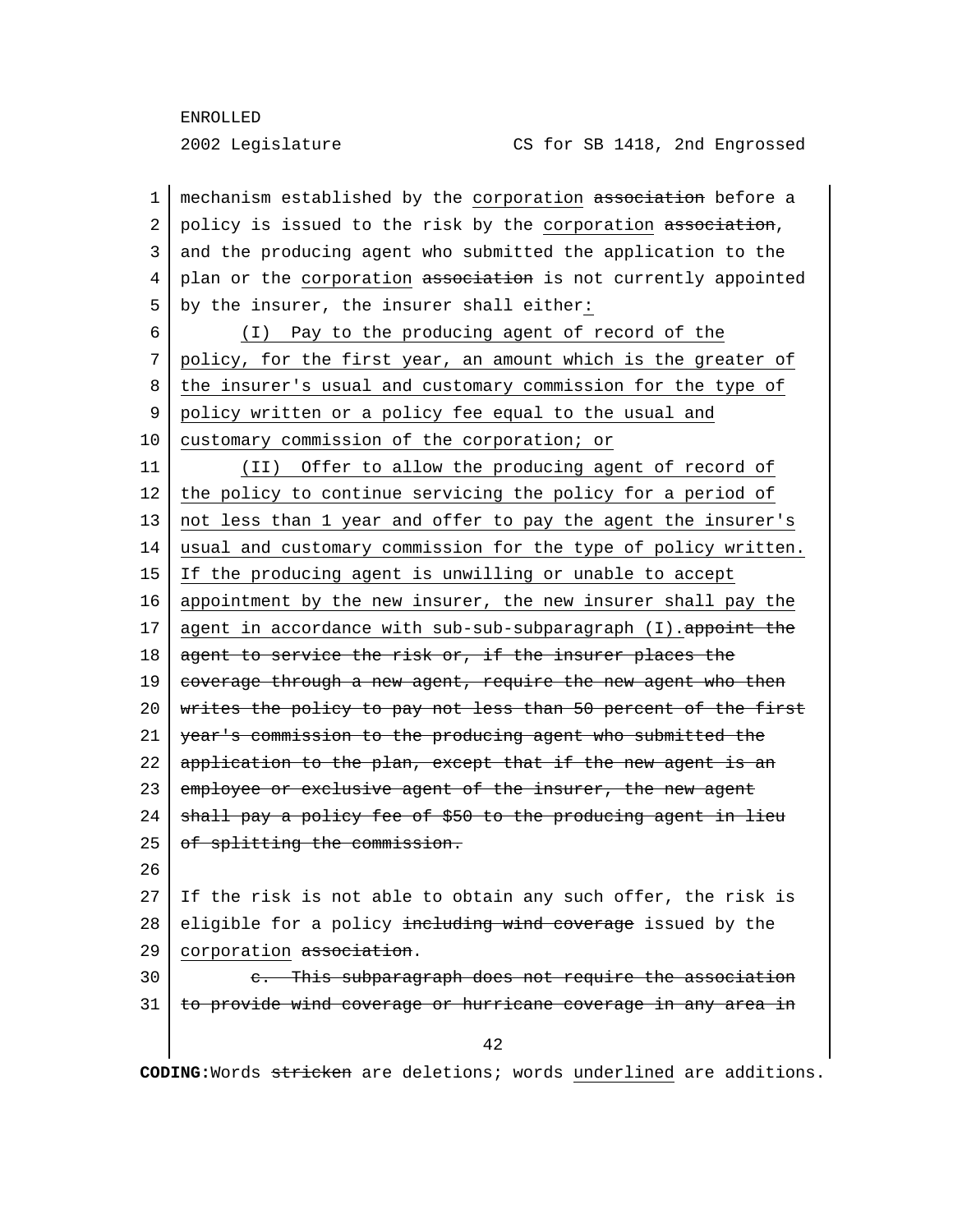1 mechanism established by the corporation association before a 2 policy is issued to the risk by the corporation association, 3 and the producing agent who submitted the application to the 4 plan or the corporation association is not currently appointed 5 by the insurer, the insurer shall either: 6 (I) Pay to the producing agent of record of the 7 policy, for the first year, an amount which is the greater of 8 the insurer's usual and customary commission for the type of 9 policy written or a policy fee equal to the usual and 10 customary commission of the corporation; or 11 (II) Offer to allow the producing agent of record of 12 the policy to continue servicing the policy for a period of 13 not less than 1 year and offer to pay the agent the insurer's 14 usual and customary commission for the type of policy written. 15 If the producing agent is unwilling or unable to accept 16 appointment by the new insurer, the new insurer shall pay the 17 agent in accordance with sub-sub-subparagraph (I). appoint the 18 agent to service the risk or, if the insurer places the 19 coverage through a new agent, require the new agent who then 20 writes the policy to pay not less than 50 percent of the first 21 year's commission to the producing agent who submitted the 22 application to the plan, except that if the new agent is an 23 employee or exclusive agent of the insurer, the new agent 24 shall pay a policy fee of \$50 to the producing agent in lieu 25 of splitting the commission. 26 27 If the risk is not able to obtain any such offer, the risk is 28 eligible for a policy including wind coverage issued by the 29 corporation association. 30 c. This subparagraph does not require the association 31 to provide wind coverage or hurricane coverage in any area in 42 **CODING:**Words stricken are deletions; words underlined are additions.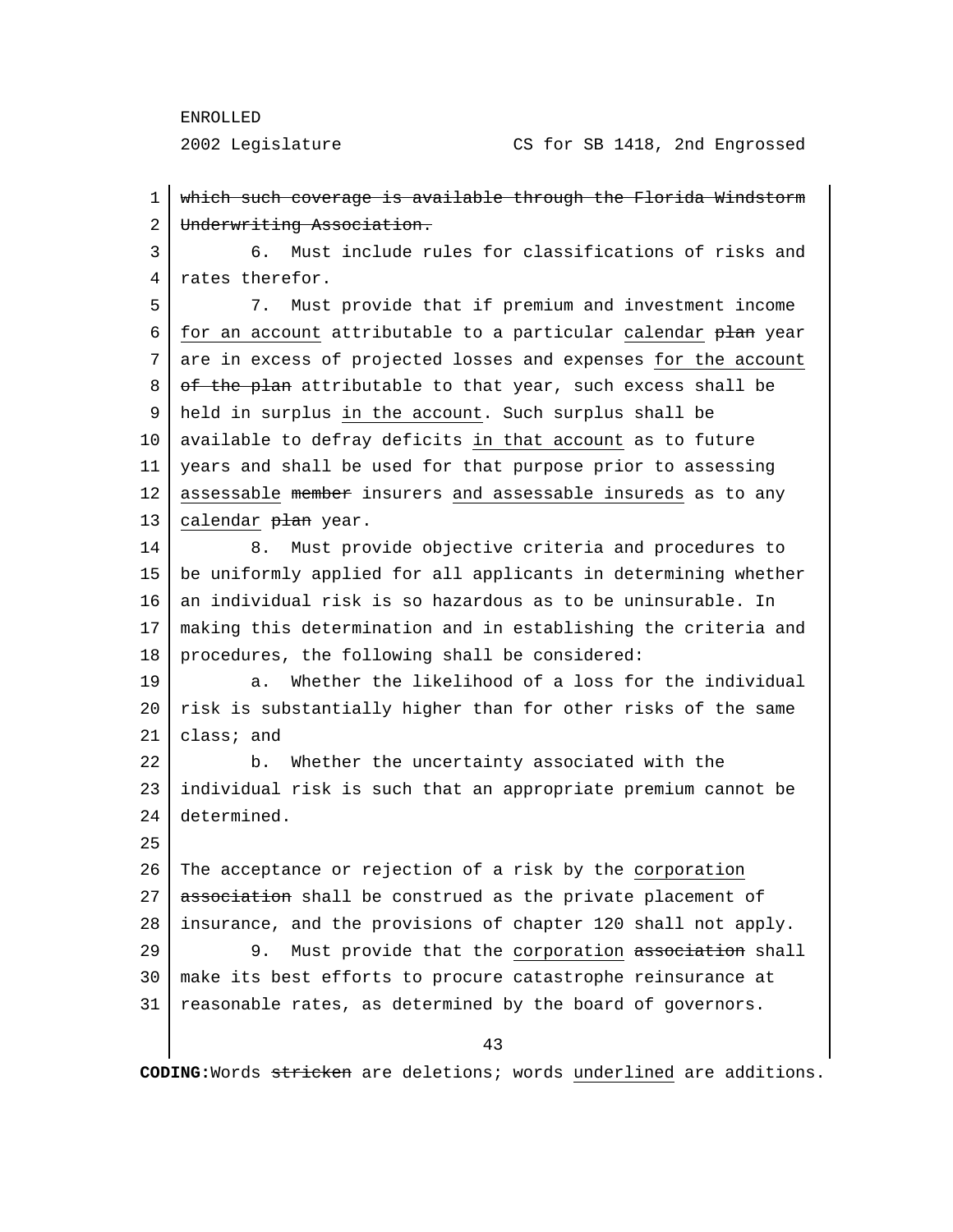### 2002 Legislature CS for SB 1418, 2nd Engrossed

1 which such coverage is available through the Florida Windstorm 2 Underwriting Association.

 3 6. Must include rules for classifications of risks and 4 rates therefor.

 5 7. Must provide that if premium and investment income 6 for an account attributable to a particular calendar plan year 7 are in excess of projected losses and expenses for the account 8 of the plan attributable to that year, such excess shall be 9 held in surplus in the account. Such surplus shall be 10 available to defray deficits in that account as to future 11 years and shall be used for that purpose prior to assessing 12 assessable member insurers and assessable insureds as to any 13 calendar plan year.

14 8. Must provide objective criteria and procedures to 15 be uniformly applied for all applicants in determining whether 16 an individual risk is so hazardous as to be uninsurable. In 17 making this determination and in establishing the criteria and 18 procedures, the following shall be considered:

19 a. Whether the likelihood of a loss for the individual 20 risk is substantially higher than for other risks of the same 21 class; and

22 b. Whether the uncertainty associated with the 23 individual risk is such that an appropriate premium cannot be 24 determined.

25

26 The acceptance or rejection of a risk by the corporation 27 association shall be construed as the private placement of 28 insurance, and the provisions of chapter 120 shall not apply. 29 9. Must provide that the corporation association shall 30 make its best efforts to procure catastrophe reinsurance at 31 reasonable rates, as determined by the board of governors.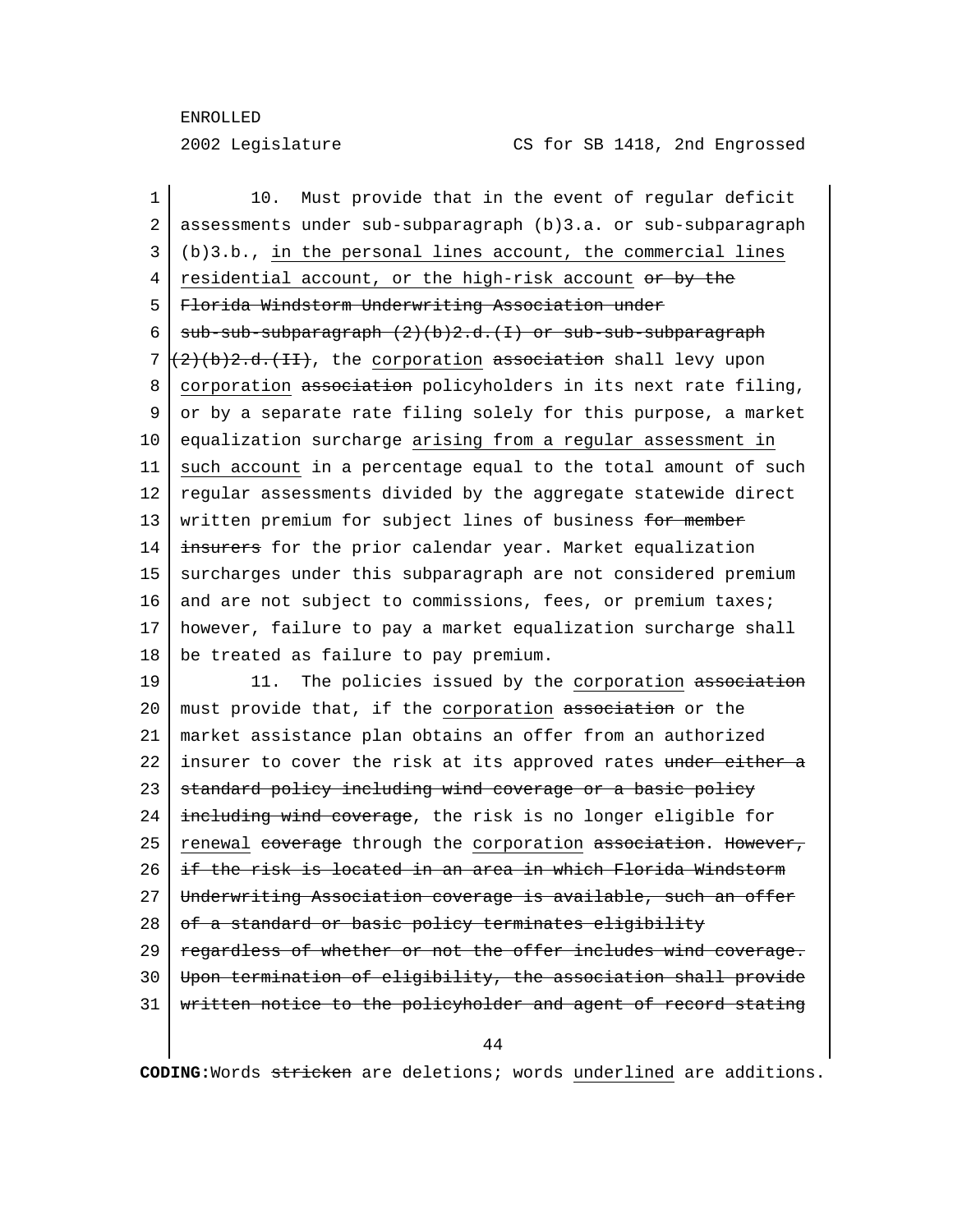### 2002 Legislature CS for SB 1418, 2nd Engrossed

1 10. Must provide that in the event of regular deficit 2 assessments under sub-subparagraph (b)3.a. or sub-subparagraph 3 (b)3.b., in the personal lines account, the commercial lines 4 | residential account, or the high-risk account or by the 5 Florida Windstorm Underwriting Association under 6  $\frac{1}{2}$  sub-sub-subparagraph  $(2)(b)$   $2.d.$   $(1)$  or sub-sub-subparagraph  $7$   $(2)(b)2.d.(11)$ , the corporation association shall levy upon 8 corporation association policyholders in its next rate filing, 9 or by a separate rate filing solely for this purpose, a market 10 equalization surcharge arising from a regular assessment in 11 such account in a percentage equal to the total amount of such 12 regular assessments divided by the aggregate statewide direct 13 written premium for subject lines of business for member 14 insurers for the prior calendar year. Market equalization 15 surcharges under this subparagraph are not considered premium 16 and are not subject to commissions, fees, or premium taxes; 17 however, failure to pay a market equalization surcharge shall 18 be treated as failure to pay premium. 19 11. The policies issued by the corporation association 20 | must provide that, if the corporation  $\alpha$ ssociation or the 21 market assistance plan obtains an offer from an authorized 22 insurer to cover the risk at its approved rates under either a 23 standard policy including wind coverage or a basic policy 24 including wind coverage, the risk is no longer eligible for 25 renewal coverage through the corporation association. However, 26 if the risk is located in an area in which Florida Windstorm 27 | Underwriting Association coverage is available, such an offer 28 of a standard or basic policy terminates eligibility 29 regardless of whether or not the offer includes wind coverage. 30 Upon termination of eligibility, the association shall provide 31 written notice to the policyholder and agent of record stating 44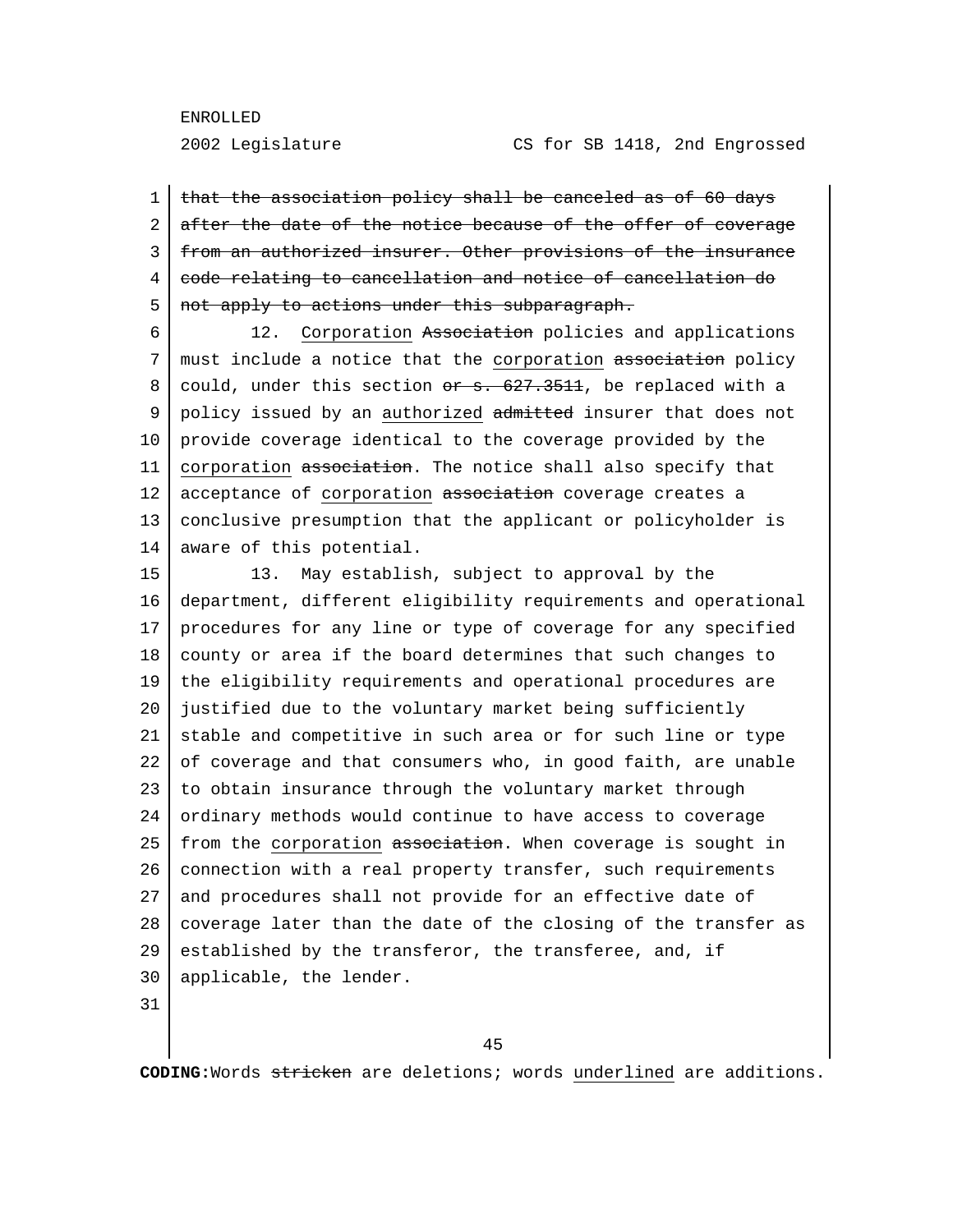1 that the association policy shall be canceled as of 60 days 2 after the date of the notice because of the offer of coverage 3 from an authorized insurer. Other provisions of the insurance 4 code relating to cancellation and notice of cancellation do 5 not apply to actions under this subparagraph.

6 12. Corporation Association policies and applications 7 must include a notice that the corporation association policy 8 could, under this section  $\sigma$  r s. 627.3511, be replaced with a 9 policy issued by an authorized admitted insurer that does not 10 provide coverage identical to the coverage provided by the 11 corporation association. The notice shall also specify that 12 acceptance of corporation association coverage creates a 13 conclusive presumption that the applicant or policyholder is 14 aware of this potential.

15 13. May establish, subject to approval by the 16 department, different eligibility requirements and operational 17 procedures for any line or type of coverage for any specified 18 county or area if the board determines that such changes to 19 the eligibility requirements and operational procedures are 20 justified due to the voluntary market being sufficiently 21 stable and competitive in such area or for such line or type 22 of coverage and that consumers who, in good faith, are unable 23 to obtain insurance through the voluntary market through 24 ordinary methods would continue to have access to coverage 25 from the corporation association. When coverage is sought in 26 connection with a real property transfer, such requirements 27 and procedures shall not provide for an effective date of 28 coverage later than the date of the closing of the transfer as 29 established by the transferor, the transferee, and, if 30 applicable, the lender.

31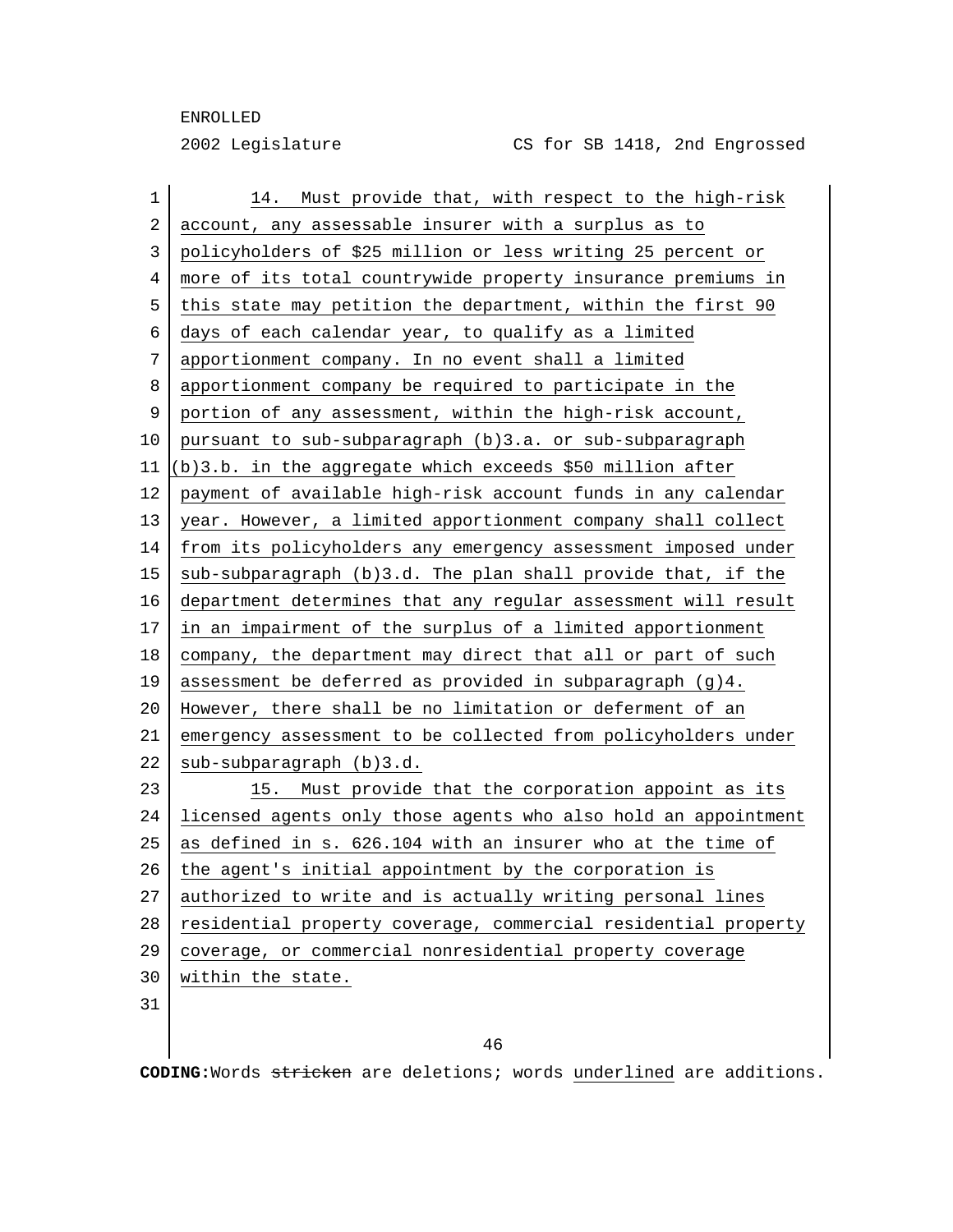### 2002 Legislature CS for SB 1418, 2nd Engrossed

1 14. Must provide that, with respect to the high-risk 2 account, any assessable insurer with a surplus as to 3 policyholders of \$25 million or less writing 25 percent or 4 more of its total countrywide property insurance premiums in 5 this state may petition the department, within the first 90 6 days of each calendar year, to qualify as a limited 7 apportionment company. In no event shall a limited 8 apportionment company be required to participate in the 9 portion of any assessment, within the high-risk account, 10 pursuant to sub-subparagraph (b)3.a. or sub-subparagraph 11 (b)3.b. in the aggregate which exceeds \$50 million after 12 payment of available high-risk account funds in any calendar 13 year. However, a limited apportionment company shall collect 14 from its policyholders any emergency assessment imposed under 15 sub-subparagraph (b)3.d. The plan shall provide that, if the 16 department determines that any regular assessment will result 17 in an impairment of the surplus of a limited apportionment 18 company, the department may direct that all or part of such 19 assessment be deferred as provided in subparagraph (g)4. 20 However, there shall be no limitation or deferment of an 21 emergency assessment to be collected from policyholders under  $22$  sub-subparagraph (b) 3.d. 23 15. Must provide that the corporation appoint as its 24 licensed agents only those agents who also hold an appointment 25 as defined in s. 626.104 with an insurer who at the time of 26 the agent's initial appointment by the corporation is 27 authorized to write and is actually writing personal lines 28 residential property coverage, commercial residential property 29 coverage, or commercial nonresidential property coverage 30 within the state. 31 46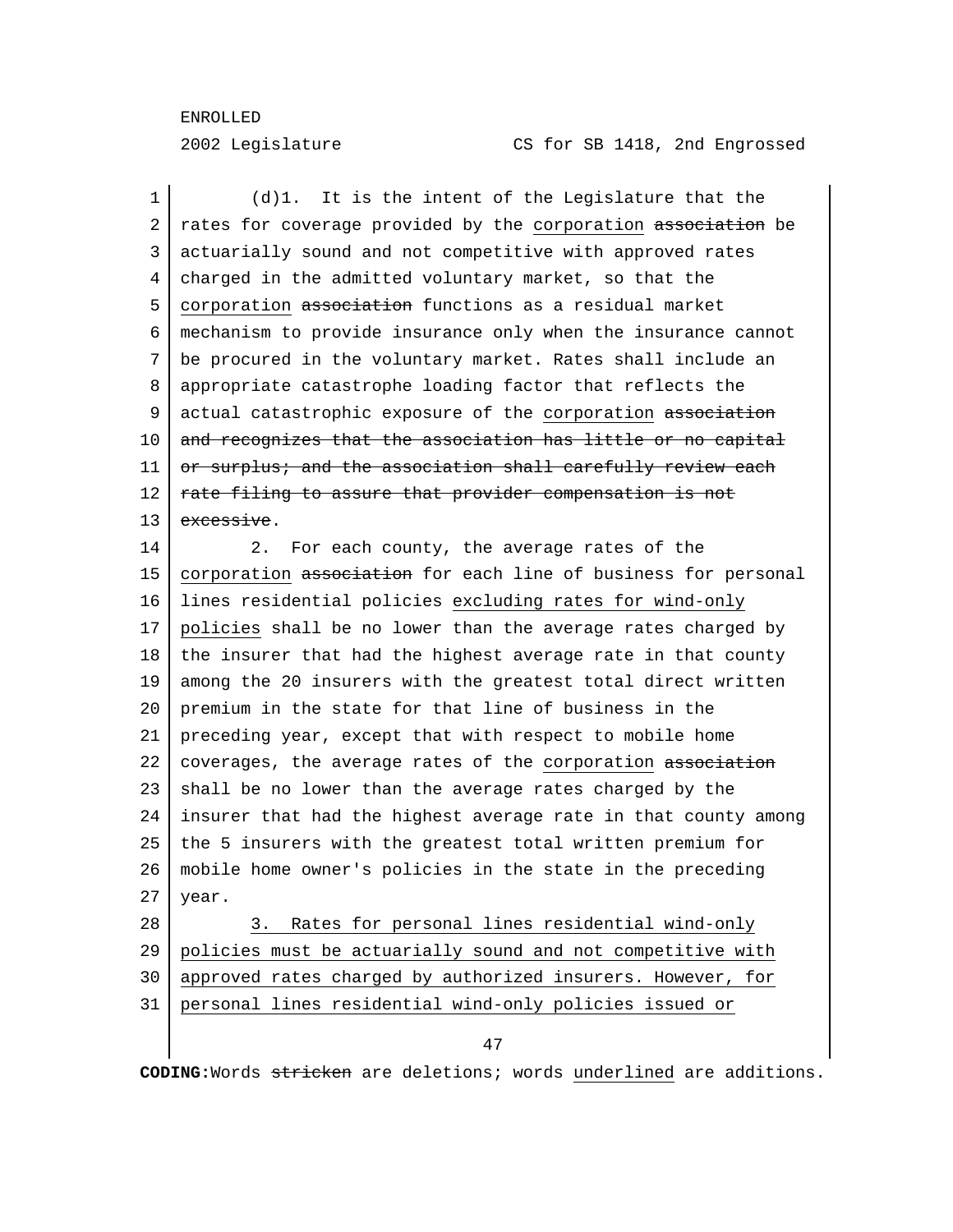### 2002 Legislature CS for SB 1418, 2nd Engrossed

 1 (d)1. It is the intent of the Legislature that the 2 rates for coverage provided by the corporation association be 3 actuarially sound and not competitive with approved rates 4 charged in the admitted voluntary market, so that the 5 corporation association functions as a residual market 6 mechanism to provide insurance only when the insurance cannot 7 be procured in the voluntary market. Rates shall include an 8 appropriate catastrophe loading factor that reflects the 9 actual catastrophic exposure of the corporation association 10 and recognizes that the association has little or no capital 11 or surplus; and the association shall carefully review each 12 | rate filing to assure that provider compensation is not 13 excessive.

14 2. For each county, the average rates of the 15 corporation association for each line of business for personal 16 lines residential policies excluding rates for wind-only 17 policies shall be no lower than the average rates charged by 18 the insurer that had the highest average rate in that county 19 among the 20 insurers with the greatest total direct written 20 premium in the state for that line of business in the 21 preceding year, except that with respect to mobile home 22 coverages, the average rates of the corporation association 23 shall be no lower than the average rates charged by the 24 insurer that had the highest average rate in that county among 25 the 5 insurers with the greatest total written premium for 26 mobile home owner's policies in the state in the preceding  $27$  year. 28 3. Rates for personal lines residential wind-only 29 policies must be actuarially sound and not competitive with 30 approved rates charged by authorized insurers. However, for 31 personal lines residential wind-only policies issued or

**CODING:**Words stricken are deletions; words underlined are additions.

47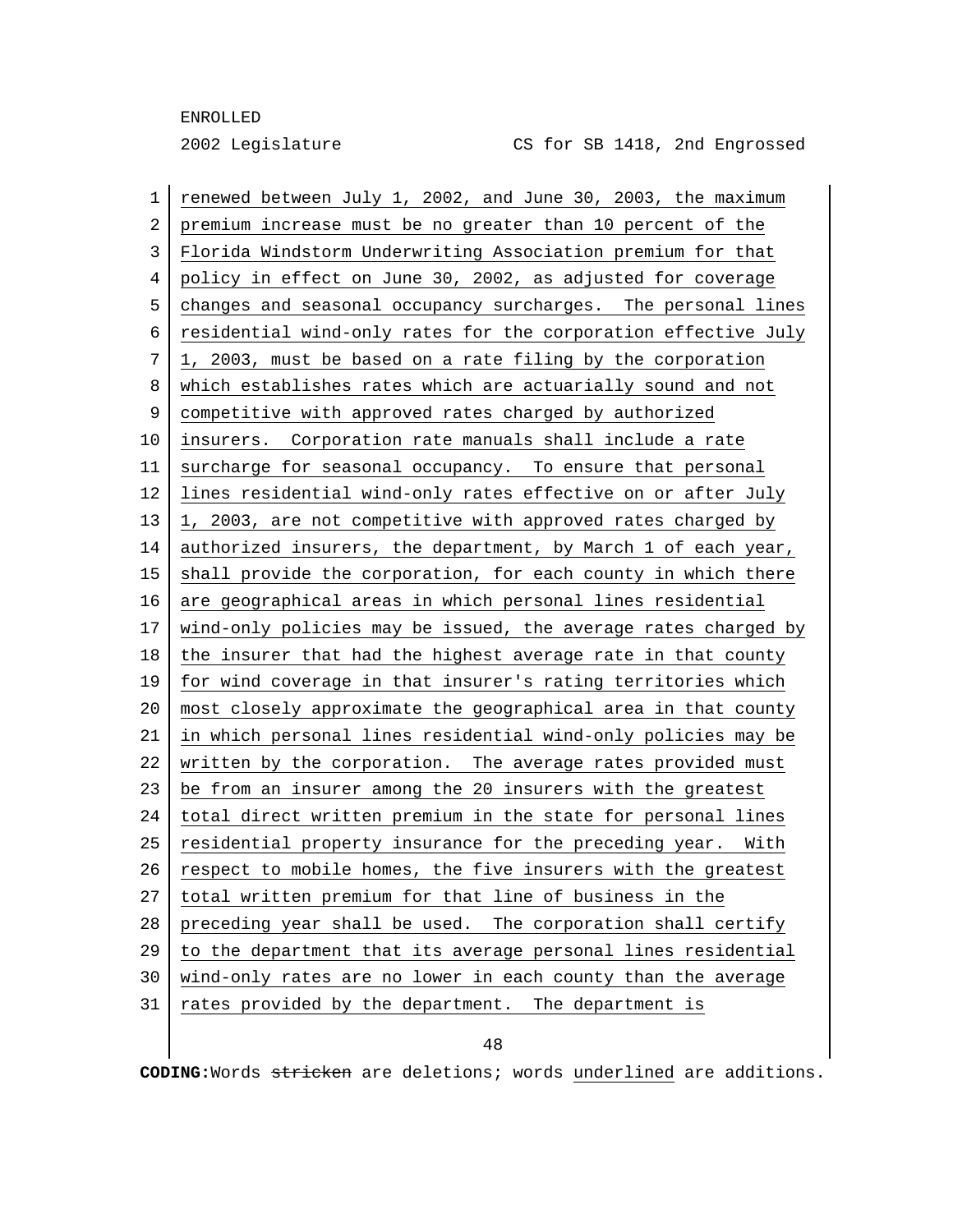1 renewed between July 1, 2002, and June 30, 2003, the maximum 2 premium increase must be no greater than 10 percent of the 3 Florida Windstorm Underwriting Association premium for that 4 policy in effect on June 30, 2002, as adjusted for coverage 5 changes and seasonal occupancy surcharges. The personal lines 6 residential wind-only rates for the corporation effective July 7 1, 2003, must be based on a rate filing by the corporation 8 which establishes rates which are actuarially sound and not 9 competitive with approved rates charged by authorized 10 insurers. Corporation rate manuals shall include a rate 11 surcharge for seasonal occupancy. To ensure that personal 12 lines residential wind-only rates effective on or after July 13 1, 2003, are not competitive with approved rates charged by 14 authorized insurers, the department, by March 1 of each year, 15 shall provide the corporation, for each county in which there 16 are geographical areas in which personal lines residential 17 wind-only policies may be issued, the average rates charged by 18 the insurer that had the highest average rate in that county 19 for wind coverage in that insurer's rating territories which 20 most closely approximate the geographical area in that county 21 in which personal lines residential wind-only policies may be 22 written by the corporation. The average rates provided must 23 be from an insurer among the 20 insurers with the greatest 24 total direct written premium in the state for personal lines 25 | residential property insurance for the preceding year. With 26 respect to mobile homes, the five insurers with the greatest 27 total written premium for that line of business in the 28 preceding year shall be used. The corporation shall certify 29 to the department that its average personal lines residential 30 wind-only rates are no lower in each county than the average 31 rates provided by the department. The department is 48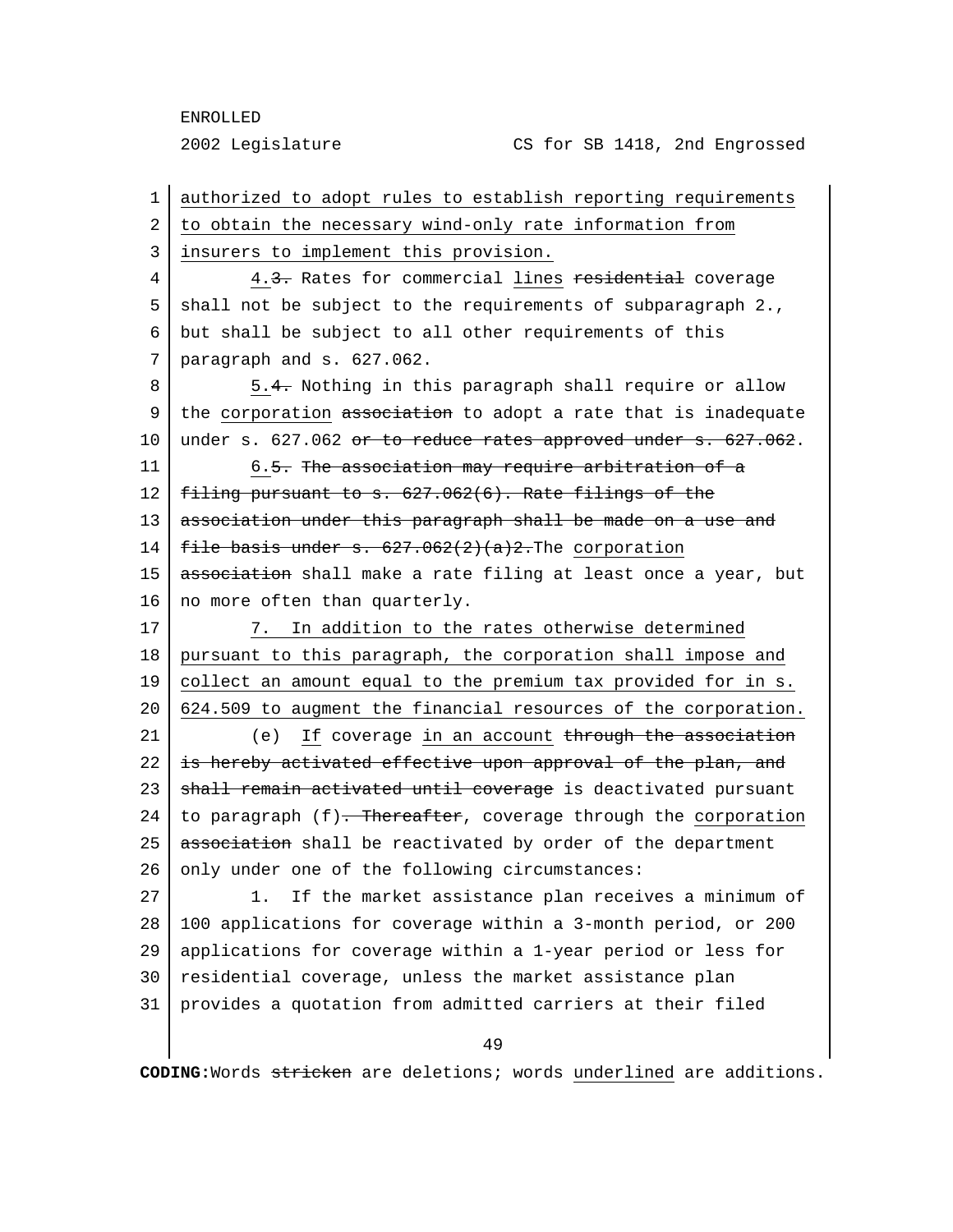1 authorized to adopt rules to establish reporting requirements 2 to obtain the necessary wind-only rate information from 3 insurers to implement this provision. 4 1.3. Rates for commercial lines residential coverage 5 shall not be subject to the requirements of subparagraph 2., 6 but shall be subject to all other requirements of this 7 paragraph and s. 627.062. 8 5.4. Nothing in this paragraph shall require or allow 9 | the corporation association to adopt a rate that is inadequate 10 under s.  $627.062$  or to reduce rates approved under s.  $627.062$ . 11 6.5. The association may require arbitration of a 12 | filing pursuant to s. 627.062(6). Rate filings of the 13 | association under this paragraph shall be made on a use and 14 | file basis under s.  $627.062(2)(a)2$ .The corporation 15 association shall make a rate filing at least once a year, but 16 no more often than quarterly. 17 7. In addition to the rates otherwise determined 18 pursuant to this paragraph, the corporation shall impose and 19 collect an amount equal to the premium tax provided for in s. 20 624.509 to augment the financial resources of the corporation. 21 (e) If coverage in an account through the association 22 is hereby activated effective upon approval of the plan, and 23 shall remain activated until coverage is deactivated pursuant 24 to paragraph  $(f)$ . Thereafter, coverage through the corporation  $25$  association shall be reactivated by order of the department 26 only under one of the following circumstances: 27 1. If the market assistance plan receives a minimum of 28 100 applications for coverage within a 3-month period, or 200 29 applications for coverage within a 1-year period or less for 30 residential coverage, unless the market assistance plan 31 provides a quotation from admitted carriers at their filed 49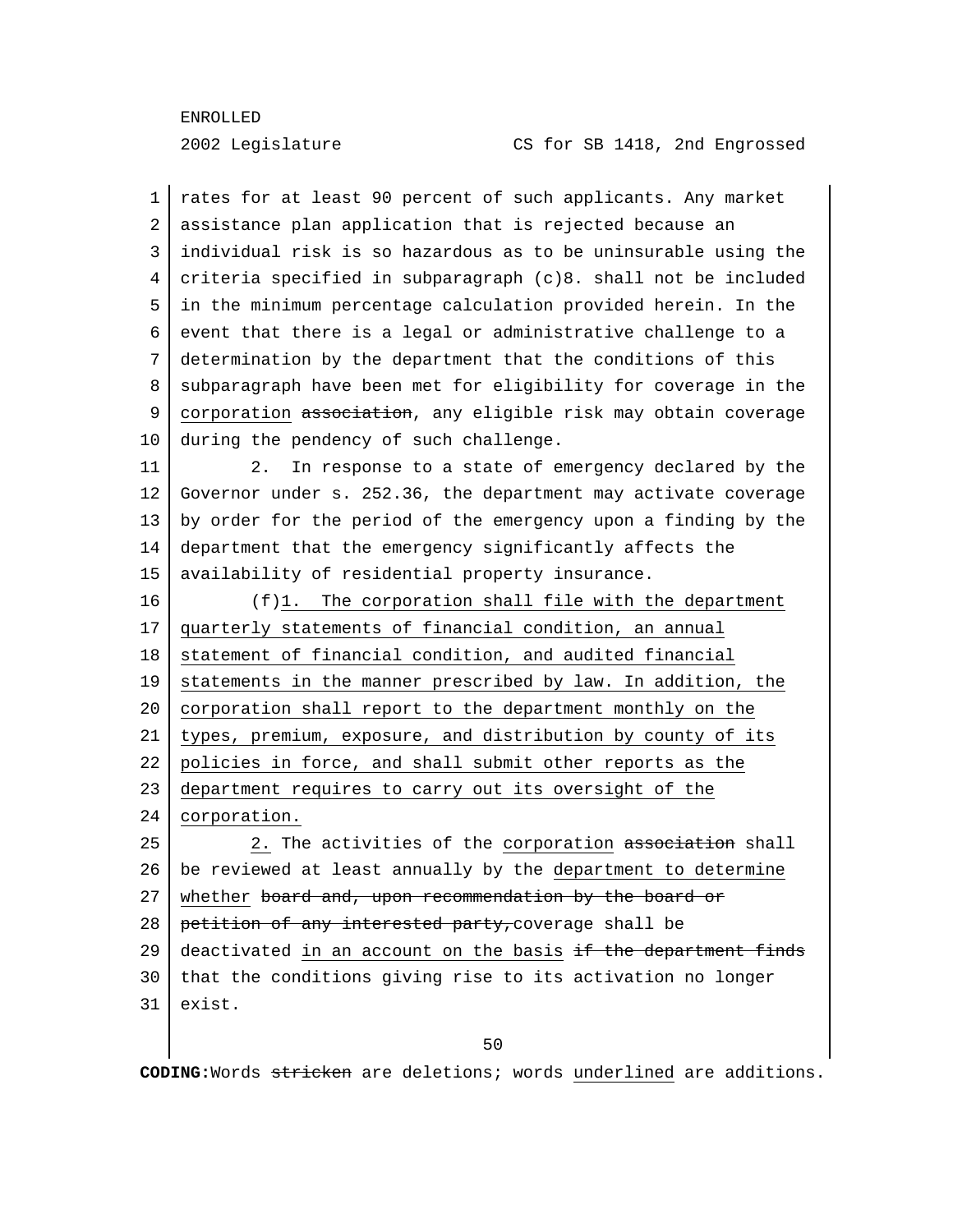### 2002 Legislature CS for SB 1418, 2nd Engrossed

 1 rates for at least 90 percent of such applicants. Any market 2 assistance plan application that is rejected because an 3 individual risk is so hazardous as to be uninsurable using the 4 criteria specified in subparagraph (c)8. shall not be included 5 in the minimum percentage calculation provided herein. In the 6 event that there is a legal or administrative challenge to a 7 determination by the department that the conditions of this 8 subparagraph have been met for eligibility for coverage in the 9 corporation association, any eligible risk may obtain coverage 10 during the pendency of such challenge.

11 2. In response to a state of emergency declared by the 12 Governor under s. 252.36, the department may activate coverage 13 by order for the period of the emergency upon a finding by the 14 department that the emergency significantly affects the 15 availability of residential property insurance.

16 (f)1. The corporation shall file with the department 17 quarterly statements of financial condition, an annual 18 statement of financial condition, and audited financial 19 statements in the manner prescribed by law. In addition, the 20 corporation shall report to the department monthly on the 21 types, premium, exposure, and distribution by county of its 22 policies in force, and shall submit other reports as the 23 department requires to carry out its oversight of the 24 corporation. 25 2. The activities of the corporation association shall 26 be reviewed at least annually by the department to determine 27 whether board and, upon recommendation by the board or 28 petition of any interested party, coverage shall be 29 deactivated in an account on the basis if the department finds 30 that the conditions giving rise to its activation no longer 31 exist.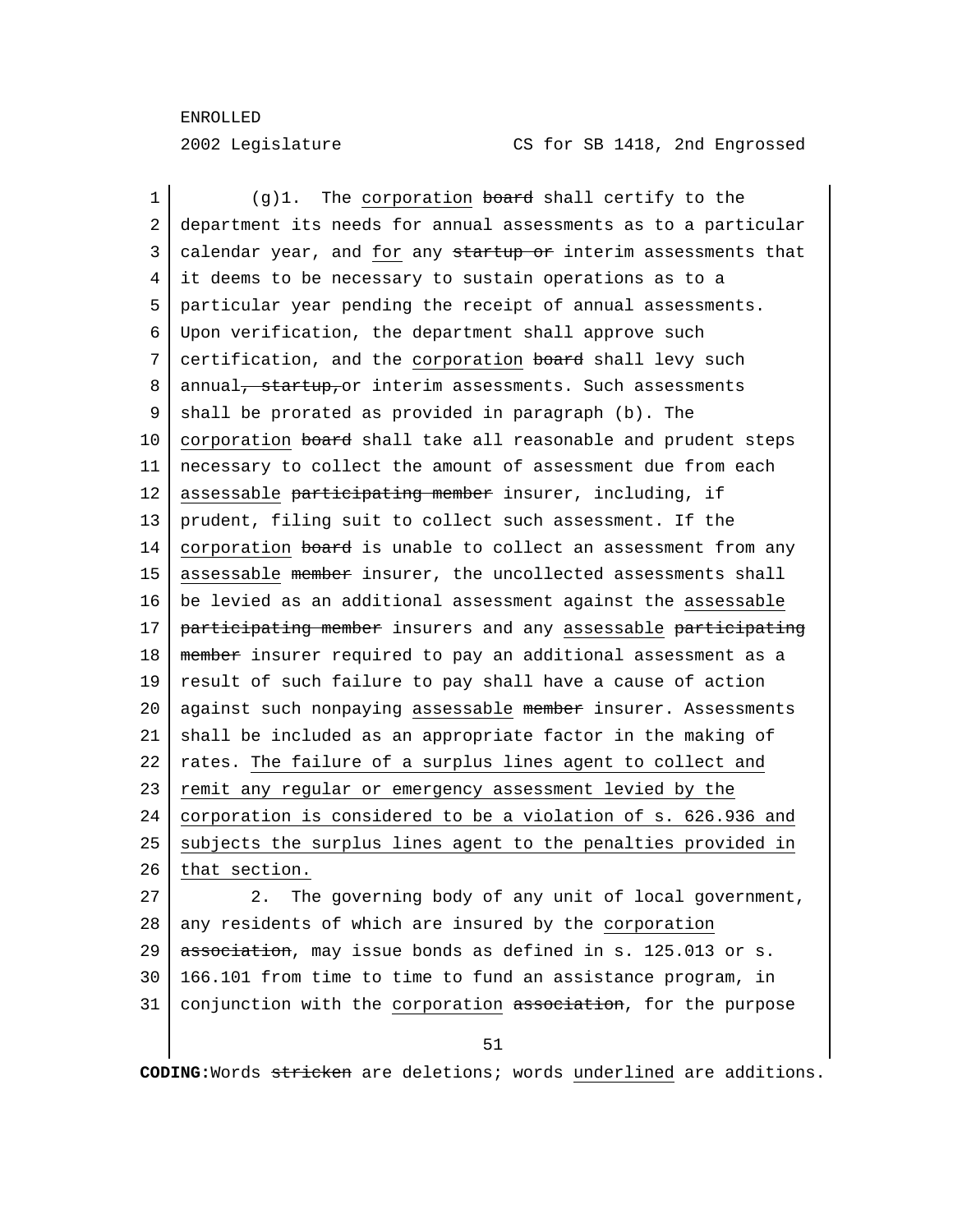### 2002 Legislature CS for SB 1418, 2nd Engrossed

1 (g)1. The corporation board shall certify to the 2 department its needs for annual assessments as to a particular 3 calendar year, and for any startup or interim assessments that 4 it deems to be necessary to sustain operations as to a 5 particular year pending the receipt of annual assessments. 6 Upon verification, the department shall approve such 7 certification, and the corporation board shall levy such 8 annual<del>, startup,</del> or interim assessments. Such assessments 9 shall be prorated as provided in paragraph (b). The 10 corporation board shall take all reasonable and prudent steps 11 necessary to collect the amount of assessment due from each 12 assessable participating member insurer, including, if 13 prudent, filing suit to collect such assessment. If the 14 corporation board is unable to collect an assessment from any 15 assessable member insurer, the uncollected assessments shall 16 be levied as an additional assessment against the assessable 17 participating member insurers and any assessable participating 18 | member insurer required to pay an additional assessment as a 19 result of such failure to pay shall have a cause of action 20 against such nonpaying assessable member insurer. Assessments 21 shall be included as an appropriate factor in the making of 22 rates. The failure of a surplus lines agent to collect and 23 remit any regular or emergency assessment levied by the 24 corporation is considered to be a violation of s. 626.936 and 25 subjects the surplus lines agent to the penalties provided in 26 that section. 27 2. The governing body of any unit of local government, 28 any residents of which are insured by the corporation 29  $\alpha$  association, may issue bonds as defined in s. 125.013 or s. 30 166.101 from time to time to fund an assistance program, in 31 conjunction with the corporation association, for the purpose  $\sim$  51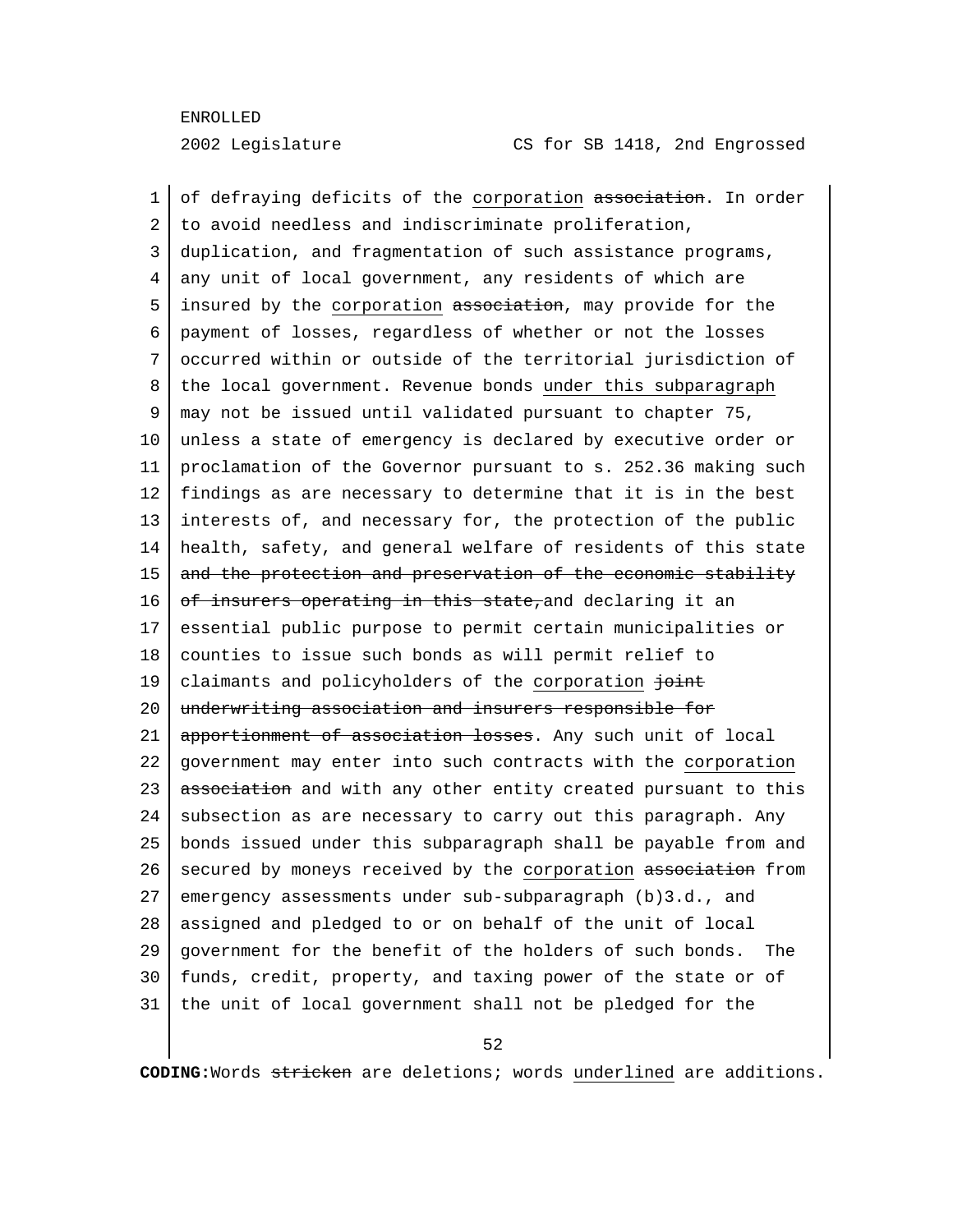### 2002 Legislature CS for SB 1418, 2nd Engrossed

1 of defraying deficits of the corporation association. In order 2 to avoid needless and indiscriminate proliferation, 3 duplication, and fragmentation of such assistance programs, 4 any unit of local government, any residents of which are 5 insured by the corporation association, may provide for the 6 payment of losses, regardless of whether or not the losses 7 occurred within or outside of the territorial jurisdiction of 8 the local government. Revenue bonds under this subparagraph 9 may not be issued until validated pursuant to chapter 75, 10 unless a state of emergency is declared by executive order or 11 proclamation of the Governor pursuant to s. 252.36 making such 12 findings as are necessary to determine that it is in the best 13 interests of, and necessary for, the protection of the public 14 health, safety, and general welfare of residents of this state 15 and the protection and preservation of the economic stability 16 of insurers operating in this state, and declaring it an 17 essential public purpose to permit certain municipalities or 18 counties to issue such bonds as will permit relief to 19 claimants and policyholders of the corporation joint 20 underwriting association and insurers responsible for 21 apportionment of association losses. Any such unit of local 22 government may enter into such contracts with the corporation 23 association and with any other entity created pursuant to this 24 subsection as are necessary to carry out this paragraph. Any 25 bonds issued under this subparagraph shall be payable from and 26 secured by moneys received by the corporation association from 27 emergency assessments under sub-subparagraph (b)3.d., and 28 assigned and pledged to or on behalf of the unit of local 29 government for the benefit of the holders of such bonds. The 30 funds, credit, property, and taxing power of the state or of 31 the unit of local government shall not be pledged for the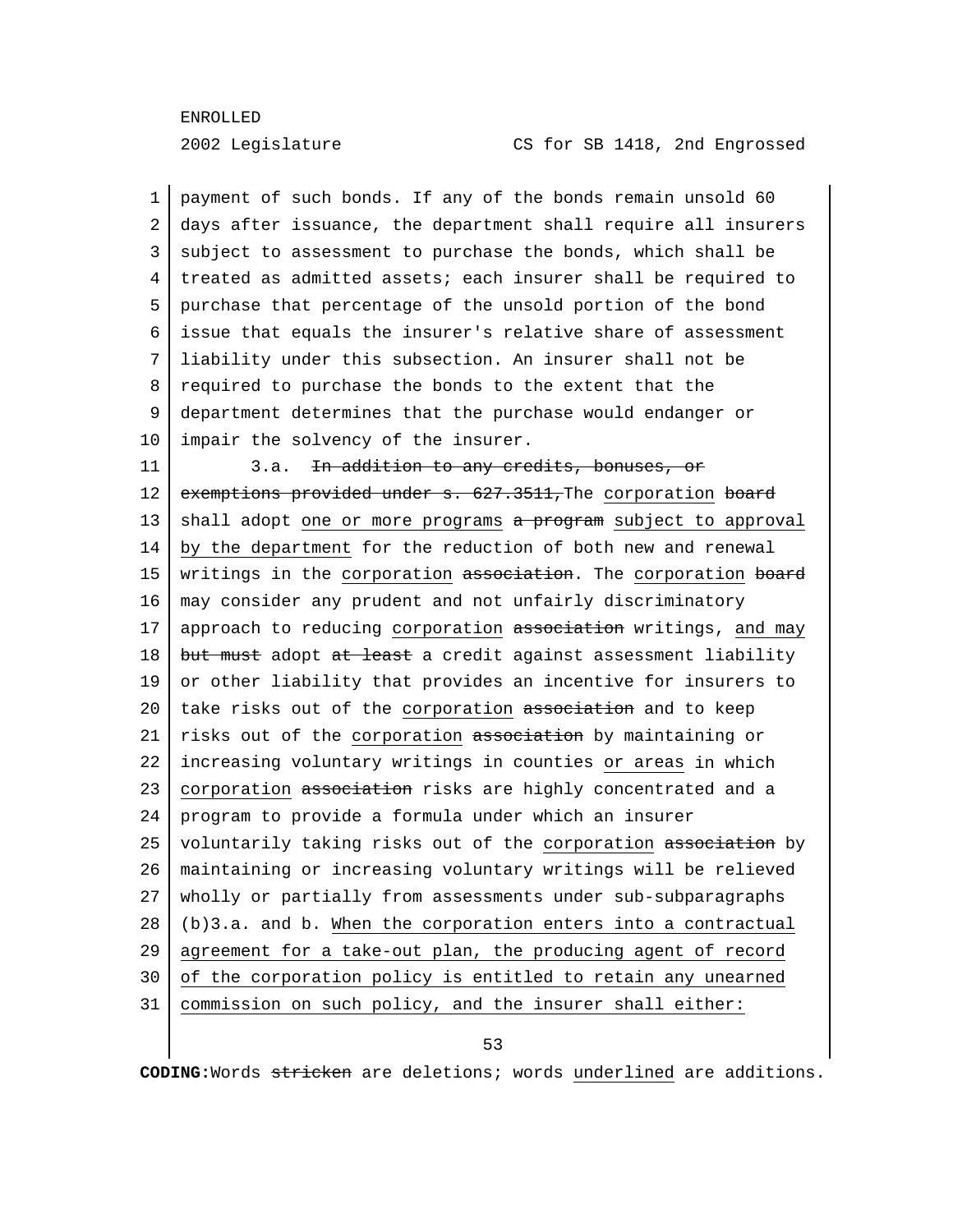### 2002 Legislature CS for SB 1418, 2nd Engrossed

 1 payment of such bonds. If any of the bonds remain unsold 60 2 days after issuance, the department shall require all insurers 3 subject to assessment to purchase the bonds, which shall be 4 treated as admitted assets; each insurer shall be required to 5 purchase that percentage of the unsold portion of the bond 6 issue that equals the insurer's relative share of assessment 7 liability under this subsection. An insurer shall not be 8 required to purchase the bonds to the extent that the 9 department determines that the purchase would endanger or 10 impair the solvency of the insurer.

11 3.a. <del>In addition to any credits, bonuses, or</del> 12 exemptions provided under s. 627.3511, The corporation board 13 shall adopt one or more programs a program subject to approval 14 by the department for the reduction of both new and renewal 15 writings in the corporation association. The corporation board 16 may consider any prudent and not unfairly discriminatory 17 approach to reducing corporation association writings, and may 18 but must adopt at least a credit against assessment liability 19 or other liability that provides an incentive for insurers to 20 take risks out of the corporation association and to keep 21 risks out of the corporation association by maintaining or 22 increasing voluntary writings in counties or areas in which 23 corporation association risks are highly concentrated and a 24 program to provide a formula under which an insurer 25 voluntarily taking risks out of the corporation association by 26 maintaining or increasing voluntary writings will be relieved 27 wholly or partially from assessments under sub-subparagraphs 28 (b)3.a. and b. When the corporation enters into a contractual 29 agreement for a take-out plan, the producing agent of record 30 of the corporation policy is entitled to retain any unearned 31 commission on such policy, and the insurer shall either:  $\sim$  53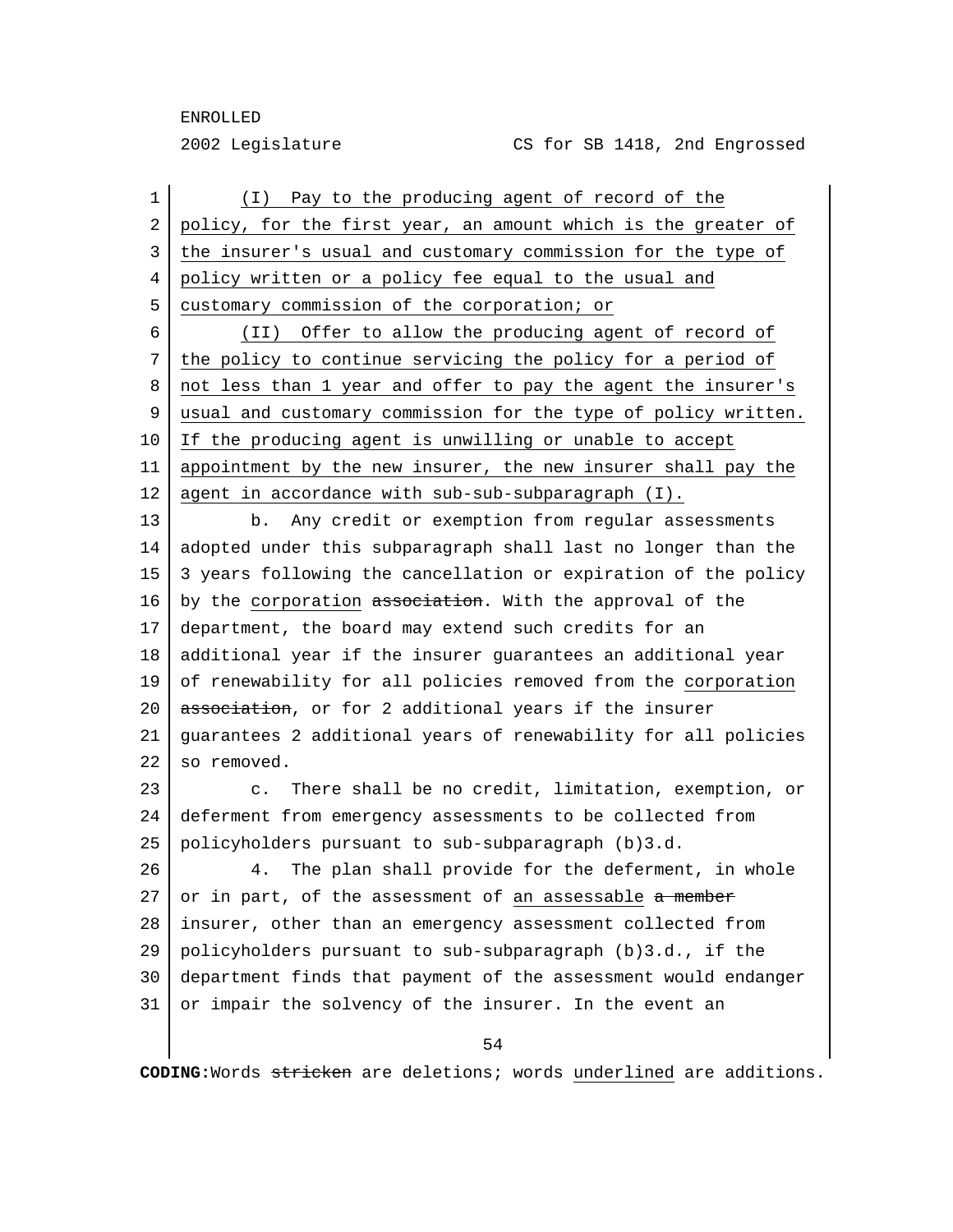### 2002 Legislature CS for SB 1418, 2nd Engrossed

 1 (I) Pay to the producing agent of record of the 2 policy, for the first year, an amount which is the greater of 3 the insurer's usual and customary commission for the type of 4 policy written or a policy fee equal to the usual and 5 customary commission of the corporation; or 6 (II) Offer to allow the producing agent of record of 7 the policy to continue servicing the policy for a period of 8 not less than 1 year and offer to pay the agent the insurer's 9 usual and customary commission for the type of policy written. 10 If the producing agent is unwilling or unable to accept 11 appointment by the new insurer, the new insurer shall pay the 12 agent in accordance with sub-sub-subparagraph (I). 13 b. Any credit or exemption from regular assessments 14 adopted under this subparagraph shall last no longer than the 15 3 years following the cancellation or expiration of the policy 16 by the corporation association. With the approval of the 17 department, the board may extend such credits for an 18 additional year if the insurer guarantees an additional year 19 of renewability for all policies removed from the corporation 20 | association, or for 2 additional years if the insurer 21 guarantees 2 additional years of renewability for all policies 22 so removed. 23 c. There shall be no credit, limitation, exemption, or 24 deferment from emergency assessments to be collected from 25 policyholders pursuant to sub-subparagraph (b)3.d. 26 4. The plan shall provide for the deferment, in whole  $27$  or in part, of the assessment of an assessable  $\alpha$  member 28 insurer, other than an emergency assessment collected from 29 policyholders pursuant to sub-subparagraph (b)3.d., if the 30 department finds that payment of the assessment would endanger 31 or impair the solvency of the insurer. In the event an  $\sim$  54 **CODING:**Words stricken are deletions; words underlined are additions.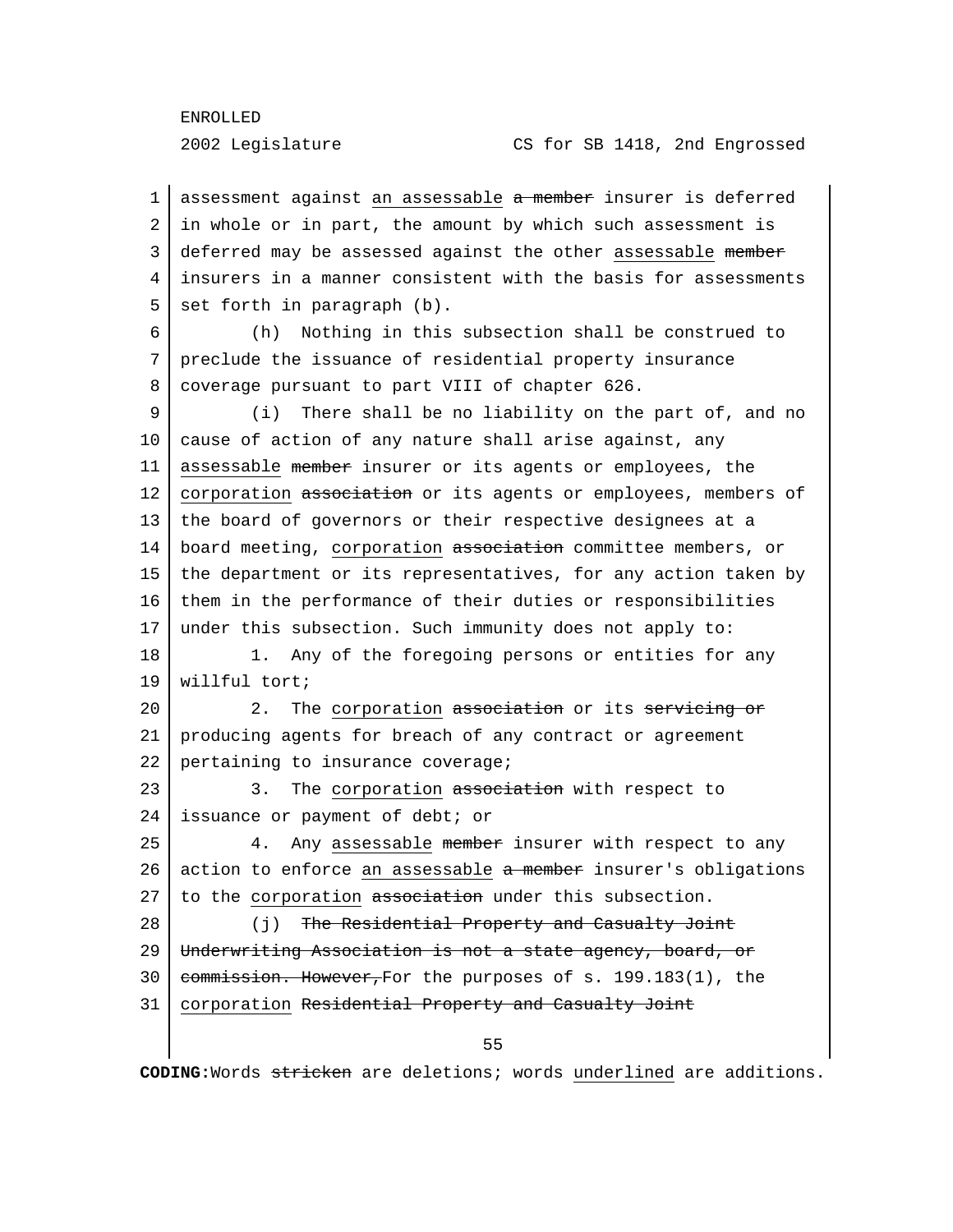### 2002 Legislature CS for SB 1418, 2nd Engrossed

1 assessment against an assessable a member insurer is deferred 2 in whole or in part, the amount by which such assessment is 3 deferred may be assessed against the other assessable member 4 insurers in a manner consistent with the basis for assessments 5 set forth in paragraph (b). 6 (h) Nothing in this subsection shall be construed to 7 preclude the issuance of residential property insurance 8 coverage pursuant to part VIII of chapter 626. 9 (i) There shall be no liability on the part of, and no 10 cause of action of any nature shall arise against, any 11 assessable member insurer or its agents or employees, the 12 corporation association or its agents or employees, members of 13 the board of governors or their respective designees at a 14 board meeting, corporation association committee members, or 15 the department or its representatives, for any action taken by 16 them in the performance of their duties or responsibilities 17 under this subsection. Such immunity does not apply to: 18 1. Any of the foregoing persons or entities for any 19 willful tort; 20 2. The corporation association or its servicing or 21 producing agents for breach of any contract or agreement 22 pertaining to insurance coverage; 23 3. The corporation association with respect to 24 issuance or payment of debt; or 25 4. Any assessable member insurer with respect to any 26 action to enforce an assessable  $\alpha$  member insurer's obligations 27 to the corporation  $\alpha$ ssociation under this subsection. 28 (j) The Residential Property and Casualty Joint 29 Underwriting Association is not a state agency, board, or 30 **commission.** However, For the purposes of s. 199.183(1), the 31 corporation Residential Property and Casualty Joint  $\sim$  55 **CODING:**Words stricken are deletions; words underlined are additions.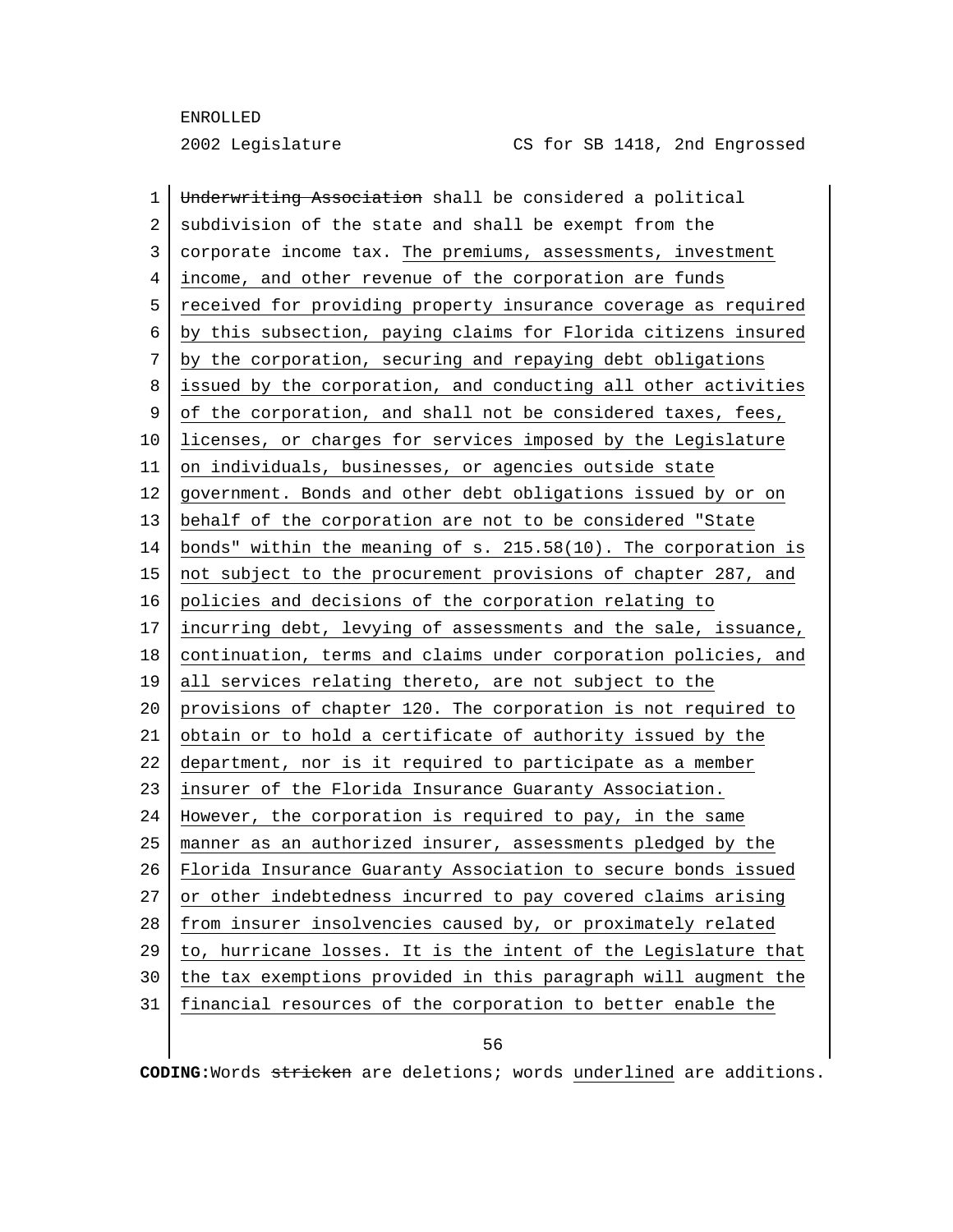1 Underwriting Association shall be considered a political 2 subdivision of the state and shall be exempt from the 3 corporate income tax. The premiums, assessments, investment 4 income, and other revenue of the corporation are funds 5 received for providing property insurance coverage as required 6 by this subsection, paying claims for Florida citizens insured 7 by the corporation, securing and repaying debt obligations 8 issued by the corporation, and conducting all other activities 9 of the corporation, and shall not be considered taxes, fees, 10 licenses, or charges for services imposed by the Legislature 11 on individuals, businesses, or agencies outside state 12 government. Bonds and other debt obligations issued by or on 13 behalf of the corporation are not to be considered "State 14 bonds" within the meaning of s. 215.58(10). The corporation is 15 not subject to the procurement provisions of chapter 287, and 16 policies and decisions of the corporation relating to 17 incurring debt, levying of assessments and the sale, issuance, 18 continuation, terms and claims under corporation policies, and 19 all services relating thereto, are not subject to the 20 provisions of chapter 120. The corporation is not required to 21 obtain or to hold a certificate of authority issued by the 22 department, nor is it required to participate as a member 23 insurer of the Florida Insurance Guaranty Association. 24 However, the corporation is required to pay, in the same 25 manner as an authorized insurer, assessments pledged by the 26 Florida Insurance Guaranty Association to secure bonds issued 27 or other indebtedness incurred to pay covered claims arising 28 from insurer insolvencies caused by, or proximately related 29 to, hurricane losses. It is the intent of the Legislature that 30 the tax exemptions provided in this paragraph will augment the 31 financial resources of the corporation to better enable the  $\sim$  56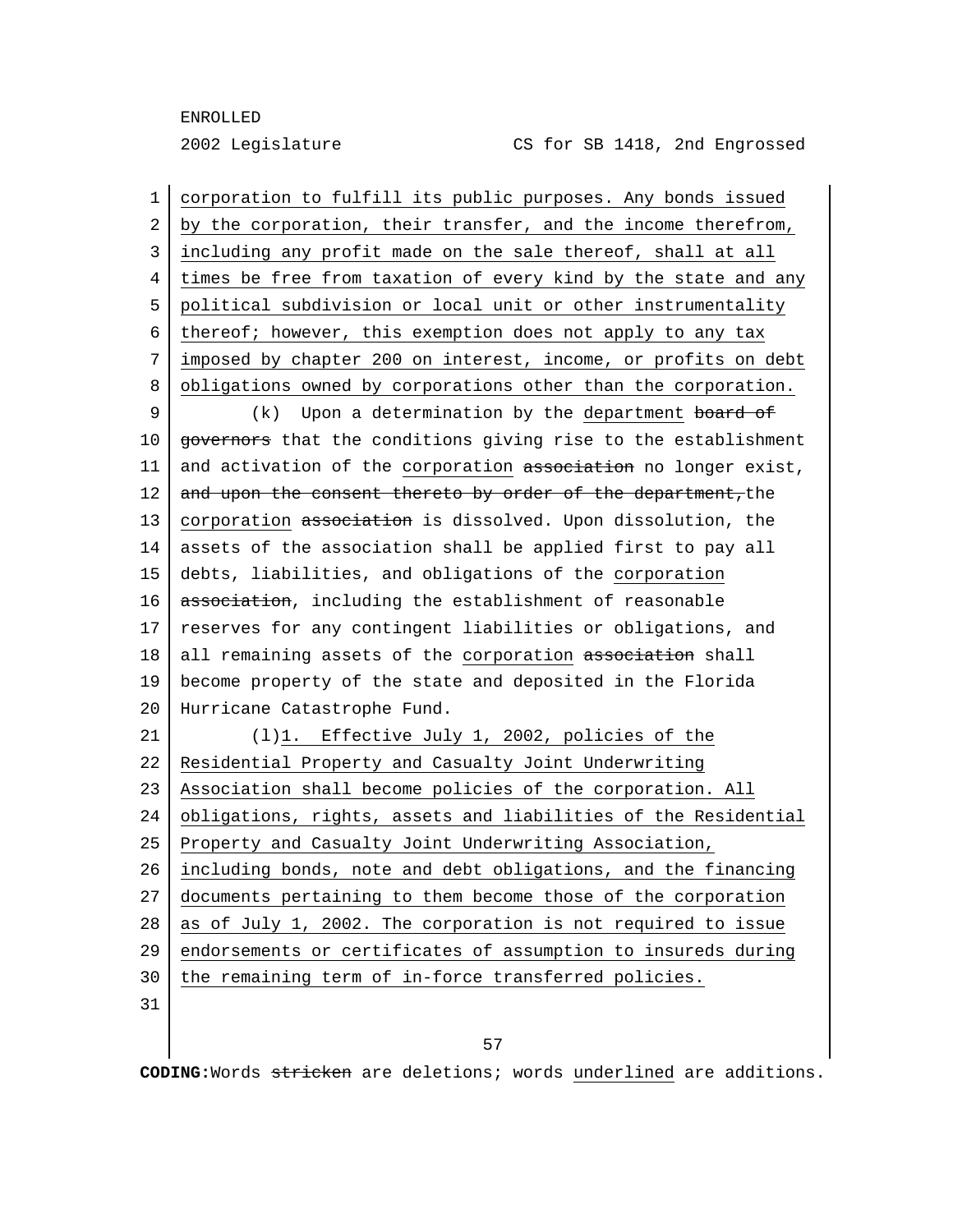### 2002 Legislature CS for SB 1418, 2nd Engrossed

 1 corporation to fulfill its public purposes. Any bonds issued 2 by the corporation, their transfer, and the income therefrom, 3 including any profit made on the sale thereof, shall at all 4 times be free from taxation of every kind by the state and any 5 political subdivision or local unit or other instrumentality 6 thereof; however, this exemption does not apply to any tax 7 imposed by chapter 200 on interest, income, or profits on debt 8 obligations owned by corporations other than the corporation. 9 (k) Upon a determination by the department board of 10 governors that the conditions giving rise to the establishment 11 and activation of the corporation association no longer exist, 12 and upon the consent thereto by order of the department, the 13 corporation association is dissolved. Upon dissolution, the 14 assets of the association shall be applied first to pay all 15 debts, liabilities, and obligations of the corporation 16 association, including the establishment of reasonable 17 reserves for any contingent liabilities or obligations, and 18 all remaining assets of the corporation association shall 19 become property of the state and deposited in the Florida 20 Hurricane Catastrophe Fund. 21 (l)1. Effective July 1, 2002, policies of the 22 Residential Property and Casualty Joint Underwriting 23 Association shall become policies of the corporation. All 24 obligations, rights, assets and liabilities of the Residential 25 Property and Casualty Joint Underwriting Association, 26 including bonds, note and debt obligations, and the financing 27 documents pertaining to them become those of the corporation 28 as of July 1, 2002. The corporation is not required to issue 29 endorsements or certificates of assumption to insureds during 30 the remaining term of in-force transferred policies. 31 57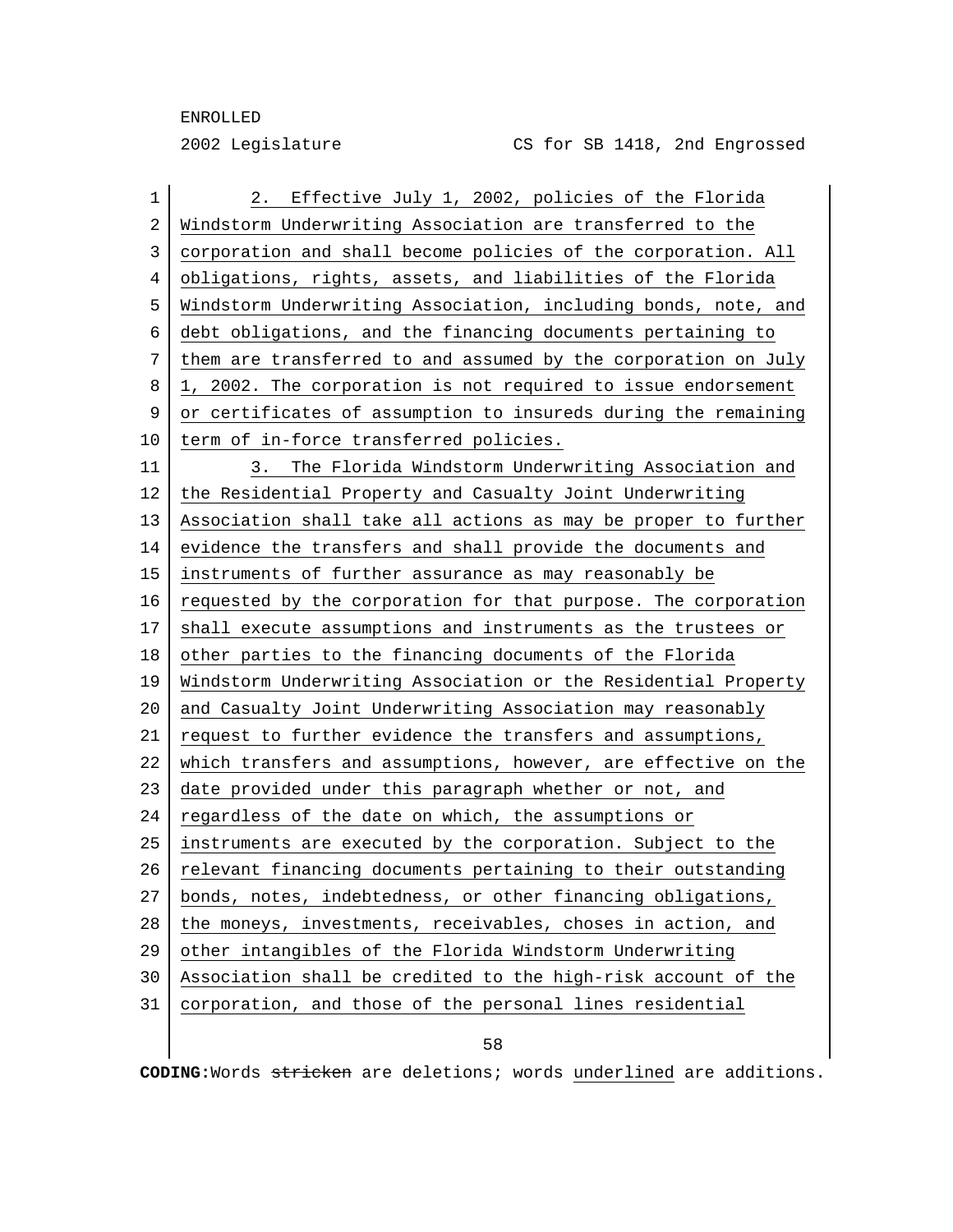# 2002 Legislature CS for SB 1418, 2nd Engrossed

| 1  | 2. Effective July 1, 2002, policies of the Florida             |
|----|----------------------------------------------------------------|
| 2  | Windstorm Underwriting Association are transferred to the      |
| 3  | corporation and shall become policies of the corporation. All  |
| 4  | obligations, rights, assets, and liabilities of the Florida    |
| 5  | Windstorm Underwriting Association, including bonds, note, and |
| 6  | debt obligations, and the financing documents pertaining to    |
| 7  | them are transferred to and assumed by the corporation on July |
| 8  | 1, 2002. The corporation is not required to issue endorsement  |
| 9  | or certificates of assumption to insureds during the remaining |
| 10 | term of in-force transferred policies.                         |
| 11 | 3. The Florida Windstorm Underwriting Association and          |
| 12 | the Residential Property and Casualty Joint Underwriting       |
| 13 | Association shall take all actions as may be proper to further |
| 14 | evidence the transfers and shall provide the documents and     |
| 15 | instruments of further assurance as may reasonably be          |
| 16 | requested by the corporation for that purpose. The corporation |
| 17 | shall execute assumptions and instruments as the trustees or   |
| 18 | other parties to the financing documents of the Florida        |
| 19 | Windstorm Underwriting Association or the Residential Property |
| 20 | and Casualty Joint Underwriting Association may reasonably     |
| 21 | request to further evidence the transfers and assumptions,     |
| 22 | which transfers and assumptions, however, are effective on the |
| 23 | date provided under this paragraph whether or not, and         |
| 24 | regardless of the date on which, the assumptions or            |
| 25 | instruments are executed by the corporation. Subject to the    |
| 26 | relevant financing documents pertaining to their outstanding   |
| 27 | bonds, notes, indebtedness, or other financing obligations,    |
| 28 | the moneys, investments, receivables, choses in action, and    |
| 29 | other intangibles of the Florida Windstorm Underwriting        |
| 30 | Association shall be credited to the high-risk account of the  |
| 31 | corporation, and those of the personal lines residential       |
|    | 58                                                             |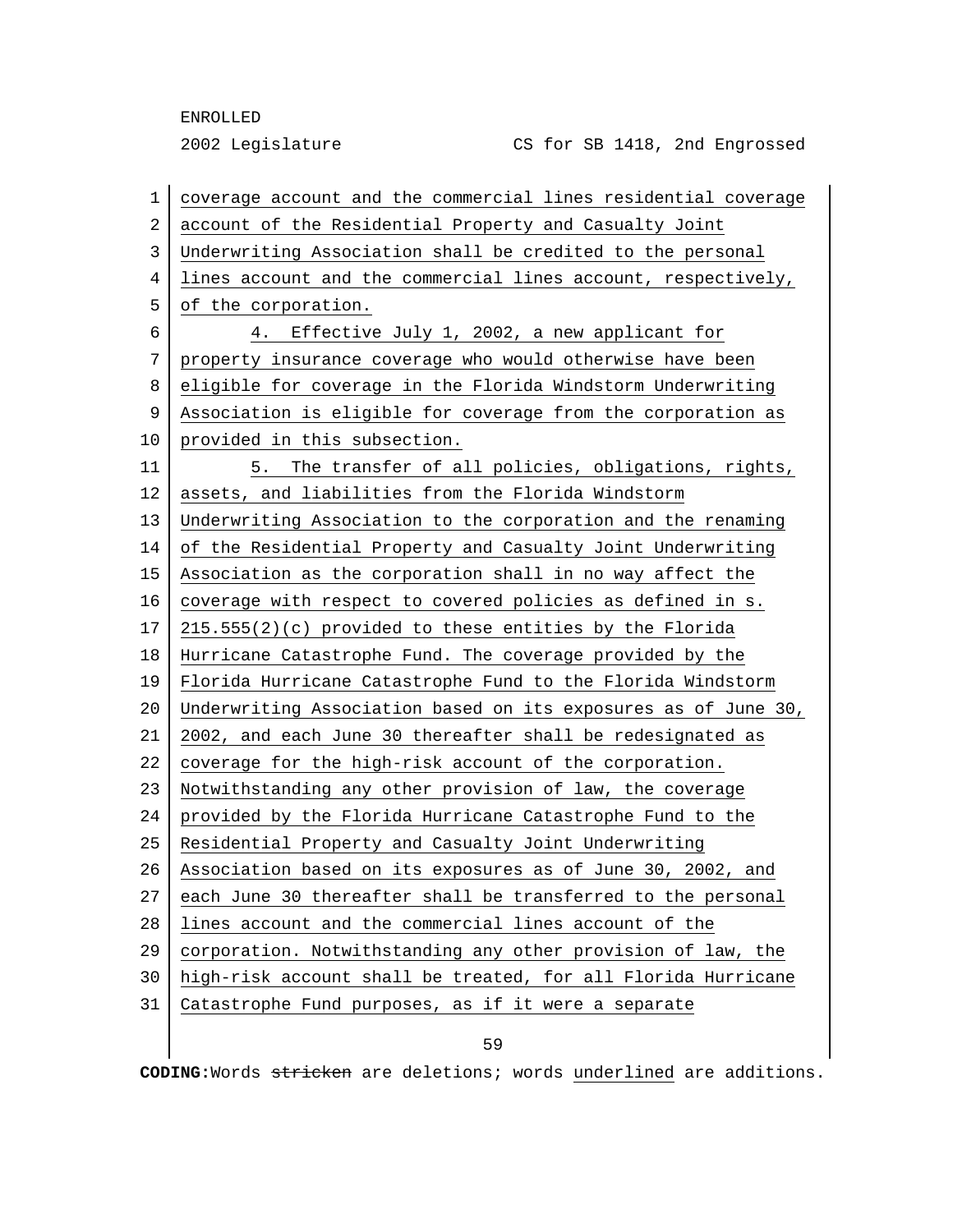1 coverage account and the commercial lines residential coverage 2 account of the Residential Property and Casualty Joint 3 Underwriting Association shall be credited to the personal 4 lines account and the commercial lines account, respectively, 5 of the corporation. 6 4. Effective July 1, 2002, a new applicant for 7 property insurance coverage who would otherwise have been 8 eligible for coverage in the Florida Windstorm Underwriting 9 Association is eligible for coverage from the corporation as 10 provided in this subsection. 11 5. The transfer of all policies, obligations, rights, 12 assets, and liabilities from the Florida Windstorm 13 Underwriting Association to the corporation and the renaming 14 of the Residential Property and Casualty Joint Underwriting 15 Association as the corporation shall in no way affect the 16 coverage with respect to covered policies as defined in s. 17 215.555(2)(c) provided to these entities by the Florida 18 Hurricane Catastrophe Fund. The coverage provided by the 19 Florida Hurricane Catastrophe Fund to the Florida Windstorm 20 Underwriting Association based on its exposures as of June 30, 21 2002, and each June 30 thereafter shall be redesignated as 22 coverage for the high-risk account of the corporation. 23 Notwithstanding any other provision of law, the coverage 24 provided by the Florida Hurricane Catastrophe Fund to the 25 Residential Property and Casualty Joint Underwriting 26 Association based on its exposures as of June 30, 2002, and 27 each June 30 thereafter shall be transferred to the personal 28 lines account and the commercial lines account of the 29 corporation. Notwithstanding any other provision of law, the 30 high-risk account shall be treated, for all Florida Hurricane 31 Catastrophe Fund purposes, as if it were a separate <u>59</u>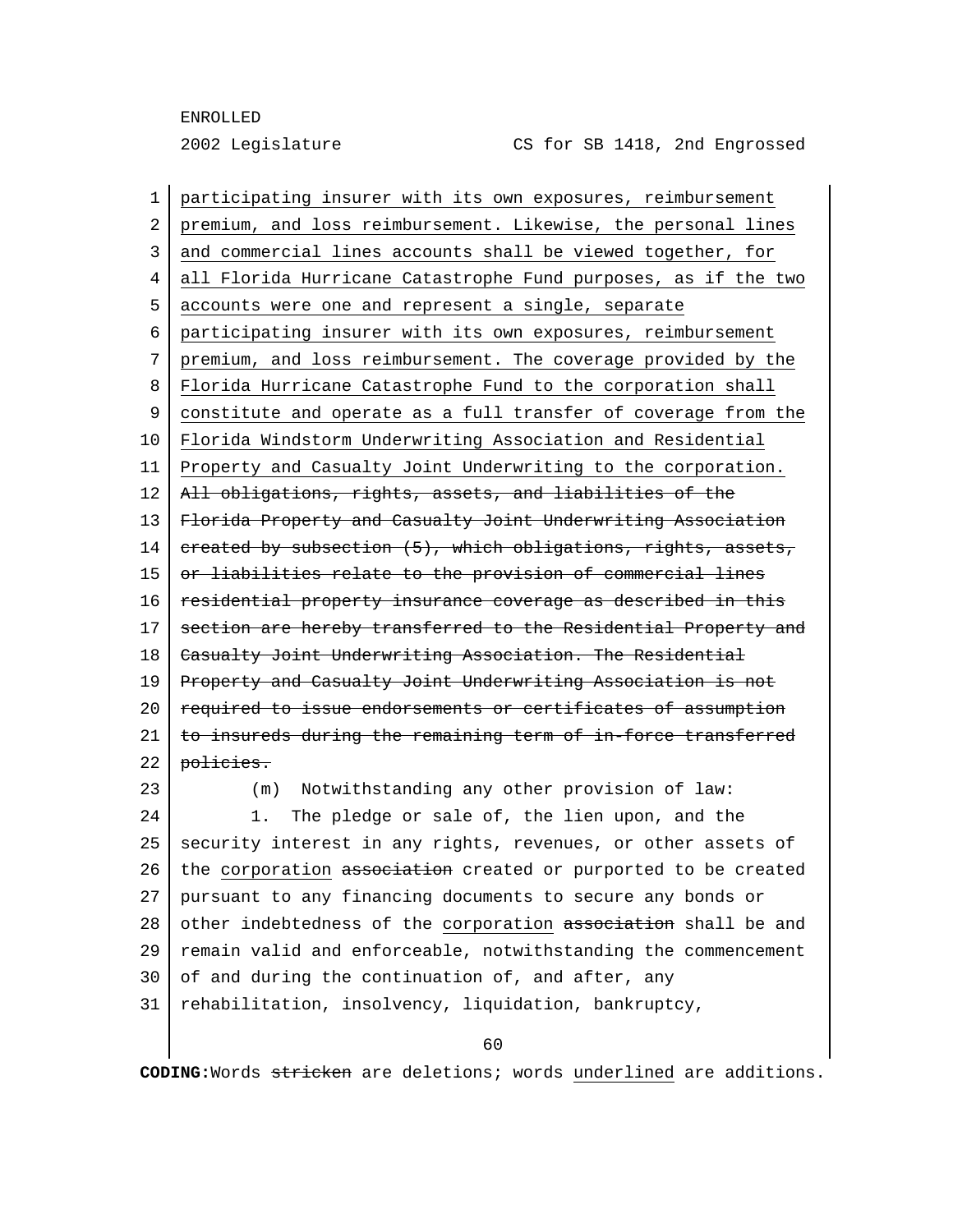### 2002 Legislature CS for SB 1418, 2nd Engrossed

 1 participating insurer with its own exposures, reimbursement 2 premium, and loss reimbursement. Likewise, the personal lines 3 and commercial lines accounts shall be viewed together, for 4 all Florida Hurricane Catastrophe Fund purposes, as if the two 5 accounts were one and represent a single, separate 6 participating insurer with its own exposures, reimbursement 7 premium, and loss reimbursement. The coverage provided by the 8 Florida Hurricane Catastrophe Fund to the corporation shall 9 constitute and operate as a full transfer of coverage from the 10 Florida Windstorm Underwriting Association and Residential 11 Property and Casualty Joint Underwriting to the corporation. 12 All obligations, rights, assets, and liabilities of the 13 Florida Property and Casualty Joint Underwriting Association 14 created by subsection (5), which obligations, rights, assets, 15 or liabilities relate to the provision of commercial lines 16 residential property insurance coverage as described in this 17 section are hereby transferred to the Residential Property and 18 | Casualty Joint Underwriting Association. The Residential 19 Property and Casualty Joint Underwriting Association is not 20 required to issue endorsements or certificates of assumption 21 | to insureds during the remaining term of in-force transferred 22 policies. 23 (m) Notwithstanding any other provision of law:

24 1. The pledge or sale of, the lien upon, and the 25 security interest in any rights, revenues, or other assets of 26 the corporation association created or purported to be created 27 pursuant to any financing documents to secure any bonds or 28 other indebtedness of the corporation association shall be and 29 remain valid and enforceable, notwithstanding the commencement  $30$  of and during the continuation of, and after, any 31 rehabilitation, insolvency, liquidation, bankruptcy,

**60**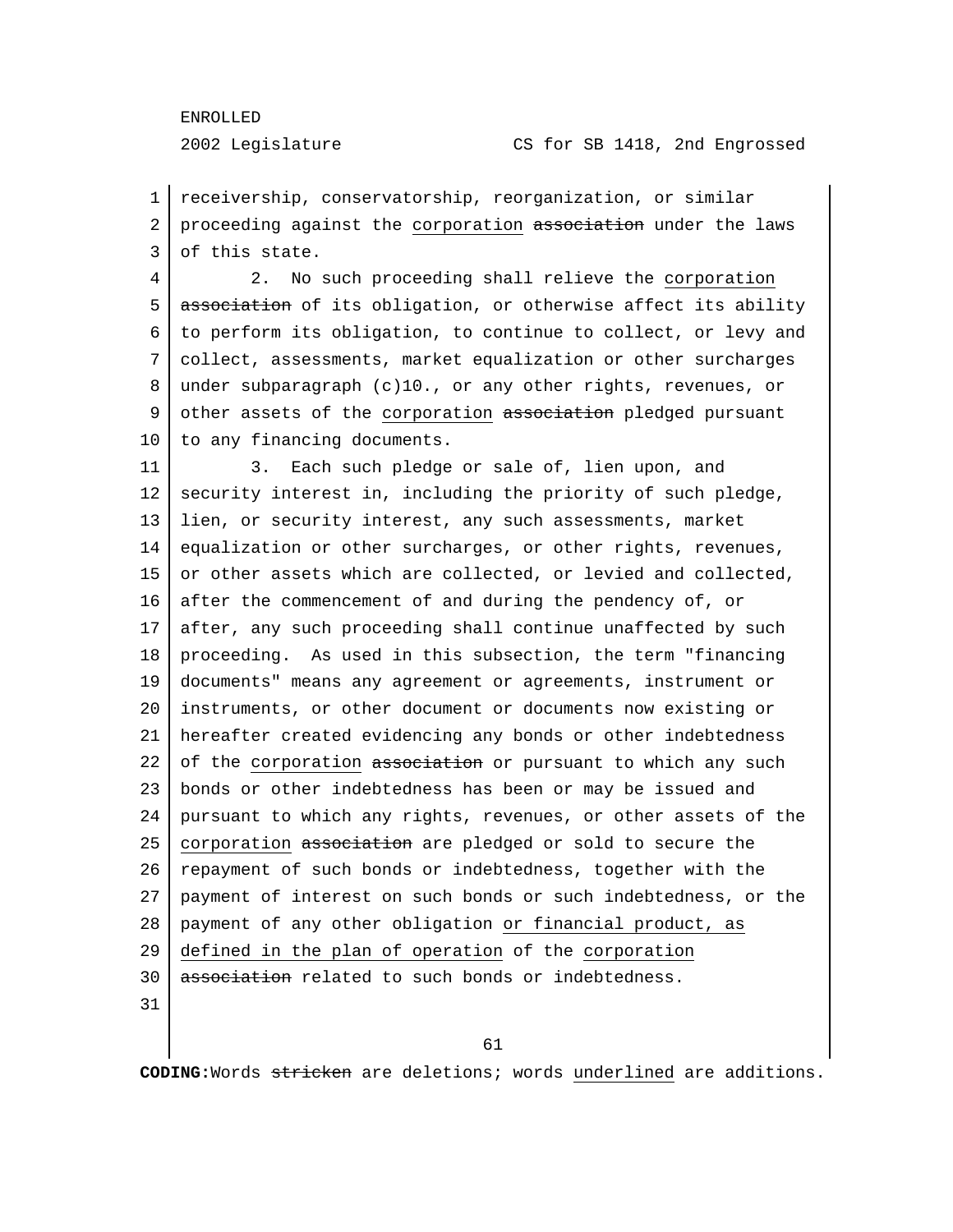### 2002 Legislature CS for SB 1418, 2nd Engrossed

 1 receivership, conservatorship, reorganization, or similar 2 proceeding against the corporation association under the laws 3 of this state.

 4 2. No such proceeding shall relieve the corporation 5 association of its obligation, or otherwise affect its ability 6 to perform its obligation, to continue to collect, or levy and 7 collect, assessments, market equalization or other surcharges 8 under subparagraph (c)10., or any other rights, revenues, or 9 other assets of the corporation association pledged pursuant 10 to any financing documents.

11 3. Each such pledge or sale of, lien upon, and 12 security interest in, including the priority of such pledge, 13 lien, or security interest, any such assessments, market 14 equalization or other surcharges, or other rights, revenues, 15 or other assets which are collected, or levied and collected, 16 after the commencement of and during the pendency of, or 17 after, any such proceeding shall continue unaffected by such 18 proceeding. As used in this subsection, the term "financing 19 documents" means any agreement or agreements, instrument or 20 instruments, or other document or documents now existing or 21 hereafter created evidencing any bonds or other indebtedness 22 of the corporation association or pursuant to which any such 23 bonds or other indebtedness has been or may be issued and 24 pursuant to which any rights, revenues, or other assets of the 25 corporation association are pledged or sold to secure the 26 repayment of such bonds or indebtedness, together with the 27 payment of interest on such bonds or such indebtedness, or the 28 payment of any other obligation or financial product, as 29 defined in the plan of operation of the corporation 30 | association related to such bonds or indebtedness. 31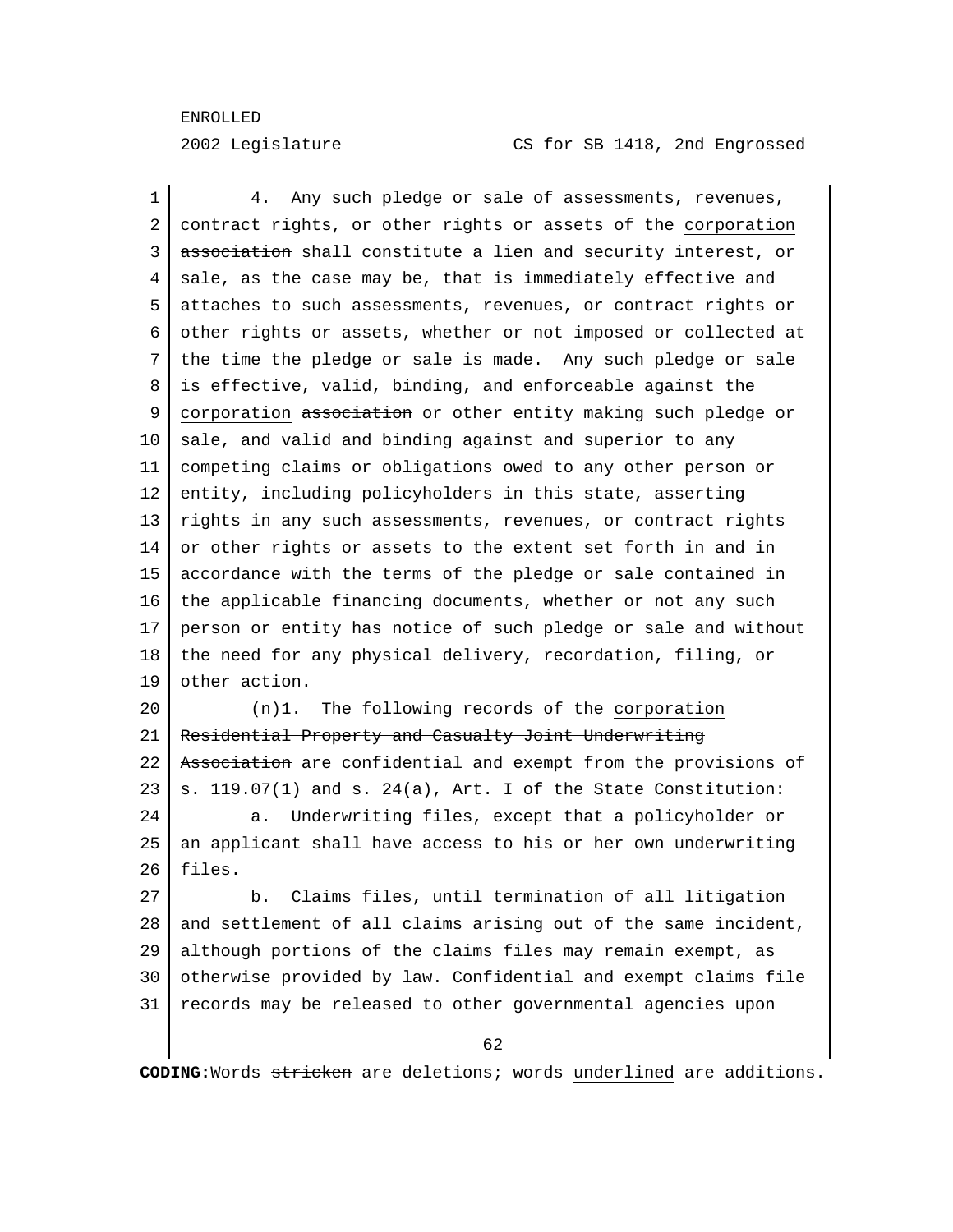### 2002 Legislature CS for SB 1418, 2nd Engrossed

1 4. Any such pledge or sale of assessments, revenues, 2 contract rights, or other rights or assets of the corporation 3 association shall constitute a lien and security interest, or 4 sale, as the case may be, that is immediately effective and 5 attaches to such assessments, revenues, or contract rights or 6 other rights or assets, whether or not imposed or collected at 7 the time the pledge or sale is made. Any such pledge or sale 8 is effective, valid, binding, and enforceable against the 9 corporation association or other entity making such pledge or 10 sale, and valid and binding against and superior to any 11 competing claims or obligations owed to any other person or 12 entity, including policyholders in this state, asserting 13 rights in any such assessments, revenues, or contract rights 14 or other rights or assets to the extent set forth in and in 15 accordance with the terms of the pledge or sale contained in 16 the applicable financing documents, whether or not any such 17 person or entity has notice of such pledge or sale and without 18 the need for any physical delivery, recordation, filing, or 19 other action.

20 (n)1. The following records of the corporation 21 Residential Property and Casualty Joint Underwriting 22 Association are confidential and exempt from the provisions of 23  $s. 119.07(1)$  and s. 24(a), Art. I of the State Constitution: 24 a. Underwriting files, except that a policyholder or 25 an applicant shall have access to his or her own underwriting

26 files.

27 b. Claims files, until termination of all litigation 28 and settlement of all claims arising out of the same incident, 29 although portions of the claims files may remain exempt, as 30 otherwise provided by law. Confidential and exempt claims file 31 records may be released to other governmental agencies upon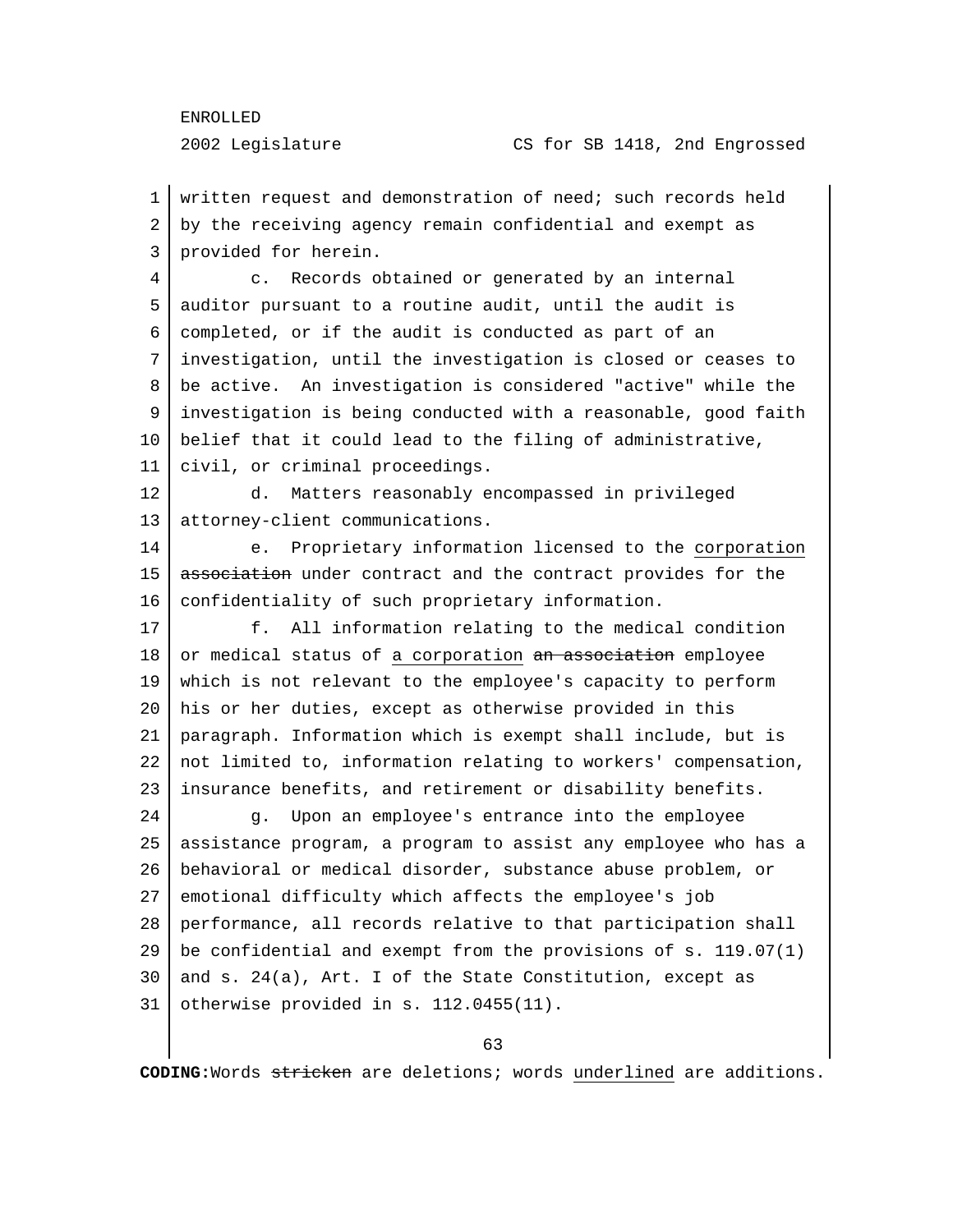### 2002 Legislature CS for SB 1418, 2nd Engrossed

 1 written request and demonstration of need; such records held 2 by the receiving agency remain confidential and exempt as 3 provided for herein. 4 c. Records obtained or generated by an internal 5 auditor pursuant to a routine audit, until the audit is 6 completed, or if the audit is conducted as part of an 7 investigation, until the investigation is closed or ceases to 8 be active. An investigation is considered "active" while the 9 investigation is being conducted with a reasonable, good faith 10 belief that it could lead to the filing of administrative, 11 civil, or criminal proceedings. 12 d. Matters reasonably encompassed in privileged 13 attorney-client communications. 14 e. Proprietary information licensed to the corporation 15 association under contract and the contract provides for the 16 confidentiality of such proprietary information. 17 f. All information relating to the medical condition 18 or medical status of a corporation an association employee 19 which is not relevant to the employee's capacity to perform 20 his or her duties, except as otherwise provided in this 21 paragraph. Information which is exempt shall include, but is 22 not limited to, information relating to workers' compensation, 23 insurance benefits, and retirement or disability benefits. 24 g. Upon an employee's entrance into the employee 25 assistance program, a program to assist any employee who has a 26 behavioral or medical disorder, substance abuse problem, or 27 emotional difficulty which affects the employee's job 28 performance, all records relative to that participation shall 29 be confidential and exempt from the provisions of  $s. 119.07(1)$ 30 and s. 24(a), Art. I of the State Constitution, except as 31 otherwise provided in s. 112.0455(11).  $\sim$  63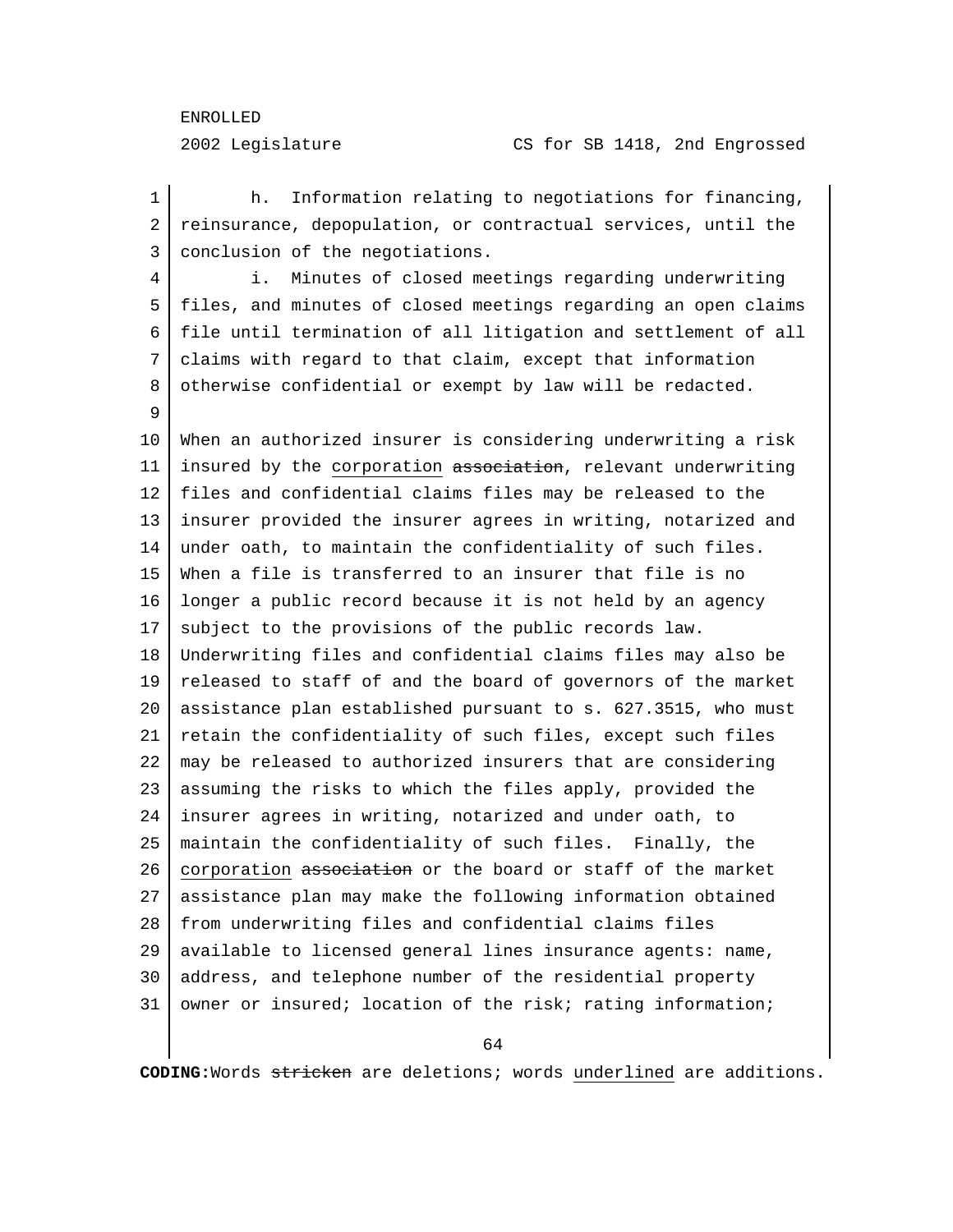### 2002 Legislature CS for SB 1418, 2nd Engrossed

1 h. Information relating to negotiations for financing, 2 reinsurance, depopulation, or contractual services, until the 3 conclusion of the negotiations. 4 i. Minutes of closed meetings regarding underwriting 5 files, and minutes of closed meetings regarding an open claims 6 file until termination of all litigation and settlement of all 7 claims with regard to that claim, except that information 8 otherwise confidential or exempt by law will be redacted. 9 10 When an authorized insurer is considering underwriting a risk 11 insured by the corporation association, relevant underwriting 12 files and confidential claims files may be released to the 13 insurer provided the insurer agrees in writing, notarized and 14 under oath, to maintain the confidentiality of such files. 15 When a file is transferred to an insurer that file is no 16 longer a public record because it is not held by an agency 17 subject to the provisions of the public records law. 18 Underwriting files and confidential claims files may also be 19 released to staff of and the board of governors of the market 20 assistance plan established pursuant to s. 627.3515, who must 21 retain the confidentiality of such files, except such files 22 may be released to authorized insurers that are considering 23 assuming the risks to which the files apply, provided the 24 insurer agrees in writing, notarized and under oath, to 25 maintain the confidentiality of such files. Finally, the 26 corporation association or the board or staff of the market 27 assistance plan may make the following information obtained 28 from underwriting files and confidential claims files 29 available to licensed general lines insurance agents: name, 30 address, and telephone number of the residential property 31 owner or insured; location of the risk; rating information;  $\sim$  64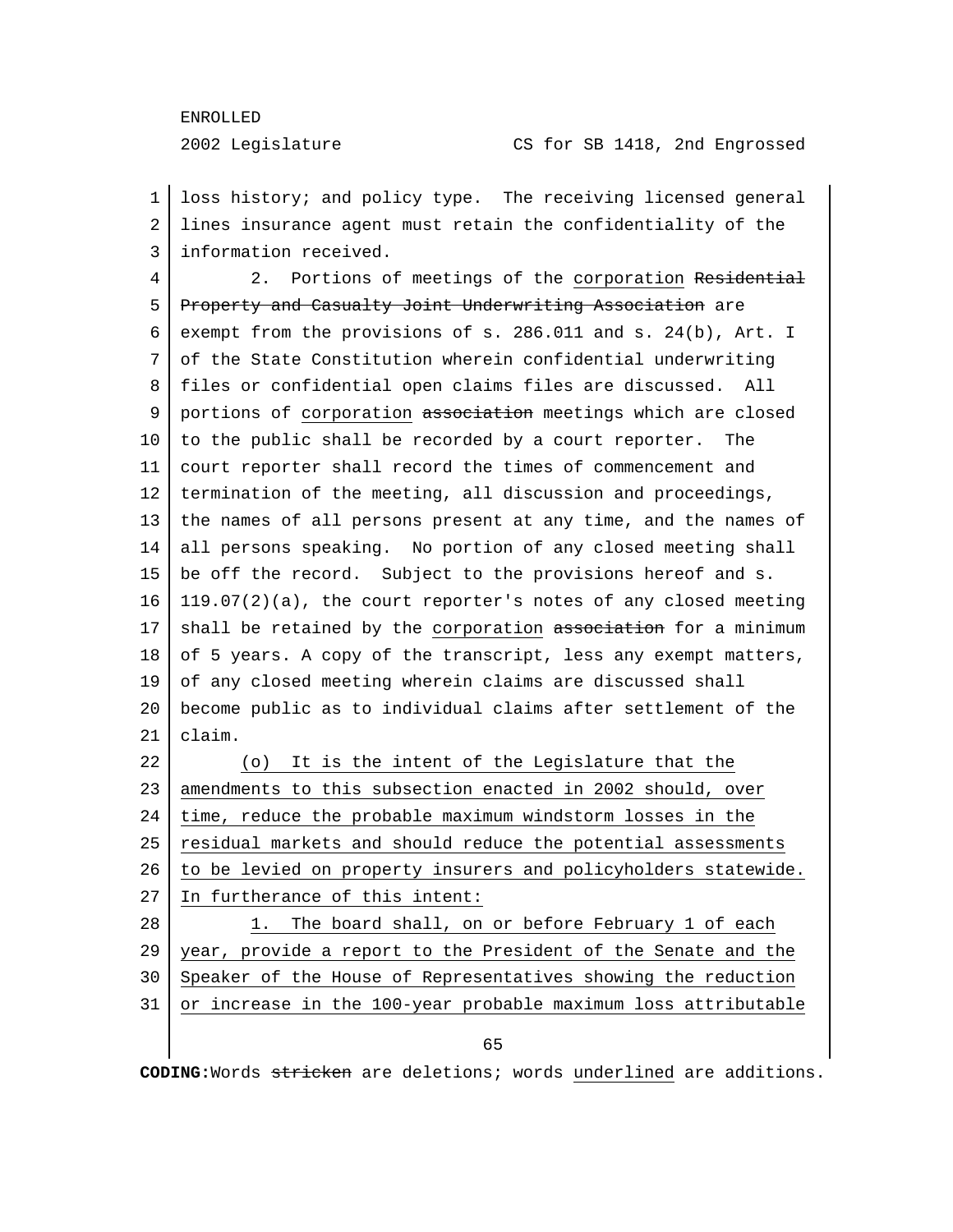### 2002 Legislature CS for SB 1418, 2nd Engrossed

 1 loss history; and policy type. The receiving licensed general 2 lines insurance agent must retain the confidentiality of the 3 information received.

4 2. Portions of meetings of the corporation Residential 5 Property and Casualty Joint Underwriting Association are 6 exempt from the provisions of s. 286.011 and s. 24(b), Art. I 7 of the State Constitution wherein confidential underwriting 8 files or confidential open claims files are discussed. All 9 portions of corporation association meetings which are closed 10 to the public shall be recorded by a court reporter. The 11 court reporter shall record the times of commencement and 12 termination of the meeting, all discussion and proceedings, 13 the names of all persons present at any time, and the names of 14 all persons speaking. No portion of any closed meeting shall 15 be off the record. Subject to the provisions hereof and s. 16 119.07(2)(a), the court reporter's notes of any closed meeting 17 shall be retained by the corporation association for a minimum 18 of 5 years. A copy of the transcript, less any exempt matters, 19 of any closed meeting wherein claims are discussed shall 20 become public as to individual claims after settlement of the 21 claim.

22 (o) It is the intent of the Legislature that the 23 amendments to this subsection enacted in 2002 should, over 24 time, reduce the probable maximum windstorm losses in the 25 residual markets and should reduce the potential assessments 26 to be levied on property insurers and policyholders statewide. 27 In furtherance of this intent: 28 1. The board shall, on or before February 1 of each 29 year, provide a report to the President of the Senate and the 30 Speaker of the House of Representatives showing the reduction 31 or increase in the 100-year probable maximum loss attributable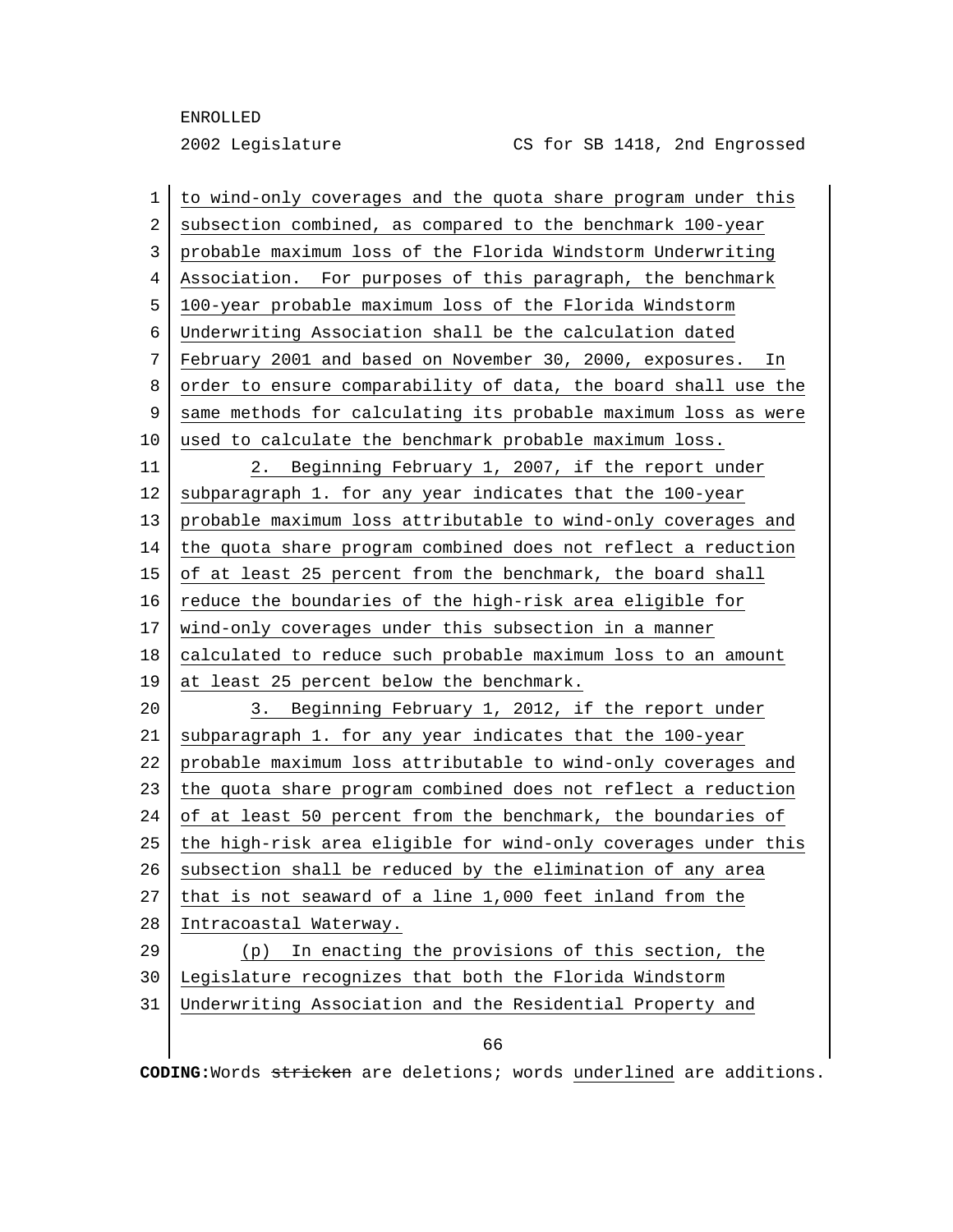### 2002 Legislature CS for SB 1418, 2nd Engrossed

 1 to wind-only coverages and the quota share program under this 2 subsection combined, as compared to the benchmark 100-year 3 probable maximum loss of the Florida Windstorm Underwriting 4 Association. For purposes of this paragraph, the benchmark 5 100-year probable maximum loss of the Florida Windstorm 6 Underwriting Association shall be the calculation dated 7 February 2001 and based on November 30, 2000, exposures. In 8 order to ensure comparability of data, the board shall use the 9 same methods for calculating its probable maximum loss as were 10 used to calculate the benchmark probable maximum loss. 11 2. Beginning February 1, 2007, if the report under 12 subparagraph 1. for any year indicates that the 100-year 13 probable maximum loss attributable to wind-only coverages and 14 the quota share program combined does not reflect a reduction 15 of at least 25 percent from the benchmark, the board shall 16 reduce the boundaries of the high-risk area eligible for 17 wind-only coverages under this subsection in a manner 18 calculated to reduce such probable maximum loss to an amount 19 at least 25 percent below the benchmark. 20 3. Beginning February 1, 2012, if the report under 21 subparagraph 1. for any year indicates that the 100-year 22 probable maximum loss attributable to wind-only coverages and 23 the quota share program combined does not reflect a reduction 24 of at least 50 percent from the benchmark, the boundaries of 25 the high-risk area eligible for wind-only coverages under this 26 subsection shall be reduced by the elimination of any area 27 that is not seaward of a line 1,000 feet inland from the 28 Intracoastal Waterway. 29 (p) In enacting the provisions of this section, the 30 Legislature recognizes that both the Florida Windstorm 31 Underwriting Association and the Residential Property and  $\sim$  66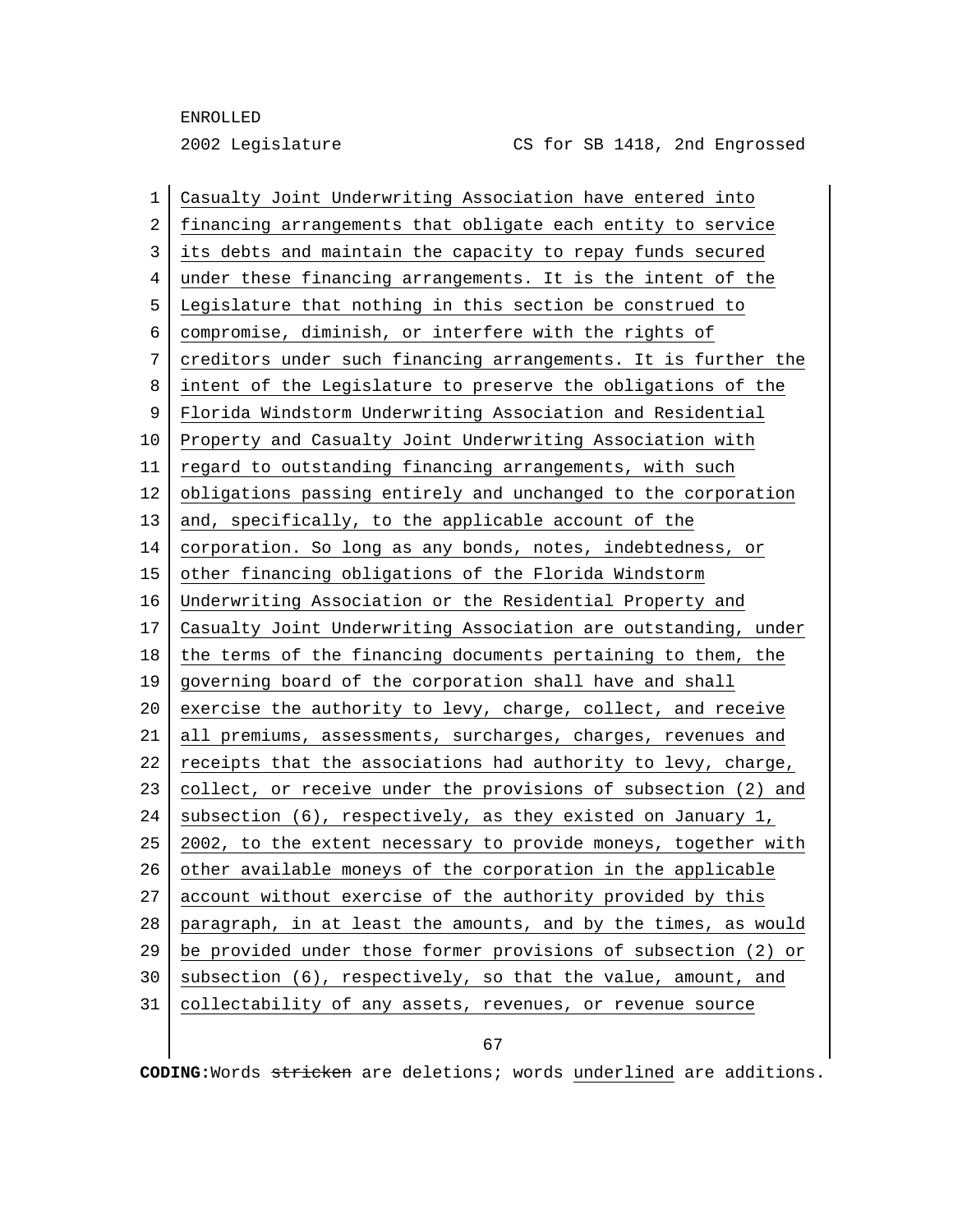1 Casualty Joint Underwriting Association have entered into 2 financing arrangements that obligate each entity to service 3 its debts and maintain the capacity to repay funds secured 4 under these financing arrangements. It is the intent of the 5 Legislature that nothing in this section be construed to 6 compromise, diminish, or interfere with the rights of 7 creditors under such financing arrangements. It is further the 8 intent of the Legislature to preserve the obligations of the 9 Florida Windstorm Underwriting Association and Residential 10 Property and Casualty Joint Underwriting Association with 11 regard to outstanding financing arrangements, with such 12 obligations passing entirely and unchanged to the corporation 13 and, specifically, to the applicable account of the 14 corporation. So long as any bonds, notes, indebtedness, or 15 other financing obligations of the Florida Windstorm 16 Underwriting Association or the Residential Property and 17 Casualty Joint Underwriting Association are outstanding, under 18 the terms of the financing documents pertaining to them, the 19 governing board of the corporation shall have and shall 20 exercise the authority to levy, charge, collect, and receive 21 all premiums, assessments, surcharges, charges, revenues and 22 receipts that the associations had authority to levy, charge, 23 collect, or receive under the provisions of subsection (2) and 24 subsection  $(6)$ , respectively, as they existed on January 1, 25 2002, to the extent necessary to provide moneys, together with 26 other available moneys of the corporation in the applicable 27 account without exercise of the authority provided by this 28 paragraph, in at least the amounts, and by the times, as would 29 be provided under those former provisions of subsection (2) or 30 subsection (6), respectively, so that the value, amount, and 31 collectability of any assets, revenues, or revenue source 67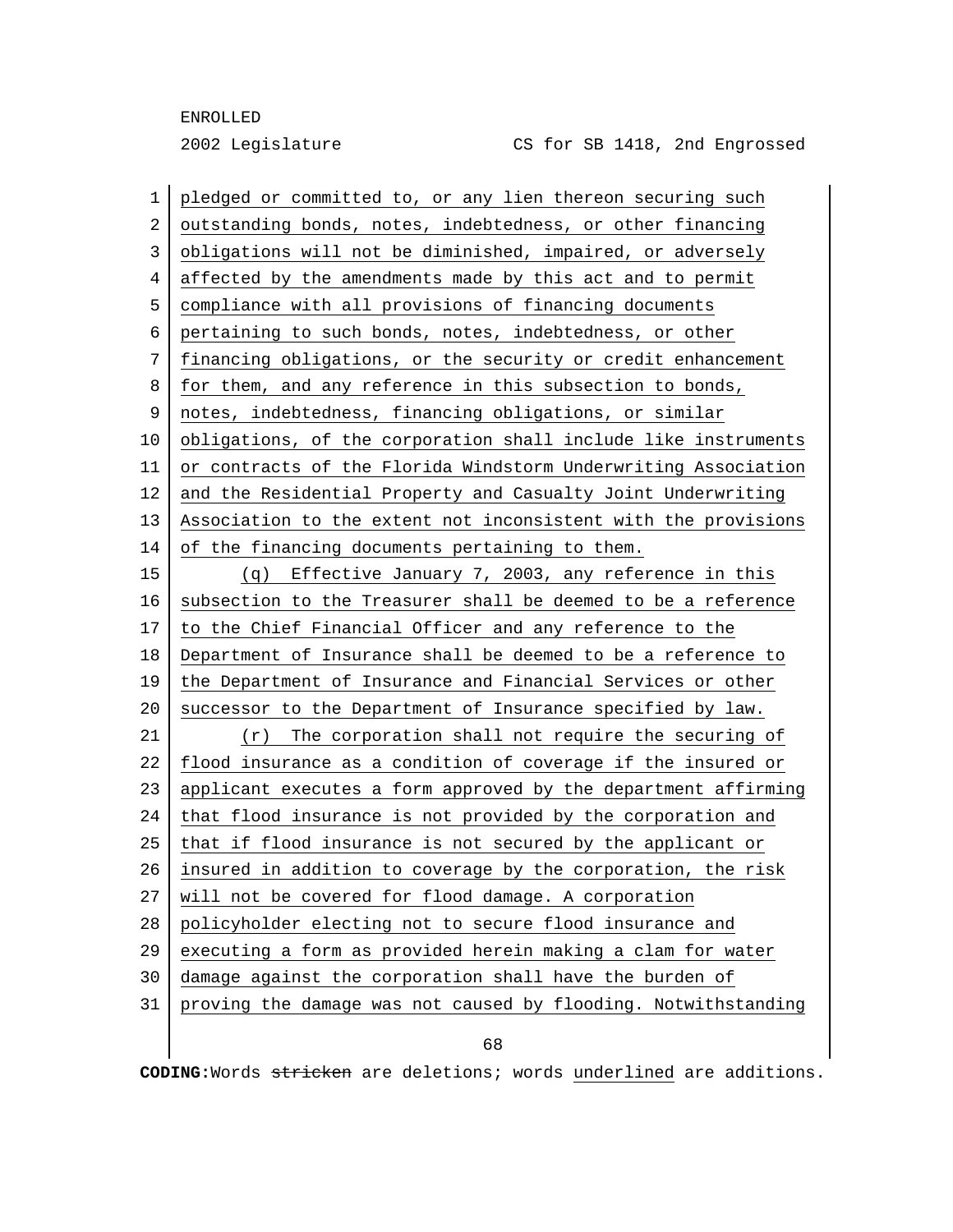1 pledged or committed to, or any lien thereon securing such 2 outstanding bonds, notes, indebtedness, or other financing 3 obligations will not be diminished, impaired, or adversely 4 affected by the amendments made by this act and to permit 5 compliance with all provisions of financing documents 6 pertaining to such bonds, notes, indebtedness, or other 7 financing obligations, or the security or credit enhancement 8 for them, and any reference in this subsection to bonds, 9 notes, indebtedness, financing obligations, or similar 10 obligations, of the corporation shall include like instruments 11 or contracts of the Florida Windstorm Underwriting Association 12 and the Residential Property and Casualty Joint Underwriting 13 Association to the extent not inconsistent with the provisions 14 of the financing documents pertaining to them. 15 (q) Effective January 7, 2003, any reference in this 16 subsection to the Treasurer shall be deemed to be a reference 17 to the Chief Financial Officer and any reference to the 18 Department of Insurance shall be deemed to be a reference to 19 the Department of Insurance and Financial Services or other 20 successor to the Department of Insurance specified by law. 21 (r) The corporation shall not require the securing of 22 flood insurance as a condition of coverage if the insured or 23 applicant executes a form approved by the department affirming 24 that flood insurance is not provided by the corporation and 25 that if flood insurance is not secured by the applicant or 26 insured in addition to coverage by the corporation, the risk 27 will not be covered for flood damage. A corporation 28 policyholder electing not to secure flood insurance and 29 executing a form as provided herein making a clam for water 30 damage against the corporation shall have the burden of 31 proving the damage was not caused by flooding. Notwithstanding  $\sim$  68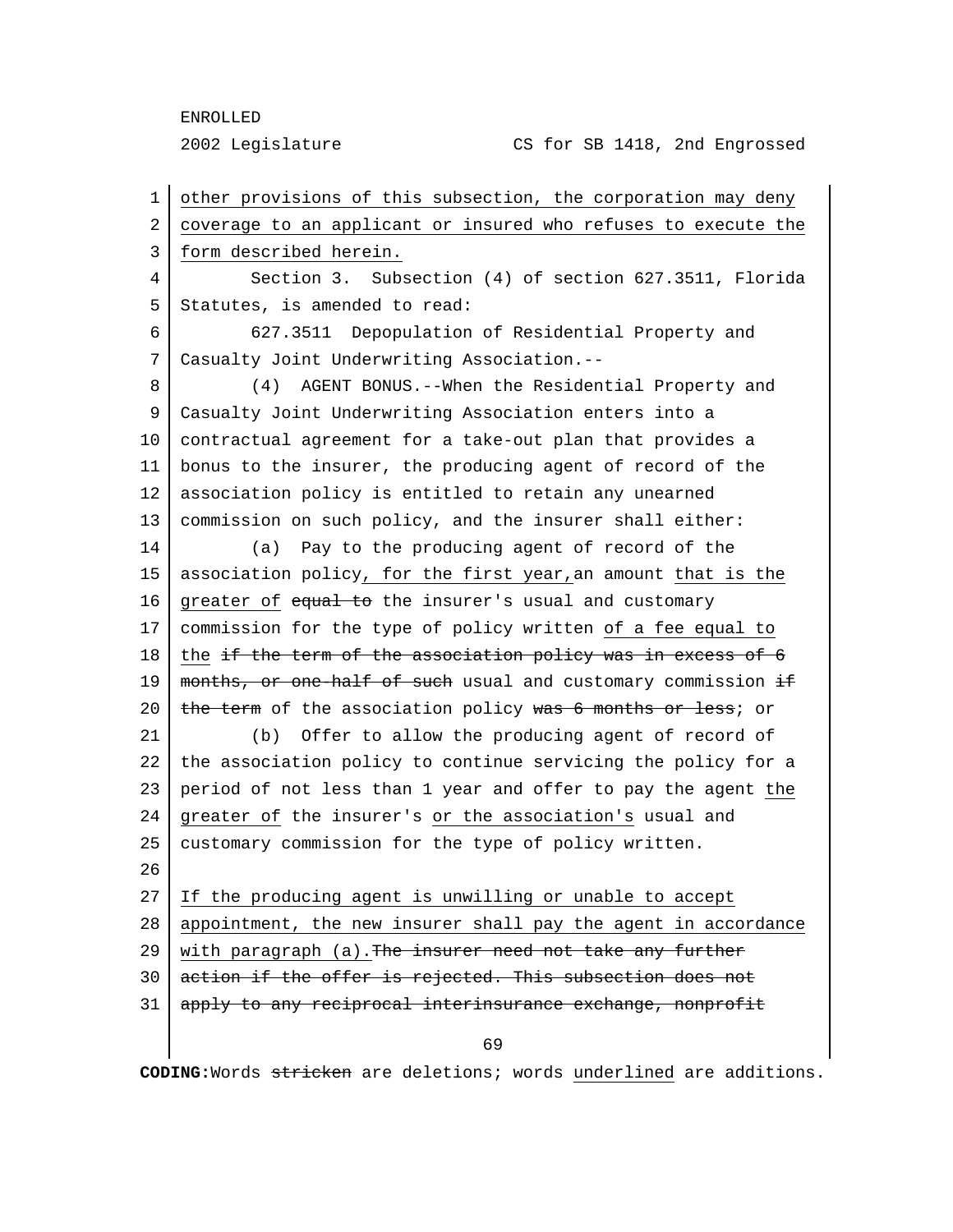1 other provisions of this subsection, the corporation may deny 2 coverage to an applicant or insured who refuses to execute the 3 form described herein. 4 Section 3. Subsection (4) of section 627.3511, Florida 5 Statutes, is amended to read: 6 627.3511 Depopulation of Residential Property and 7 Casualty Joint Underwriting Association.-- 8 (4) AGENT BONUS.--When the Residential Property and 9 Casualty Joint Underwriting Association enters into a 10 contractual agreement for a take-out plan that provides a 11 bonus to the insurer, the producing agent of record of the 12 association policy is entitled to retain any unearned 13 commission on such policy, and the insurer shall either: 14 (a) Pay to the producing agent of record of the 15 association policy, for the first year,an amount that is the 16 greater of equal to the insurer's usual and customary 17 commission for the type of policy written of a fee equal to 18 the if the term of the association policy was in excess of 6 19 | months, or one-half of such usual and customary commission  $\pm$ 20 the term of the association policy was 6 months or less; or 21 (b) Offer to allow the producing agent of record of 22 the association policy to continue servicing the policy for a 23 period of not less than 1 year and offer to pay the agent the 24 greater of the insurer's or the association's usual and 25 customary commission for the type of policy written. 26 27 If the producing agent is unwilling or unable to accept 28 appointment, the new insurer shall pay the agent in accordance 29 with paragraph (a). The insurer need not take any further 30 action if the offer is rejected. This subsection does not 31 | apply to any reciprocal interinsurance exchange, nonprofit **69 CODING:**Words stricken are deletions; words underlined are additions.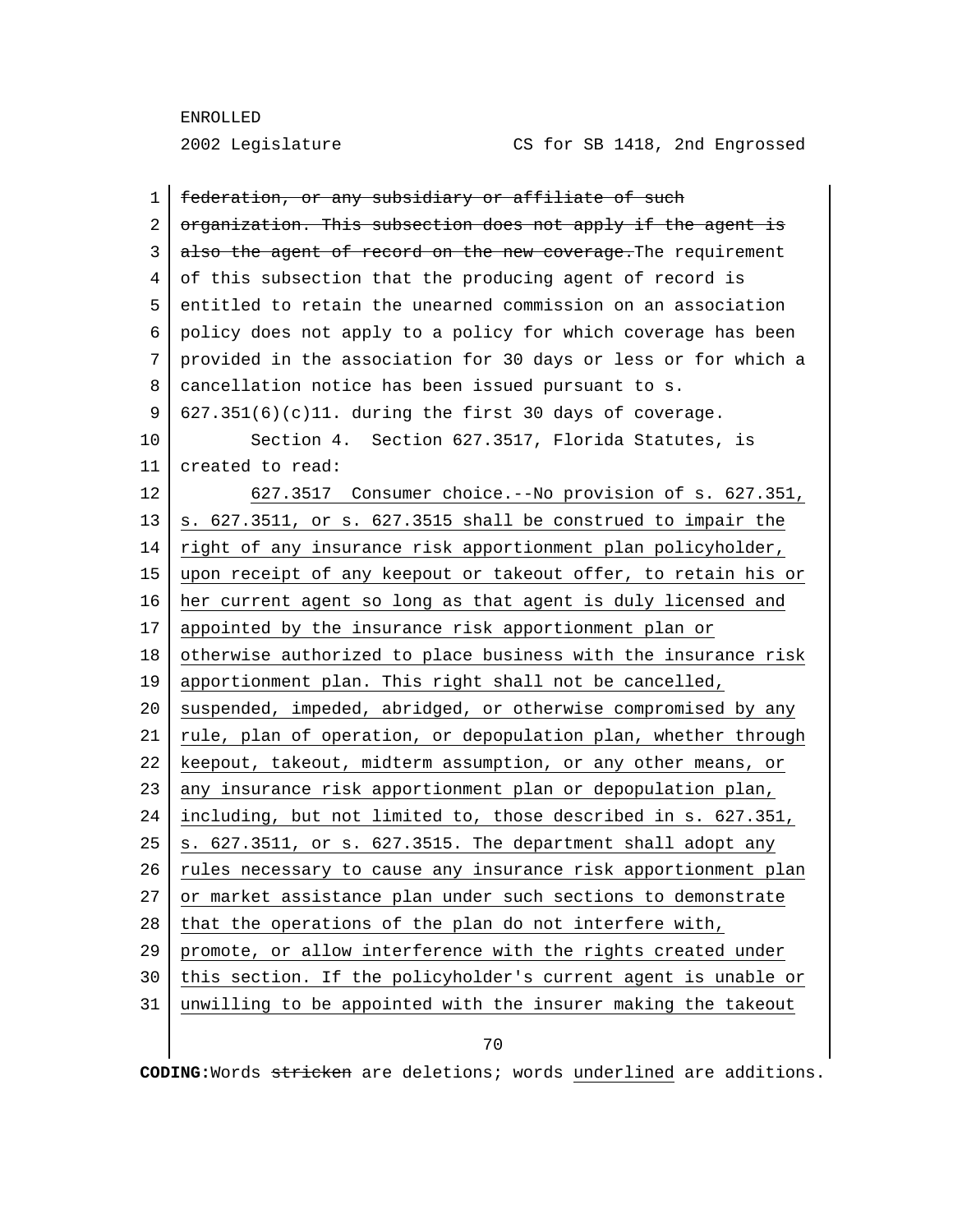1 | federation, or any subsidiary or affiliate of such 2 organization. This subsection does not apply if the agent is 3 also the agent of record on the new coverage. The requirement 4 of this subsection that the producing agent of record is 5 entitled to retain the unearned commission on an association 6 policy does not apply to a policy for which coverage has been 7 provided in the association for 30 days or less or for which a 8 cancellation notice has been issued pursuant to s. 9 627.351(6)(c)11. during the first 30 days of coverage. 10 Section 4. Section 627.3517, Florida Statutes, is 11 created to read: 12 627.3517 Consumer choice.--No provision of s. 627.351, 13 s. 627.3511, or s. 627.3515 shall be construed to impair the 14 right of any insurance risk apportionment plan policyholder, 15 upon receipt of any keepout or takeout offer, to retain his or 16 her current agent so long as that agent is duly licensed and 17 appointed by the insurance risk apportionment plan or 18 otherwise authorized to place business with the insurance risk 19 apportionment plan. This right shall not be cancelled, 20 suspended, impeded, abridged, or otherwise compromised by any 21 rule, plan of operation, or depopulation plan, whether through 22 keepout, takeout, midterm assumption, or any other means, or 23 any insurance risk apportionment plan or depopulation plan, 24 including, but not limited to, those described in s. 627.351,  $25$  s. 627.3511, or s. 627.3515. The department shall adopt any 26 rules necessary to cause any insurance risk apportionment plan 27 or market assistance plan under such sections to demonstrate 28 that the operations of the plan do not interfere with, 29 promote, or allow interference with the rights created under 30 this section. If the policyholder's current agent is unable or 31 unwilling to be appointed with the insurer making the takeout 70